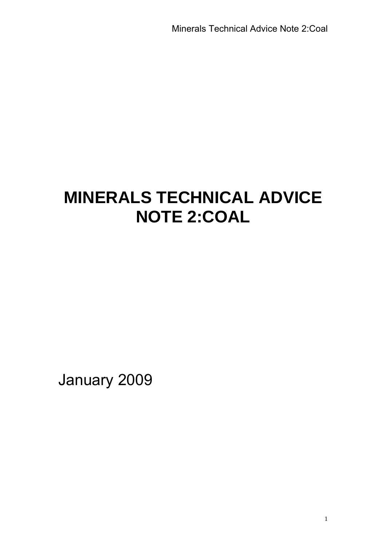# **MINERALS TECHNICAL ADVICE NOTE 2:COAL**

January 2009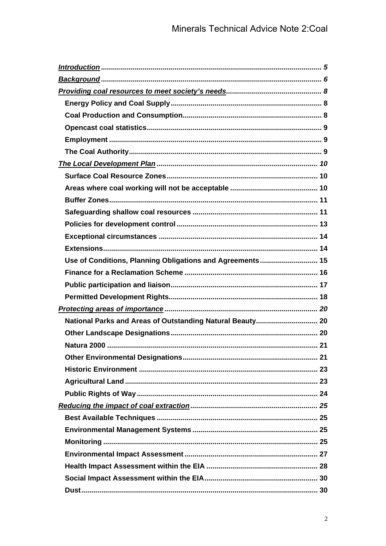| Use of Conditions, Planning Obligations and Agreements 15 |  |
|-----------------------------------------------------------|--|
|                                                           |  |
|                                                           |  |
|                                                           |  |
|                                                           |  |
| National Parks and Areas of Outstanding Natural Beauty 20 |  |
|                                                           |  |
|                                                           |  |
|                                                           |  |
|                                                           |  |
|                                                           |  |
|                                                           |  |
|                                                           |  |
|                                                           |  |
|                                                           |  |
|                                                           |  |
|                                                           |  |
|                                                           |  |
|                                                           |  |
|                                                           |  |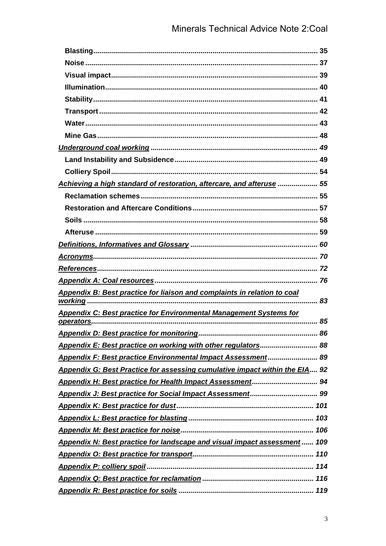| Achieving a high standard of restoration, aftercare, and afteruse  55              |  |
|------------------------------------------------------------------------------------|--|
|                                                                                    |  |
|                                                                                    |  |
|                                                                                    |  |
|                                                                                    |  |
|                                                                                    |  |
|                                                                                    |  |
|                                                                                    |  |
|                                                                                    |  |
| Appendix B: Best practice for liaison and complaints in relation to coal           |  |
|                                                                                    |  |
| <b>Appendix C: Best practice for Environmental Management Systems for</b>          |  |
|                                                                                    |  |
|                                                                                    |  |
| Appendix F: Best practice Environmental Impact Assessment 89                       |  |
| <b>Appendix G: Best Practice for assessing cumulative impact within the EIA 92</b> |  |
| Appendix H: Best practice for Health Impact Assessment 94                          |  |
|                                                                                    |  |
|                                                                                    |  |
|                                                                                    |  |
|                                                                                    |  |
| Appendix N: Best practice for landscape and visual impact assessment 109           |  |
|                                                                                    |  |
|                                                                                    |  |
|                                                                                    |  |
|                                                                                    |  |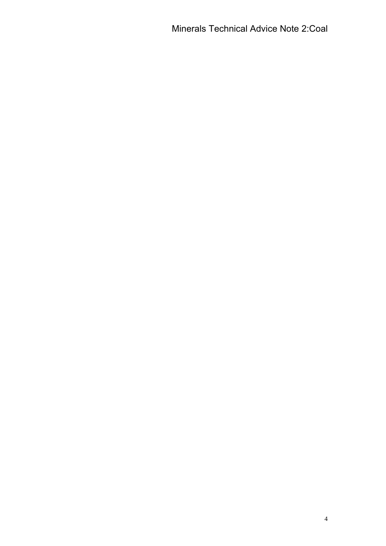Minerals Technical Advice Note 2:Coal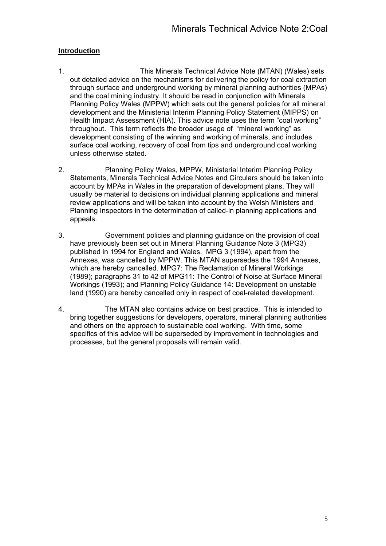# **Introduction**

- 1. This Minerals Technical Advice Note (MTAN) (Wales) sets out detailed advice on the mechanisms for delivering the policy for coal extraction through surface and underground working by mineral planning authorities (MPAs) and the coal mining industry. It should be read in conjunction with Minerals Planning Policy Wales (MPPW) which sets out the general policies for all mineral development and the Ministerial Interim Planning Policy Statement (MIPPS) on Health Impact Assessment (HIA). This advice note uses the term "coal working" throughout. This term reflects the broader usage of "mineral working" as development consisting of the winning and working of minerals, and includes surface coal working, recovery of coal from tips and underground coal working unless otherwise stated.
- 2. Planning Policy Wales, MPPW, Ministerial Interim Planning Policy Statements, Minerals Technical Advice Notes and Circulars should be taken into account by MPAs in Wales in the preparation of development plans. They will usually be material to decisions on individual planning applications and mineral review applications and will be taken into account by the Welsh Ministers and Planning Inspectors in the determination of called-in planning applications and appeals.
- 3. Government policies and planning guidance on the provision of coal have previously been set out in Mineral Planning Guidance Note 3 (MPG3) published in 1994 for England and Wales. MPG 3 (1994), apart from the Annexes, was cancelled by MPPW. This MTAN supersedes the 1994 Annexes, which are hereby cancelled. MPG7: The Reclamation of Mineral Workings (1989); paragraphs 31 to 42 of MPG11: The Control of Noise at Surface Mineral Workings (1993); and Planning Policy Guidance 14: Development on unstable land (1990) are hereby cancelled only in respect of coal-related development.
- 4. The MTAN also contains advice on best practice. This is intended to bring together suggestions for developers, operators, mineral planning authorities and others on the approach to sustainable coal working. With time, some specifics of this advice will be superseded by improvement in technologies and processes, but the general proposals will remain valid.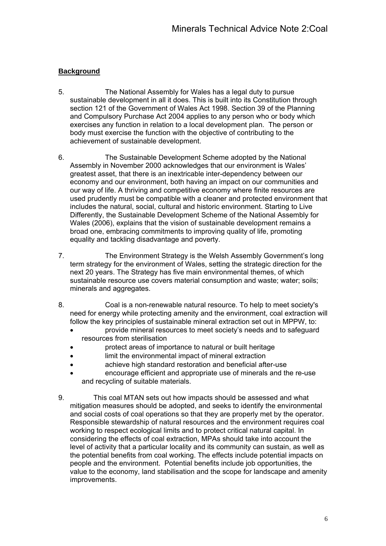# **Background**

- 5. The National Assembly for Wales has a legal duty to pursue sustainable development in all it does. This is built into its Constitution through section 121 of the Government of Wales Act 1998. Section 39 of the Planning and Compulsory Purchase Act 2004 applies to any person who or body which exercises any function in relation to a local development plan. The person or body must exercise the function with the objective of contributing to the achievement of sustainable development.
- 6. The Sustainable Development Scheme adopted by the National Assembly in November 2000 acknowledges that our environment is Wales' greatest asset, that there is an inextricable inter-dependency between our economy and our environment, both having an impact on our communities and our way of life. A thriving and competitive economy where finite resources are used prudently must be compatible with a cleaner and protected environment that includes the natural, social, cultural and historic environment. Starting to Live Differently, the Sustainable Development Scheme of the National Assembly for Wales (2006), explains that the vision of sustainable development remains a broad one, embracing commitments to improving quality of life, promoting equality and tackling disadvantage and poverty.
- 7. The Environment Strategy is the Welsh Assembly Government's long term strategy for the environment of Wales, setting the strategic direction for the next 20 years. The Strategy has five main environmental themes, of which sustainable resource use covers material consumption and waste; water; soils; minerals and aggregates.
- 8. Coal is a non-renewable natural resource. To help to meet society's need for energy while protecting amenity and the environment, coal extraction will follow the key principles of sustainable mineral extraction set out in MPPW, to:
	- provide mineral resources to meet society's needs and to safeguard resources from sterilisation
	- protect areas of importance to natural or built heritage
	- limit the environmental impact of mineral extraction
	- achieve high standard restoration and beneficial after-use
	- encourage efficient and appropriate use of minerals and the re-use and recycling of suitable materials.
- 9. This coal MTAN sets out how impacts should be assessed and what mitigation measures should be adopted, and seeks to identify the environmental and social costs of coal operations so that they are properly met by the operator. Responsible stewardship of natural resources and the environment requires coal working to respect ecological limits and to protect critical natural capital. In considering the effects of coal extraction, MPAs should take into account the level of activity that a particular locality and its community can sustain, as well as the potential benefits from coal working. The effects include potential impacts on people and the environment. Potential benefits include job opportunities, the value to the economy, land stabilisation and the scope for landscape and amenity improvements.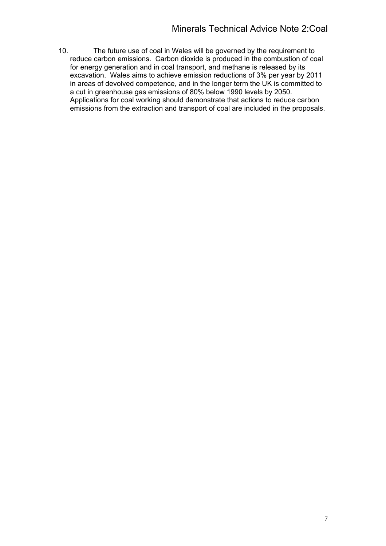10. The future use of coal in Wales will be governed by the requirement to reduce carbon emissions. Carbon dioxide is produced in the combustion of coal for energy generation and in coal transport, and methane is released by its excavation. Wales aims to achieve emission reductions of 3% per year by 2011 in areas of devolved competence, and in the longer term the UK is committed to a cut in greenhouse gas emissions of 80% below 1990 levels by 2050. Applications for coal working should demonstrate that actions to reduce carbon emissions from the extraction and transport of coal are included in the proposals.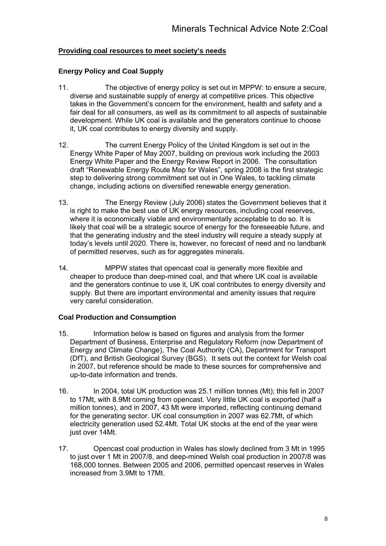# **Providing coal resources to meet society's needs**

# **Energy Policy and Coal Supply**

- 11. The objective of energy policy is set out in MPPW: to ensure a secure, diverse and sustainable supply of energy at competitive prices. This objective takes in the Government's concern for the environment, health and safety and a fair deal for all consumers, as well as its commitment to all aspects of sustainable development. While UK coal is available and the generators continue to choose it, UK coal contributes to energy diversity and supply.
- 12. The current Energy Policy of the United Kingdom is set out in the Energy White Paper of May 2007, building on previous work including the 2003 Energy White Paper and the Energy Review Report in 2006. The consultation draft "Renewable Energy Route Map for Wales", spring 2008 is the first strategic step to delivering strong commitment set out in One Wales, to tackling climate change, including actions on diversified renewable energy generation.
- 13. The Energy Review (July 2006) states the Government believes that it is right to make the best use of UK energy resources, including coal reserves, where it is economically viable and environmentally acceptable to do so. It is likely that coal will be a strategic source of energy for the foreseeable future, and that the generating industry and the steel industry will require a steady supply at today's levels until 2020. There is, however, no forecast of need and no landbank of permitted reserves, such as for aggregates minerals.
- 14. MPPW states that opencast coal is generally more flexible and cheaper to produce than deep-mined coal, and that where UK coal is available and the generators continue to use it, UK coal contributes to energy diversity and supply. But there are important environmental and amenity issues that require very careful consideration.

# **Coal Production and Consumption**

- 15. Information below is based on figures and analysis from the former Department of Business, Enterprise and Regulatory Reform (now Department of Energy and Climate Change), The Coal Authority (CA), Department for Transport (DfT), and British Geological Survey (BGS). It sets out the context for Welsh coal in 2007, but reference should be made to these sources for comprehensive and up-to-date information and trends.
- 16. In 2004, total UK production was 25.1 million tonnes (Mt); this fell in 2007 to 17Mt, with 8.9Mt coming from opencast. Very little UK coal is exported (half a million tonnes), and in 2007, 43 Mt were imported, reflecting continuing demand for the generating sector. UK coal consumption in 2007 was 62.7Mt, of which electricity generation used 52.4Mt. Total UK stocks at the end of the year were just over 14Mt.
- 17. Opencast coal production in Wales has slowly declined from 3 Mt in 1995 to just over 1 Mt in 2007/8, and deep-mined Welsh coal production in 2007/8 was 168,000 tonnes. Between 2005 and 2006, permitted opencast reserves in Wales increased from 3.9Mt to 17Mt.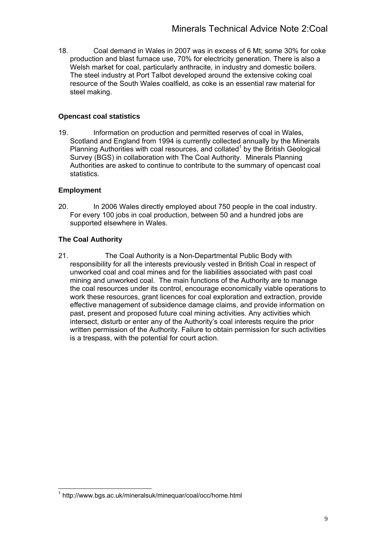18. Coal demand in Wales in 2007 was in excess of 6 Mt; some 30% for coke production and blast furnace use, 70% for electricity generation. There is also a Welsh market for coal, particularly anthracite, in industry and domestic boilers. The steel industry at Port Talbot developed around the extensive coking coal resource of the South Wales coalfield, as coke is an essential raw material for steel making.

# **Opencast coal statistics**

19. Information on production and permitted reserves of coal in Wales, Scotland and England from 1994 is currently collected annually by the Minerals Planning Authorities with coal resources, and collated<sup>1</sup> by the British Geological Survey (BGS) in collaboration with The Coal Authority. Minerals Planning Authorities are asked to continue to contribute to the summary of opencast coal statistics.

# **Employment**

20. In 2006 Wales directly employed about 750 people in the coal industry. For every 100 jobs in coal production, between 50 and a hundred jobs are supported elsewhere in Wales.

# **The Coal Authority**

21. The Coal Authority is a Non-Departmental Public Body with responsibility for all the interests previously vested in British Coal in respect of unworked coal and coal mines and for the liabilities associated with past coal mining and unworked coal. The main functions of the Authority are to manage the coal resources under its control, encourage economically viable operations to work these resources, grant licences for coal exploration and extraction, provide effective management of subsidence damage claims, and provide information on past, present and proposed future coal mining activities. Any activities which intersect, disturb or enter any of the Authority's coal interests require the prior written permission of the Authority. Failure to obtain permission for such activities is a trespass, with the potential for court action.

l <sup>1</sup> http://www.bgs.ac.uk/mineralsuk/minequar/coal/occ/home.html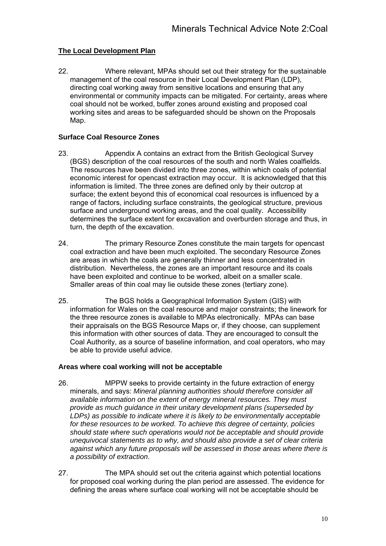# **The Local Development Plan**

22. Where relevant, MPAs should set out their strategy for the sustainable management of the coal resource in their Local Development Plan (LDP), directing coal working away from sensitive locations and ensuring that any environmental or community impacts can be mitigated. For certainty, areas where coal should not be worked, buffer zones around existing and proposed coal working sites and areas to be safeguarded should be shown on the Proposals Map.

## **Surface Coal Resource Zones**

- 23. Appendix A contains an extract from the British Geological Survey (BGS) description of the coal resources of the south and north Wales coalfields. The resources have been divided into three zones, within which coals of potential economic interest for opencast extraction may occur. It is acknowledged that this information is limited. The three zones are defined only by their outcrop at surface; the extent beyond this of economical coal resources is influenced by a range of factors, including surface constraints, the geological structure, previous surface and underground working areas, and the coal quality. Accessibility determines the surface extent for excavation and overburden storage and thus, in turn, the depth of the excavation.
- 24. The primary Resource Zones constitute the main targets for opencast coal extraction and have been much exploited. The secondary Resource Zones are areas in which the coals are generally thinner and less concentrated in distribution. Nevertheless, the zones are an important resource and its coals have been exploited and continue to be worked, albeit on a smaller scale. Smaller areas of thin coal may lie outside these zones (tertiary zone).
- 25. The BGS holds a Geographical Information System (GIS) with information for Wales on the coal resource and major constraints; the linework for the three resource zones is available to MPAs electronically. MPAs can base their appraisals on the BGS Resource Maps or, if they choose, can supplement this information with other sources of data. They are encouraged to consult the Coal Authority, as a source of baseline information, and coal operators, who may be able to provide useful advice.

# **Areas where coal working will not be acceptable**

- 26. MPPW seeks to provide certainty in the future extraction of energy minerals, and says: *Mineral planning authorities should therefore consider all available information on the extent of energy mineral resources. They must provide as much guidance in their unitary development plans (superseded by LDPs) as possible to indicate where it is likely to be environmentally acceptable for these resources to be worked. To achieve this degree of certainty, policies should state where such operations would not be acceptable and should provide unequivocal statements as to why, and should also provide a set of clear criteria against which any future proposals will be assessed in those areas where there is a possibility of extraction*.
- 27. The MPA should set out the criteria against which potential locations for proposed coal working during the plan period are assessed. The evidence for defining the areas where surface coal working will not be acceptable should be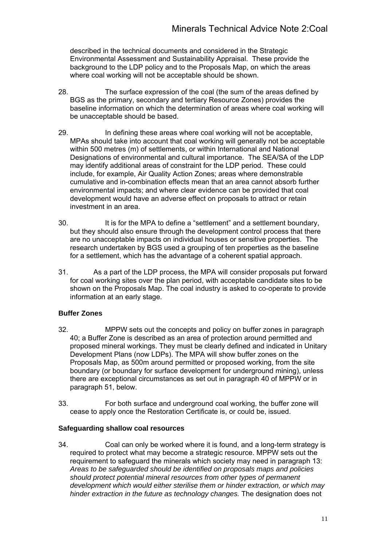described in the technical documents and considered in the Strategic Environmental Assessment and Sustainability Appraisal. These provide the background to the LDP policy and to the Proposals Map, on which the areas where coal working will not be acceptable should be shown.

- 28. The surface expression of the coal (the sum of the areas defined by BGS as the primary, secondary and tertiary Resource Zones) provides the baseline information on which the determination of areas where coal working will be unacceptable should be based.
- 29. In defining these areas where coal working will not be acceptable, MPAs should take into account that coal working will generally not be acceptable within 500 metres (m) of settlements, or within International and National Designations of environmental and cultural importance. The SEA/SA of the LDP may identify additional areas of constraint for the LDP period. These could include, for example, Air Quality Action Zones; areas where demonstrable cumulative and in-combination effects mean that an area cannot absorb further environmental impacts; and where clear evidence can be provided that coal development would have an adverse effect on proposals to attract or retain investment in an area.
- 30. It is for the MPA to define a "settlement" and a settlement boundary, but they should also ensure through the development control process that there are no unacceptable impacts on individual houses or sensitive properties. The research undertaken by BGS used a grouping of ten properties as the baseline for a settlement, which has the advantage of a coherent spatial approach.
- 31. As a part of the LDP process, the MPA will consider proposals put forward for coal working sites over the plan period, with acceptable candidate sites to be shown on the Proposals Map. The coal industry is asked to co-operate to provide information at an early stage.

# **Buffer Zones**

- 32. MPPW sets out the concepts and policy on buffer zones in paragraph 40; a Buffer Zone is described as an area of protection around permitted and proposed mineral workings. They must be clearly defined and indicated in Unitary Development Plans (now LDPs). The MPA will show buffer zones on the Proposals Map, as 500m around permitted or proposed working, from the site boundary (or boundary for surface development for underground mining), unless there are exceptional circumstances as set out in paragraph 40 of MPPW or in paragraph 51, below.
- 33. For both surface and underground coal working, the buffer zone will cease to apply once the Restoration Certificate is, or could be, issued.

# **Safeguarding shallow coal resources**

34. Coal can only be worked where it is found, and a long-term strategy is required to protect what may become a strategic resource. MPPW sets out the requirement to safeguard the minerals which society may need in paragraph 13: *Areas to be safeguarded should be identified on proposals maps and policies should protect potential mineral resources from other types of permanent development which would either sterilise them or hinder extraction, or which may hinder extraction in the future as technology changes.* The designation does not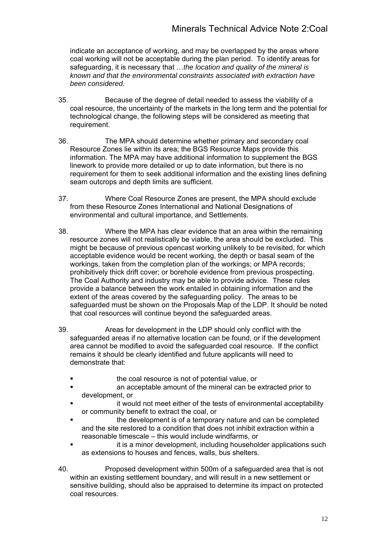indicate an acceptance of working, and may be overlapped by the areas where coal working will not be acceptable during the plan period. To identify areas for safeguarding, it is necessary that …*the location and quality of the mineral is known and that the environmental constraints associated with extraction have been considered.* 

- 35. Because of the degree of detail needed to assess the viability of a coal resource, the uncertainty of the markets in the long term and the potential for technological change, the following steps will be considered as meeting that requirement.
- 36. The MPA should determine whether primary and secondary coal Resource Zones lie within its area; the BGS Resource Maps provide this information. The MPA may have additional information to supplement the BGS linework to provide more detailed or up to date information, but there is no requirement for them to seek additional information and the existing lines defining seam outcrops and depth limits are sufficient.
- 37. Where Coal Resource Zones are present, the MPA should exclude from these Resource Zones International and National Designations of environmental and cultural importance, and Settlements.
- 38. Where the MPA has clear evidence that an area within the remaining resource zones will not realistically be viable, the area should be excluded. This might be because of previous opencast working unlikely to be revisited, for which acceptable evidence would be recent working, the depth or basal seam of the workings, taken from the completion plan of the workings; or MPA records; prohibitively thick drift cover; or borehole evidence from previous prospecting. The Coal Authority and industry may be able to provide advice. These rules provide a balance between the work entailed in obtaining information and the extent of the areas covered by the safeguarding policy. The areas to be safeguarded must be shown on the Proposals Map of the LDP. It should be noted that coal resources will continue beyond the safeguarded areas.
- 39. Areas for development in the LDP should only conflict with the safeguarded areas if no alternative location can be found, or if the development area cannot be modified to avoid the safeguarded coal resource. If the conflict remains it should be clearly identified and future applicants will need to demonstrate that:
	- the coal resource is not of potential value, or
	- an acceptable amount of the mineral can be extracted prior to development, or
	- it would not meet either of the tests of environmental acceptability or community benefit to extract the coal, or
	- the development is of a temporary nature and can be completed and the site restored to a condition that does not inhibit extraction within a reasonable timescale – this would include windfarms, or
	- it is a minor development, including householder applications such as extensions to houses and fences, walls, bus shelters.
- 40. Proposed development within 500m of a safeguarded area that is not within an existing settlement boundary, and will result in a new settlement or sensitive building, should also be appraised to determine its impact on protected coal resources.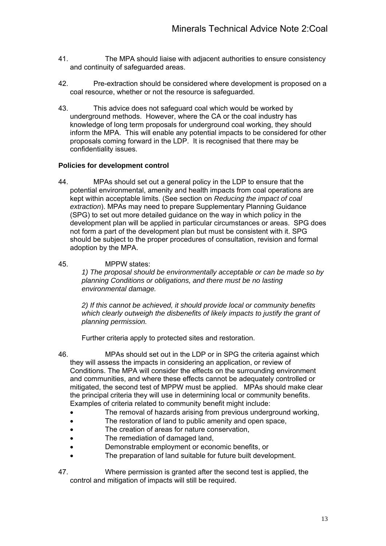- 41. The MPA should liaise with adjacent authorities to ensure consistency and continuity of safeguarded areas.
- 42. Pre-extraction should be considered where development is proposed on a coal resource, whether or not the resource is safeguarded.
- 43. This advice does not safeguard coal which would be worked by underground methods. However, where the CA or the coal industry has knowledge of long term proposals for underground coal working, they should inform the MPA. This will enable any potential impacts to be considered for other proposals coming forward in the LDP. It is recognised that there may be confidentiality issues.

## **Policies for development control**

- 44. MPAs should set out a general policy in the LDP to ensure that the potential environmental, amenity and health impacts from coal operations are kept within acceptable limits. (See section on *Reducing the impact of coal extraction*). MPAs may need to prepare Supplementary Planning Guidance (SPG) to set out more detailed guidance on the way in which policy in the development plan will be applied in particular circumstances or areas. SPG does not form a part of the development plan but must be consistent with it. SPG should be subject to the proper procedures of consultation, revision and formal adoption by the MPA.
- 45. MPPW states:

*1) The proposal should be environmentally acceptable or can be made so by planning Conditions or obligations, and there must be no lasting environmental damage.* 

*2) If this cannot be achieved, it should provide local or community benefits which clearly outweigh the disbenefits of likely impacts to justify the grant of planning permission.*

Further criteria apply to protected sites and restoration.

- 46. MPAs should set out in the LDP or in SPG the criteria against which they will assess the impacts in considering an application, or review of Conditions. The MPA will consider the effects on the surrounding environment and communities, and where these effects cannot be adequately controlled or mitigated, the second test of MPPW must be applied. MPAs should make clear the principal criteria they will use in determining local or community benefits. Examples of criteria related to community benefit might include:
	- The removal of hazards arising from previous underground working,
	- The restoration of land to public amenity and open space,
	- The creation of areas for nature conservation,
	- The remediation of damaged land,
	- Demonstrable employment or economic benefits, or
	- The preparation of land suitable for future built development.

47. Where permission is granted after the second test is applied, the control and mitigation of impacts will still be required.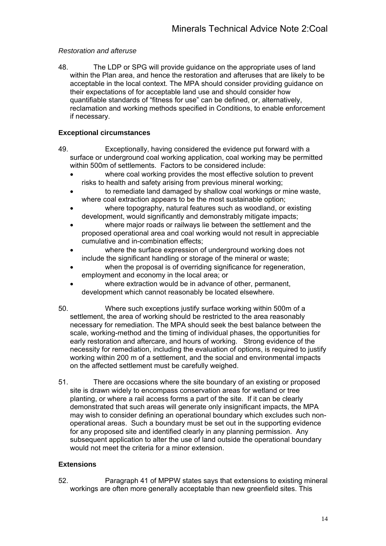# *Restoration and afteruse*

48. The LDP or SPG will provide guidance on the appropriate uses of land within the Plan area, and hence the restoration and afteruses that are likely to be acceptable in the local context. The MPA should consider providing guidance on their expectations of for acceptable land use and should consider how quantifiable standards of "fitness for use" can be defined, or, alternatively, reclamation and working methods specified in Conditions, to enable enforcement if necessary.

# **Exceptional circumstances**

- 49. Exceptionally, having considered the evidence put forward with a surface or underground coal working application, coal working may be permitted within 500m of settlements. Factors to be considered include:
	- where coal working provides the most effective solution to prevent risks to health and safety arising from previous mineral working;
	- to remediate land damaged by shallow coal workings or mine waste, where coal extraction appears to be the most sustainable option;
	- where topography, natural features such as woodland, or existing development, would significantly and demonstrably mitigate impacts;
	- where major roads or railways lie between the settlement and the proposed operational area and coal working would not result in appreciable cumulative and in-combination effects;
	- where the surface expression of underground working does not include the significant handling or storage of the mineral or waste;
	- when the proposal is of overriding significance for regeneration, employment and economy in the local area; or
	- where extraction would be in advance of other, permanent, development which cannot reasonably be located elsewhere.
- 50. Where such exceptions justify surface working within 500m of a settlement, the area of working should be restricted to the area reasonably necessary for remediation. The MPA should seek the best balance between the scale, working-method and the timing of individual phases, the opportunities for early restoration and aftercare, and hours of working. Strong evidence of the necessity for remediation, including the evaluation of options, is required to justify working within 200 m of a settlement, and the social and environmental impacts on the affected settlement must be carefully weighed.
- 51. There are occasions where the site boundary of an existing or proposed site is drawn widely to encompass conservation areas for wetland or tree planting, or where a rail access forms a part of the site. If it can be clearly demonstrated that such areas will generate only insignificant impacts, the MPA may wish to consider defining an operational boundary which excludes such nonoperational areas. Such a boundary must be set out in the supporting evidence for any proposed site and identified clearly in any planning permission. Any subsequent application to alter the use of land outside the operational boundary would not meet the criteria for a minor extension.

# **Extensions**

52. Paragraph 41 of MPPW states says that extensions to existing mineral workings are often more generally acceptable than new greenfield sites. This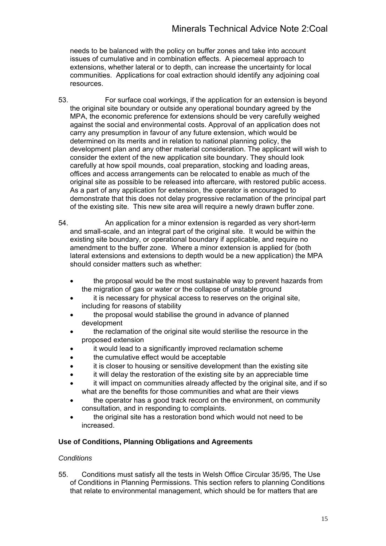needs to be balanced with the policy on buffer zones and take into account issues of cumulative and in combination effects. A piecemeal approach to extensions, whether lateral or to depth, can increase the uncertainty for local communities. Applications for coal extraction should identify any adjoining coal resources.

- 53. For surface coal workings, if the application for an extension is beyond the original site boundary or outside any operational boundary agreed by the MPA, the economic preference for extensions should be very carefully weighed against the social and environmental costs. Approval of an application does not carry any presumption in favour of any future extension, which would be determined on its merits and in relation to national planning policy, the development plan and any other material consideration. The applicant will wish to consider the extent of the new application site boundary. They should look carefully at how spoil mounds, coal preparation, stocking and loading areas, offices and access arrangements can be relocated to enable as much of the original site as possible to be released into aftercare, with restored public access. As a part of any application for extension, the operator is encouraged to demonstrate that this does not delay progressive reclamation of the principal part of the existing site. This new site area will require a newly drawn buffer zone.
- 54. An application for a minor extension is regarded as very short-term and small-scale, and an integral part of the original site. It would be within the existing site boundary, or operational boundary if applicable, and require no amendment to the buffer zone. Where a minor extension is applied for (both lateral extensions and extensions to depth would be a new application) the MPA should consider matters such as whether:
	- the proposal would be the most sustainable way to prevent hazards from the migration of gas or water or the collapse of unstable ground
	- it is necessary for physical access to reserves on the original site, including for reasons of stability
	- the proposal would stabilise the ground in advance of planned development
	- the reclamation of the original site would sterilise the resource in the proposed extension
	- it would lead to a significantly improved reclamation scheme
	- the cumulative effect would be acceptable
	- it is closer to housing or sensitive development than the existing site
	- it will delay the restoration of the existing site by an appreciable time
	- it will impact on communities already affected by the original site, and if so what are the benefits for those communities and what are their views
	- the operator has a good track record on the environment, on community consultation, and in responding to complaints.
	- the original site has a restoration bond which would not need to be increased.

# **Use of Conditions, Planning Obligations and Agreements**

# *Conditions*

55. Conditions must satisfy all the tests in Welsh Office Circular 35/95, The Use of Conditions in Planning Permissions. This section refers to planning Conditions that relate to environmental management, which should be for matters that are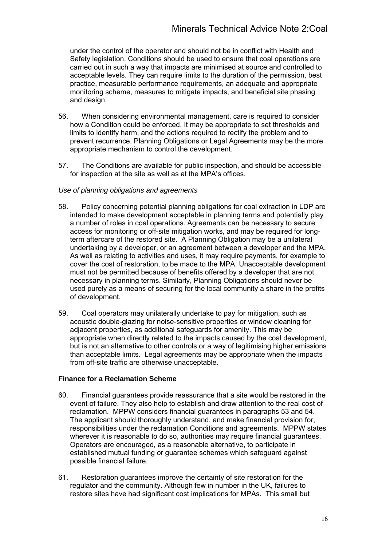under the control of the operator and should not be in conflict with Health and Safety legislation. Conditions should be used to ensure that coal operations are carried out in such a way that impacts are minimised at source and controlled to acceptable levels. They can require limits to the duration of the permission, best practice, measurable performance requirements, an adequate and appropriate monitoring scheme, measures to mitigate impacts, and beneficial site phasing and design.

- 56. When considering environmental management, care is required to consider how a Condition could be enforced. It may be appropriate to set thresholds and limits to identify harm, and the actions required to rectify the problem and to prevent recurrence. Planning Obligations or Legal Agreements may be the more appropriate mechanism to control the development.
- 57. The Conditions are available for public inspection, and should be accessible for inspection at the site as well as at the MPA's offices.

## *Use of planning obligations and agreements*

- 58. Policy concerning potential planning obligations for coal extraction in LDP are intended to make development acceptable in planning terms and potentially play a number of roles in coal operations. Agreements can be necessary to secure access for monitoring or off-site mitigation works, and may be required for longterm aftercare of the restored site. A Planning Obligation may be a unilateral undertaking by a developer, or an agreement between a developer and the MPA. As well as relating to activities and uses, it may require payments, for example to cover the cost of restoration, to be made to the MPA. Unacceptable development must not be permitted because of benefits offered by a developer that are not necessary in planning terms. Similarly, Planning Obligations should never be used purely as a means of securing for the local community a share in the profits of development.
- 59. Coal operators may unilaterally undertake to pay for mitigation, such as acoustic double-glazing for noise-sensitive properties or window cleaning for adjacent properties, as additional safeguards for amenity. This may be appropriate when directly related to the impacts caused by the coal development, but is not an alternative to other controls or a way of legitimising higher emissions than acceptable limits. Legal agreements may be appropriate when the impacts from off-site traffic are otherwise unacceptable.

# **Finance for a Reclamation Scheme**

- 60. Financial guarantees provide reassurance that a site would be restored in the event of failure. They also help to establish and draw attention to the real cost of reclamation. MPPW considers financial guarantees in paragraphs 53 and 54. The applicant should thoroughly understand, and make financial provision for, responsibilities under the reclamation Conditions and agreements. MPPW states wherever it is reasonable to do so, authorities may require financial guarantees. Operators are encouraged, as a reasonable alternative, to participate in established mutual funding or guarantee schemes which safeguard against possible financial failure.
- 61. Restoration guarantees improve the certainty of site restoration for the regulator and the community. Although few in number in the UK, failures to restore sites have had significant cost implications for MPAs. This small but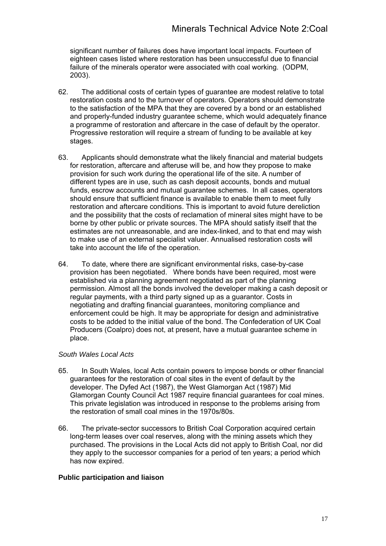significant number of failures does have important local impacts. Fourteen of eighteen cases listed where restoration has been unsuccessful due to financial failure of the minerals operator were associated with coal working. (ODPM, 2003).

- 62. The additional costs of certain types of guarantee are modest relative to total restoration costs and to the turnover of operators. Operators should demonstrate to the satisfaction of the MPA that they are covered by a bond or an established and properly-funded industry guarantee scheme, which would adequately finance a programme of restoration and aftercare in the case of default by the operator. Progressive restoration will require a stream of funding to be available at key stages.
- 63. Applicants should demonstrate what the likely financial and material budgets for restoration, aftercare and afteruse will be, and how they propose to make provision for such work during the operational life of the site. A number of different types are in use, such as cash deposit accounts, bonds and mutual funds, escrow accounts and mutual guarantee schemes. In all cases, operators should ensure that sufficient finance is available to enable them to meet fully restoration and aftercare conditions. This is important to avoid future dereliction and the possibility that the costs of reclamation of mineral sites might have to be borne by other public or private sources. The MPA should satisfy itself that the estimates are not unreasonable, and are index-linked, and to that end may wish to make use of an external specialist valuer. Annualised restoration costs will take into account the life of the operation.
- 64. To date, where there are significant environmental risks, case-by-case provision has been negotiated. Where bonds have been required, most were established via a planning agreement negotiated as part of the planning permission. Almost all the bonds involved the developer making a cash deposit or regular payments, with a third party signed up as a guarantor. Costs in negotiating and drafting financial guarantees, monitoring compliance and enforcement could be high. It may be appropriate for design and administrative costs to be added to the initial value of the bond. The Confederation of UK Coal Producers (Coalpro) does not, at present, have a mutual guarantee scheme in place.

# *South Wales Local Acts*

- 65. In South Wales, local Acts contain powers to impose bonds or other financial guarantees for the restoration of coal sites in the event of default by the developer. The Dyfed Act (1987), the West Glamorgan Act (1987) Mid Glamorgan County Council Act 1987 require financial guarantees for coal mines. This private legislation was introduced in response to the problems arising from the restoration of small coal mines in the 1970s/80s.
- 66. The private-sector successors to British Coal Corporation acquired certain long-term leases over coal reserves, along with the mining assets which they purchased. The provisions in the Local Acts did not apply to British Coal, nor did they apply to the successor companies for a period of ten years; a period which has now expired.

## **Public participation and liaison**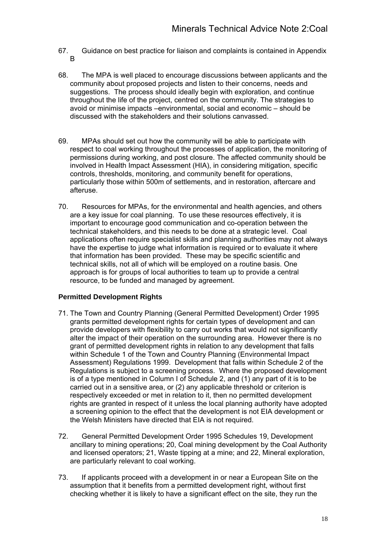- 67. Guidance on best practice for liaison and complaints is contained in Appendix <sub>R</sub>
- 68. The MPA is well placed to encourage discussions between applicants and the community about proposed projects and listen to their concerns, needs and suggestions. The process should ideally begin with exploration, and continue throughout the life of the project, centred on the community. The strategies to avoid or minimise impacts –environmental, social and economic – should be discussed with the stakeholders and their solutions canvassed.
- 69. MPAs should set out how the community will be able to participate with respect to coal working throughout the processes of application, the monitoring of permissions during working, and post closure. The affected community should be involved in Health Impact Assessment (HIA), in considering mitigation, specific controls, thresholds, monitoring, and community benefit for operations, particularly those within 500m of settlements, and in restoration, aftercare and afteruse.
- 70. Resources for MPAs, for the environmental and health agencies, and others are a key issue for coal planning. To use these resources effectively, it is important to encourage good communication and co-operation between the technical stakeholders, and this needs to be done at a strategic level. Coal applications often require specialist skills and planning authorities may not always have the expertise to judge what information is required or to evaluate it where that information has been provided. These may be specific scientific and technical skills, not all of which will be employed on a routine basis. One approach is for groups of local authorities to team up to provide a central resource, to be funded and managed by agreement.

# **Permitted Development Rights**

- 71. The Town and Country Planning (General Permitted Development) Order 1995 grants permitted development rights for certain types of development and can provide developers with flexibility to carry out works that would not significantly alter the impact of their operation on the surrounding area. However there is no grant of permitted development rights in relation to any development that falls within Schedule 1 of the Town and Country Planning (Environmental Impact Assessment) Regulations 1999. Development that falls within Schedule 2 of the Regulations is subject to a screening process. Where the proposed development is of a type mentioned in Column I of Schedule 2, and (1) any part of it is to be carried out in a sensitive area, or (2) any applicable threshold or criterion is respectively exceeded or met in relation to it, then no permitted development rights are granted in respect of it unless the local planning authority have adopted a screening opinion to the effect that the development is not EIA development or the Welsh Ministers have directed that EIA is not required.
- 72. General Permitted Development Order 1995 Schedules 19, Development ancillary to mining operations; 20, Coal mining development by the Coal Authority and licensed operators; 21, Waste tipping at a mine; and 22, Mineral exploration, are particularly relevant to coal working.
- 73. If applicants proceed with a development in or near a European Site on the assumption that it benefits from a permitted development right, without first checking whether it is likely to have a significant effect on the site, they run the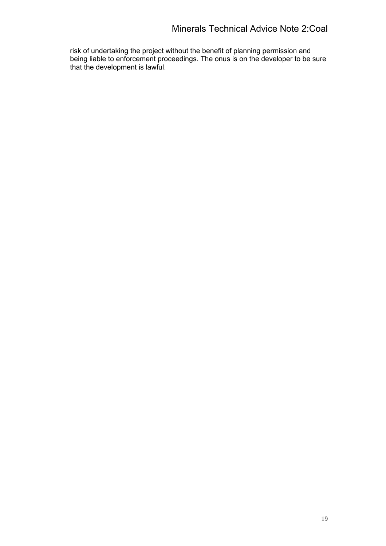risk of undertaking the project without the benefit of planning permission and being liable to enforcement proceedings. The onus is on the developer to be sure that the development is lawful.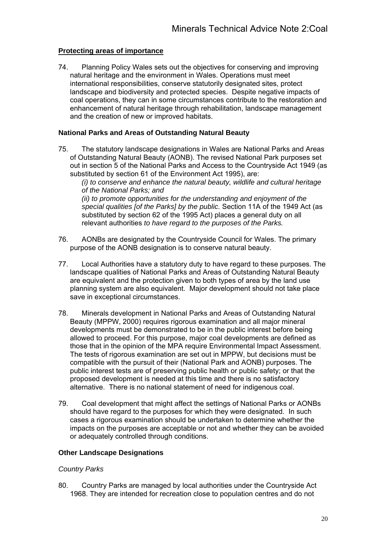# **Protecting areas of importance**

74. Planning Policy Wales sets out the objectives for conserving and improving natural heritage and the environment in Wales. Operations must meet international responsibilities, conserve statutorily designated sites, protect landscape and biodiversity and protected species. Despite negative impacts of coal operations, they can in some circumstances contribute to the restoration and enhancement of natural heritage through rehabilitation, landscape management and the creation of new or improved habitats.

# **National Parks and Areas of Outstanding Natural Beauty**

75. The statutory landscape designations in Wales are National Parks and Areas of Outstanding Natural Beauty (AONB). The revised National Park purposes set out in section 5 of the National Parks and Access to the Countryside Act 1949 (as substituted by section 61 of the Environment Act 1995), are:

*(i) to conserve and enhance the natural beauty, wildlife and cultural heritage of the National Parks; and (ii) to promote opportunities for the understanding and enjoyment of the* 

*special qualities [of the Parks] by the public.* Section 11A of the 1949 Act (as substituted by section 62 of the 1995 Act) places a general duty on all relevant authorities *to have regard to the purposes of the Parks.*

- 76. AONBs are designated by the Countryside Council for Wales. The primary purpose of the AONB designation is to conserve natural beauty.
- 77. Local Authorities have a statutory duty to have regard to these purposes. The landscape qualities of National Parks and Areas of Outstanding Natural Beauty are equivalent and the protection given to both types of area by the land use planning system are also equivalent. Major development should not take place save in exceptional circumstances.
- 78. Minerals development in National Parks and Areas of Outstanding Natural Beauty (MPPW, 2000) requires rigorous examination and all major mineral developments must be demonstrated to be in the public interest before being allowed to proceed. For this purpose, major coal developments are defined as those that in the opinion of the MPA require Environmental Impact Assessment. The tests of rigorous examination are set out in MPPW, but decisions must be compatible with the pursuit of their (National Park and AONB) purposes. The public interest tests are of preserving public health or public safety; or that the proposed development is needed at this time and there is no satisfactory alternative. There is no national statement of need for indigenous coal.
- 79. Coal development that might affect the settings of National Parks or AONBs should have regard to the purposes for which they were designated. In such cases a rigorous examination should be undertaken to determine whether the impacts on the purposes are acceptable or not and whether they can be avoided or adequately controlled through conditions.

## **Other Landscape Designations**

## *Country Parks*

80. Country Parks are managed by local authorities under the Countryside Act 1968. They are intended for recreation close to population centres and do not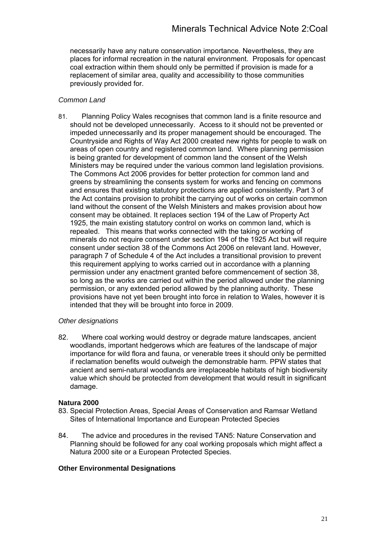necessarily have any nature conservation importance. Nevertheless, they are places for informal recreation in the natural environment. Proposals for opencast coal extraction within them should only be permitted if provision is made for a replacement of similar area, quality and accessibility to those communities previously provided for.

# *Common Land*

81. Planning Policy Wales recognises that common land is a finite resource and should not be developed unnecessarily. Access to it should not be prevented or impeded unnecessarily and its proper management should be encouraged. The Countryside and Rights of Way Act 2000 created new rights for people to walk on areas of open country and registered common land. Where planning permission is being granted for development of common land the consent of the Welsh Ministers may be required under the various common land legislation provisions. The Commons Act 2006 provides for better protection for common land and greens by streamlining the consents system for works and fencing on commons and ensures that existing statutory protections are applied consistently. Part 3 of the Act contains provision to prohibit the carrying out of works on certain common land without the consent of the Welsh Ministers and makes provision about how consent may be obtained. It replaces section 194 of the Law of Property Act 1925, the main existing statutory control on works on common land, which is repealed. This means that works connected with the taking or working of minerals do not require consent under section 194 of the 1925 Act but will require consent under section 38 of the Commons Act 2006 on relevant land. However, paragraph 7 of Schedule 4 of the Act includes a transitional provision to prevent this requirement applying to works carried out in accordance with a planning permission under any enactment granted before commencement of section 38, so long as the works are carried out within the period allowed under the planning permission, or any extended period allowed by the planning authority. These provisions have not yet been brought into force in relation to Wales, however it is intended that they will be brought into force in 2009.

## *Other designations*

82. Where coal working would destroy or degrade mature landscapes, ancient woodlands, important hedgerows which are features of the landscape of major importance for wild flora and fauna, or venerable trees it should only be permitted if reclamation benefits would outweigh the demonstrable harm. PPW states that ancient and semi-natural woodlands are irreplaceable habitats of high biodiversity value which should be protected from development that would result in significant damage.

## **Natura 2000**

- 83. Special Protection Areas, Special Areas of Conservation and Ramsar Wetland Sites of International Importance and European Protected Species
- 84. The advice and procedures in the revised TAN5: Nature Conservation and Planning should be followed for any coal working proposals which might affect a Natura 2000 site or a European Protected Species.

## **Other Environmental Designations**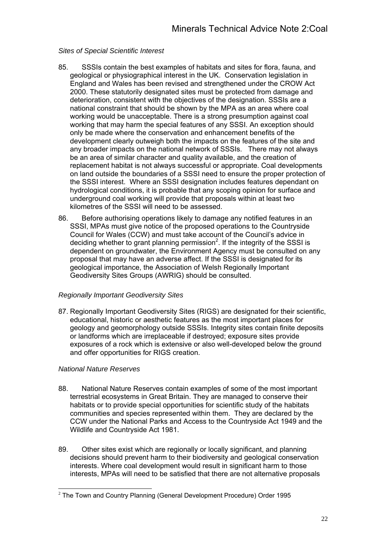## *Sites of Special Scientific Interest*

- 85. SSSIs contain the best examples of habitats and sites for flora, fauna, and geological or physiographical interest in the UK. Conservation legislation in England and Wales has been revised and strengthened under the CROW Act 2000. These statutorily designated sites must be protected from damage and deterioration, consistent with the objectives of the designation. SSSIs are a national constraint that should be shown by the MPA as an area where coal working would be unacceptable. There is a strong presumption against coal working that may harm the special features of any SSSI. An exception should only be made where the conservation and enhancement benefits of the development clearly outweigh both the impacts on the features of the site and any broader impacts on the national network of SSSIs. There may not always be an area of similar character and quality available, and the creation of replacement habitat is not always successful or appropriate. Coal developments on land outside the boundaries of a SSSI need to ensure the proper protection of the SSSI interest. Where an SSSI designation includes features dependant on hydrological conditions, it is probable that any scoping opinion for surface and underground coal working will provide that proposals within at least two kilometres of the SSSI will need to be assessed.
- 86. Before authorising operations likely to damage any notified features in an SSSI, MPAs must give notice of the proposed operations to the Countryside Council for Wales (CCW) and must take account of the Council's advice in deciding whether to grant planning permission<sup>2</sup>. If the integrity of the SSSI is dependent on groundwater, the Environment Agency must be consulted on any proposal that may have an adverse affect. If the SSSI is designated for its geological importance, the Association of Welsh Regionally Important Geodiversity Sites Groups (AWRIG) should be consulted.

# *Regionally Important Geodiversity Sites*

87. Regionally Important Geodiversity Sites (RIGS) are designated for their scientific, educational, historic or aesthetic features as the most important places for geology and geomorphology outside SSSIs. Integrity sites contain finite deposits or landforms which are irreplaceable if destroyed; exposure sites provide exposures of a rock which is extensive or also well-developed below the ground and offer opportunities for RIGS creation.

# *National Nature Reserves*

l

- 88. National Nature Reserves contain examples of some of the most important terrestrial ecosystems in Great Britain. They are managed to conserve their habitats or to provide special opportunities for scientific study of the habitats communities and species represented within them. They are declared by the CCW under the National Parks and Access to the Countryside Act 1949 and the Wildlife and Countryside Act 1981.
- 89. Other sites exist which are regionally or locally significant, and planning decisions should prevent harm to their biodiversity and geological conservation interests. Where coal development would result in significant harm to those interests, MPAs will need to be satisfied that there are not alternative proposals

 $^2$  The Town and Country Planning (General Development Procedure) Order 1995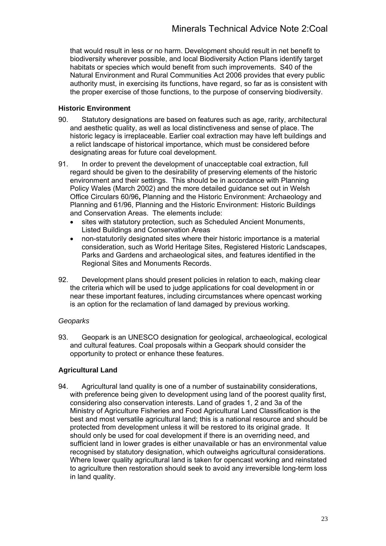that would result in less or no harm. Development should result in net benefit to biodiversity wherever possible, and local Biodiversity Action Plans identify target habitats or species which would benefit from such improvements. S40 of the Natural Environment and Rural Communities Act 2006 provides that every public authority must, in exercising its functions, have regard, so far as is consistent with the proper exercise of those functions, to the purpose of conserving biodiversity.

# **Historic Environment**

- 90. Statutory designations are based on features such as age, rarity, architectural and aesthetic quality, as well as local distinctiveness and sense of place. The historic legacy is irreplaceable. Earlier coal extraction may have left buildings and a relict landscape of historical importance, which must be considered before designating areas for future coal development.
- 91. In order to prevent the development of unacceptable coal extraction, full regard should be given to the desirability of preserving elements of the historic environment and their settings. This should be in accordance with Planning Policy Wales (March 2002) and the more detailed guidance set out in Welsh Office Circulars 60/96**,** Planning and the Historic Environment: Archaeology and Planning and 61/96, Planning and the Historic Environment: Historic Buildings and Conservation Areas. The elements include:
	- sites with statutory protection, such as Scheduled Ancient Monuments, Listed Buildings and Conservation Areas
	- non-statutorily designated sites where their historic importance is a material consideration, such as World Heritage Sites, Registered Historic Landscapes, Parks and Gardens and archaeological sites, and features identified in the Regional Sites and Monuments Records.
- 92. Development plans should present policies in relation to each, making clear the criteria which will be used to judge applications for coal development in or near these important features, including circumstances where opencast working is an option for the reclamation of land damaged by previous working.

# *Geoparks*

93. Geopark is an UNESCO designation for geological, archaeological, ecological and cultural features. Coal proposals within a Geopark should consider the opportunity to protect or enhance these features.

# **Agricultural Land**

94. Agricultural land quality is one of a number of sustainability considerations, with preference being given to development using land of the poorest quality first, considering also conservation interests. Land of grades 1, 2 and 3a of the Ministry of Agriculture Fisheries and Food Agricultural Land Classification is the best and most versatile agricultural land; this is a national resource and should be protected from development unless it will be restored to its original grade. It should only be used for coal development if there is an overriding need, and sufficient land in lower grades is either unavailable or has an environmental value recognised by statutory designation, which outweighs agricultural considerations. Where lower quality agricultural land is taken for opencast working and reinstated to agriculture then restoration should seek to avoid any irreversible long-term loss in land quality.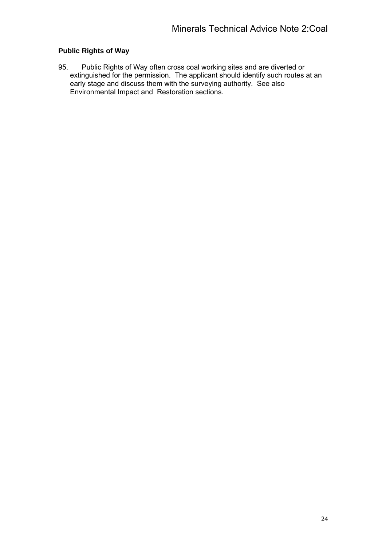# **Public Rights of Way**

95. Public Rights of Way often cross coal working sites and are diverted or extinguished for the permission. The applicant should identify such routes at an early stage and discuss them with the surveying authority. See also Environmental Impact and Restoration sections.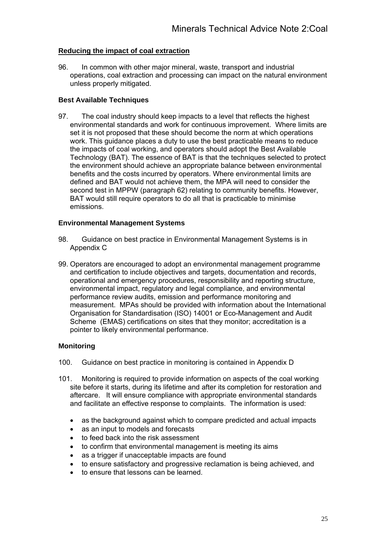# **Reducing the impact of coal extraction**

96. In common with other major mineral, waste, transport and industrial operations, coal extraction and processing can impact on the natural environment unless properly mitigated.

# **Best Available Techniques**

97. The coal industry should keep impacts to a level that reflects the highest environmental standards and work for continuous improvement. Where limits are set it is not proposed that these should become the norm at which operations work. This guidance places a duty to use the best practicable means to reduce the impacts of coal working, and operators should adopt the Best Available Technology (BAT). The essence of BAT is that the techniques selected to protect the environment should achieve an appropriate balance between environmental benefits and the costs incurred by operators. Where environmental limits are defined and BAT would not achieve them, the MPA will need to consider the second test in MPPW (paragraph 62) relating to community benefits. However, BAT would still require operators to do all that is practicable to minimise emissions.

# **Environmental Management Systems**

- 98. Guidance on best practice in Environmental Management Systems is in Appendix C
- 99. Operators are encouraged to adopt an environmental management programme and certification to include objectives and targets, documentation and records, operational and emergency procedures, responsibility and reporting structure, environmental impact, regulatory and legal compliance, and environmental performance review audits, emission and performance monitoring and measurement. MPAs should be provided with information about the International Organisation for Standardisation (ISO) 14001 or Eco-Management and Audit Scheme (EMAS) certifications on sites that they monitor; accreditation is a pointer to likely environmental performance.

# **Monitoring**

- 100. Guidance on best practice in monitoring is contained in Appendix D
- 101. Monitoring is required to provide information on aspects of the coal working site before it starts, during its lifetime and after its completion for restoration and aftercare. It will ensure compliance with appropriate environmental standards and facilitate an effective response to complaints. The information is used:
	- as the background against which to compare predicted and actual impacts
	- as an input to models and forecasts
	- to feed back into the risk assessment
	- to confirm that environmental management is meeting its aims
	- as a trigger if unacceptable impacts are found
	- to ensure satisfactory and progressive reclamation is being achieved, and
	- to ensure that lessons can be learned.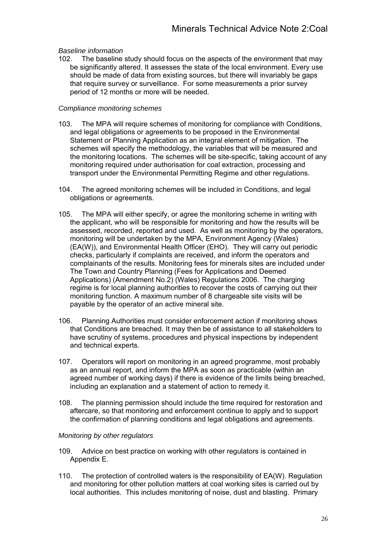## *Baseline information*

102. The baseline study should focus on the aspects of the environment that may be significantly altered. It assesses the state of the local environment. Every use should be made of data from existing sources, but there will invariably be gaps that require survey or surveillance. For some measurements a prior survey period of 12 months or more will be needed.

#### *Compliance monitoring schemes*

- 103. The MPA will require schemes of monitoring for compliance with Conditions, and legal obligations or agreements to be proposed in the Environmental Statement or Planning Application as an integral element of mitigation. The schemes will specify the methodology, the variables that will be measured and the monitoring locations. The schemes will be site-specific, taking account of any monitoring required under authorisation for coal extraction, processing and transport under the Environmental Permitting Regime and other regulations.
- 104. The agreed monitoring schemes will be included in Conditions, and legal obligations or agreements.
- 105. The MPA will either specify, or agree the monitoring scheme in writing with the applicant, who will be responsible for monitoring and how the results will be assessed, recorded, reported and used. As well as monitoring by the operators, monitoring will be undertaken by the MPA, Environment Agency (Wales) (EA(W)), and Environmental Health Officer (EHO). They will carry out periodic checks, particularly if complaints are received, and inform the operators and complainants of the results. Monitoring fees for minerals sites are included under The Town and Country Planning (Fees for Applications and Deemed Applications) (Amendment No.2) (Wales) Regulations 2006. The charging regime is for local planning authorities to recover the costs of carrying out their monitoring function. A maximum number of 8 chargeable site visits will be payable by the operator of an active mineral site.
- 106. Planning Authorities must consider enforcement action if monitoring shows that Conditions are breached. It may then be of assistance to all stakeholders to have scrutiny of systems, procedures and physical inspections by independent and technical experts.
- 107. Operators will report on monitoring in an agreed programme, most probably as an annual report, and inform the MPA as soon as practicable (within an agreed number of working days) if there is evidence of the limits being breached, including an explanation and a statement of action to remedy it.
- 108. The planning permission should include the time required for restoration and aftercare, so that monitoring and enforcement continue to apply and to support the confirmation of planning conditions and legal obligations and agreements.

#### *Monitoring by other regulators*

- 109. Advice on best practice on working with other regulators is contained in Appendix E.
- 110. The protection of controlled waters is the responsibility of EA(W). Regulation and monitoring for other pollution matters at coal working sites is carried out by local authorities. This includes monitoring of noise, dust and blasting. Primary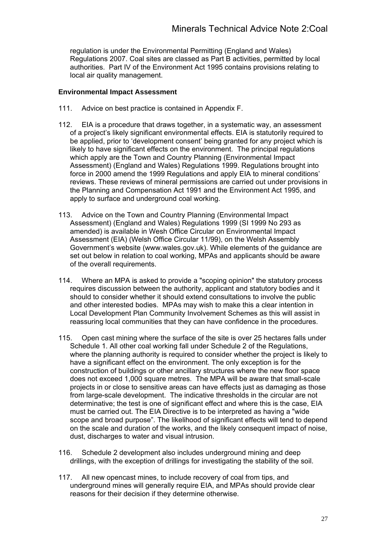regulation is under the Environmental Permitting (England and Wales) Regulations 2007. Coal sites are classed as Part B activities, permitted by local authorities. Part IV of the Environment Act 1995 contains provisions relating to local air quality management.

# **Environmental Impact Assessment**

- 111. Advice on best practice is contained in Appendix F.
- 112. EIA is a procedure that draws together, in a systematic way, an assessment of a project's likely significant environmental effects. EIA is statutorily required to be applied, prior to 'development consent' being granted for any project which is likely to have significant effects on the environment. The principal regulations which apply are the Town and Country Planning (Environmental Impact Assessment) (England and Wales) Regulations 1999. Regulations brought into force in 2000 amend the 1999 Regulations and apply EIA to mineral conditions' reviews. These reviews of mineral permissions are carried out under provisions in the Planning and Compensation Act 1991 and the Environment Act 1995, and apply to surface and underground coal working.
- 113. Advice on the Town and Country Planning (Environmental Impact Assessment) (England and Wales) Regulations 1999 (SI 1999 No 293 as amended) is available in Wesh Office Circular on Environmental Impact Assessment (EIA) (Welsh Office Circular 11/99), on the Welsh Assembly Government's website (www.wales.gov.uk). While elements of the guidance are set out below in relation to coal working, MPAs and applicants should be aware of the overall requirements.
- 114. Where an MPA is asked to provide a "scoping opinion" the statutory process requires discussion between the authority, applicant and statutory bodies and it should to consider whether it should extend consultations to involve the public and other interested bodies. MPAs may wish to make this a clear intention in Local Development Plan Community Involvement Schemes as this will assist in reassuring local communities that they can have confidence in the procedures.
- 115. Open cast mining where the surface of the site is over 25 hectares falls under Schedule 1. All other coal working fall under Schedule 2 of the Regulations, where the planning authority is required to consider whether the project is likely to have a significant effect on the environment. The only exception is for the construction of buildings or other ancillary structures where the new floor space does not exceed 1,000 square metres. The MPA will be aware that small-scale projects in or close to sensitive areas can have effects just as damaging as those from large-scale development. The indicative thresholds in the circular are not determinative; the test is one of significant effect and where this is the case, EIA must be carried out. The EIA Directive is to be interpreted as having a "wide scope and broad purpose". The likelihood of significant effects will tend to depend on the scale and duration of the works, and the likely consequent impact of noise, dust, discharges to water and visual intrusion.
- 116. Schedule 2 development also includes underground mining and deep drillings, with the exception of drillings for investigating the stability of the soil.
- 117. All new opencast mines, to include recovery of coal from tips, and underground mines will generally require EIA, and MPAs should provide clear reasons for their decision if they determine otherwise.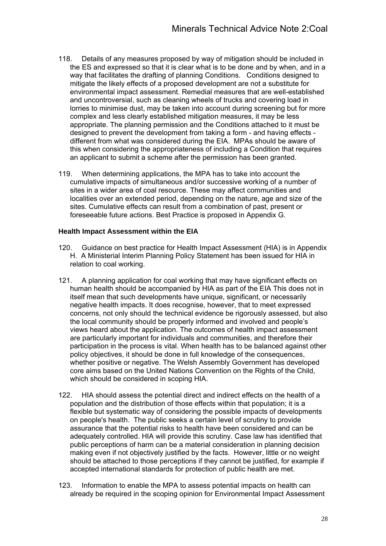- 118. Details of any measures proposed by way of mitigation should be included in the ES and expressed so that it is clear what is to be done and by when, and in a way that facilitates the drafting of planning Conditions. Conditions designed to mitigate the likely effects of a proposed development are not a substitute for environmental impact assessment. Remedial measures that are well-established and uncontroversial, such as cleaning wheels of trucks and covering load in lorries to minimise dust, may be taken into account during screening but for more complex and less clearly established mitigation measures, it may be less appropriate. The planning permission and the Conditions attached to it must be designed to prevent the development from taking a form - and having effects different from what was considered during the EIA. MPAs should be aware of this when considering the appropriateness of including a Condition that requires an applicant to submit a scheme after the permission has been granted.
- 119. When determining applications, the MPA has to take into account the cumulative impacts of simultaneous and/or successive working of a number of sites in a wider area of coal resource. These may affect communities and localities over an extended period, depending on the nature, age and size of the sites. Cumulative effects can result from a combination of past, present or foreseeable future actions. Best Practice is proposed in Appendix G.

## **Health Impact Assessment within the EIA**

- 120. Guidance on best practice for Health Impact Assessment (HIA) is in Appendix H. A Ministerial Interim Planning Policy Statement has been issued for HIA in relation to coal working.
- 121. A planning application for coal working that may have significant effects on human health should be accompanied by HIA as part of the EIA This does not in itself mean that such developments have unique, significant, or necessarily negative health impacts. It does recognise, however, that to meet expressed concerns, not only should the technical evidence be rigorously assessed, but also the local community should be properly informed and involved and people's views heard about the application. The outcomes of health impact assessment are particularly important for individuals and communities, and therefore their participation in the process is vital. When health has to be balanced against other policy objectives, it should be done in full knowledge of the consequences, whether positive or negative. The Welsh Assembly Government has developed core aims based on the United Nations Convention on the Rights of the Child, which should be considered in scoping HIA.
- 122. HIA should assess the potential direct and indirect effects on the health of a population and the distribution of those effects within that population; it is a flexible but systematic way of considering the possible impacts of developments on people's health. The public seeks a certain level of scrutiny to provide assurance that the potential risks to health have been considered and can be adequately controlled. HIA will provide this scrutiny. Case law has identified that public perceptions of harm can be a material consideration in planning decision making even if not objectively justified by the facts. However, little or no weight should be attached to those perceptions if they cannot be justified, for example if accepted international standards for protection of public health are met.
- 123. Information to enable the MPA to assess potential impacts on health can already be required in the scoping opinion for Environmental Impact Assessment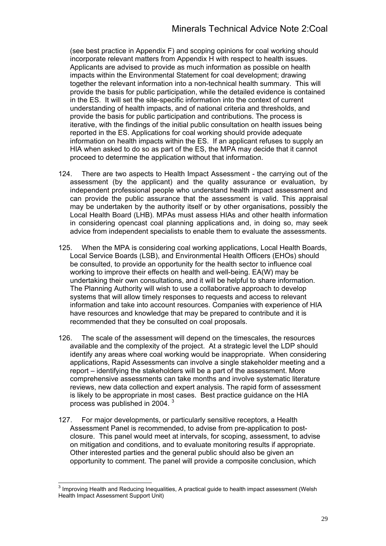(see best practice in Appendix F) and scoping opinions for coal working should incorporate relevant matters from Appendix H with respect to health issues. Applicants are advised to provide as much information as possible on health impacts within the Environmental Statement for coal development; drawing together the relevant information into a non-technical health summary. This will provide the basis for public participation, while the detailed evidence is contained in the ES. It will set the site-specific information into the context of current understanding of health impacts, and of national criteria and thresholds, and provide the basis for public participation and contributions. The process is iterative, with the findings of the initial public consultation on health issues being reported in the ES. Applications for coal working should provide adequate information on health impacts within the ES. If an applicant refuses to supply an HIA when asked to do so as part of the ES, the MPA may decide that it cannot proceed to determine the application without that information.

- 124. There are two aspects to Health Impact Assessment the carrying out of the assessment (by the applicant) and the quality assurance or evaluation, by independent professional people who understand health impact assessment and can provide the public assurance that the assessment is valid. This appraisal may be undertaken by the authority itself or by other organisations, possibly the Local Health Board (LHB). MPAs must assess HIAs and other health information in considering opencast coal planning applications and, in doing so, may seek advice from independent specialists to enable them to evaluate the assessments.
- 125. When the MPA is considering coal working applications, Local Health Boards, Local Service Boards (LSB), and Environmental Health Officers (EHOs) should be consulted, to provide an opportunity for the health sector to influence coal working to improve their effects on health and well-being. EA(W) may be undertaking their own consultations, and it will be helpful to share information. The Planning Authority will wish to use a collaborative approach to develop systems that will allow timely responses to requests and access to relevant information and take into account resources. Companies with experience of HIA have resources and knowledge that may be prepared to contribute and it is recommended that they be consulted on coal proposals.
- 126. The scale of the assessment will depend on the timescales, the resources available and the complexity of the project. At a strategic level the LDP should identify any areas where coal working would be inappropriate. When considering applications, Rapid Assessments can involve a single stakeholder meeting and a report – identifying the stakeholders will be a part of the assessment. More comprehensive assessments can take months and involve systematic literature reviews, new data collection and expert analysis. The rapid form of assessment is likely to be appropriate in most cases. Best practice guidance on the HIA process was published in 2004.  $3$
- 127. For major developments, or particularly sensitive receptors, a Health Assessment Panel is recommended, to advise from pre-application to postclosure. This panel would meet at intervals, for scoping, assessment, to advise on mitigation and conditions, and to evaluate monitoring results if appropriate. Other interested parties and the general public should also be given an opportunity to comment. The panel will provide a composite conclusion, which

 3 Improving Health and Reducing Inequalities, A practical guide to health impact assessment (Welsh Health Impact Assessment Support Unit)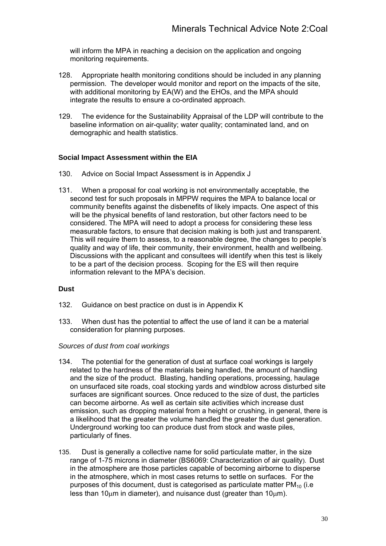will inform the MPA in reaching a decision on the application and ongoing monitoring requirements.

- 128. Appropriate health monitoring conditions should be included in any planning permission. The developer would monitor and report on the impacts of the site, with additional monitoring by EA(W) and the EHOs, and the MPA should integrate the results to ensure a co-ordinated approach.
- 129. The evidence for the Sustainability Appraisal of the LDP will contribute to the baseline information on air-quality; water quality; contaminated land, and on demographic and health statistics.

## **Social Impact Assessment within the EIA**

- 130. Advice on Social Impact Assessment is in Appendix J
- 131. When a proposal for coal working is not environmentally acceptable, the second test for such proposals in MPPW requires the MPA to balance local or community benefits against the disbenefits of likely impacts. One aspect of this will be the physical benefits of land restoration, but other factors need to be considered. The MPA will need to adopt a process for considering these less measurable factors, to ensure that decision making is both just and transparent. This will require them to assess, to a reasonable degree, the changes to people's quality and way of life, their community, their environment, health and wellbeing. Discussions with the applicant and consultees will identify when this test is likely to be a part of the decision process. Scoping for the ES will then require information relevant to the MPA's decision.

# **Dust**

- 132. Guidance on best practice on dust is in Appendix K
- 133. When dust has the potential to affect the use of land it can be a material consideration for planning purposes.

#### *Sources of dust from coal workings*

- 134. The potential for the generation of dust at surface coal workings is largely related to the hardness of the materials being handled, the amount of handling and the size of the product. Blasting, handling operations, processing, haulage on unsurfaced site roads, coal stocking yards and windblow across disturbed site surfaces are significant sources. Once reduced to the size of dust, the particles can become airborne. As well as certain site activities which increase dust emission, such as dropping material from a height or crushing, in general, there is a likelihood that the greater the volume handled the greater the dust generation. Underground working too can produce dust from stock and waste piles, particularly of fines.
- 135. Dust is generally a collective name for solid particulate matter, in the size range of 1-75 microns in diameter (BS6069: Characterization of air quality). Dust in the atmosphere are those particles capable of becoming airborne to disperse in the atmosphere, which in most cases returns to settle on surfaces. For the purposes of this document, dust is categorised as particulate matter  $PM_{10}$  (i.e less than 10μm in diameter), and nuisance dust (greater than 10μm).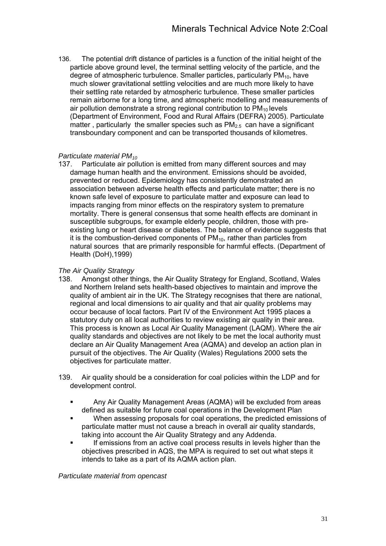136. The potential drift distance of particles is a function of the initial height of the particle above ground level, the terminal settling velocity of the particle, and the degree of atmospheric turbulence. Smaller particles, particularly  $PM_{10}$ , have much slower gravitational settling velocities and are much more likely to have their settling rate retarded by atmospheric turbulence. These smaller particles remain airborne for a long time, and atmospheric modelling and measurements of air pollution demonstrate a strong regional contribution to  $PM_{10}$  levels (Department of Environment, Food and Rural Affairs (DEFRA) 2005). Particulate matter, particularly the smaller species such as  $PM<sub>2.5</sub>$  can have a significant transboundary component and can be transported thousands of kilometres.

## *Particulate material PM10*

137. Particulate air pollution is emitted from many different sources and may damage human health and the environment. Emissions should be avoided, prevented or reduced. Epidemiology has consistently demonstrated an association between adverse health effects and particulate matter; there is no known safe level of exposure to particulate matter and exposure can lead to impacts ranging from minor effects on the respiratory system to premature mortality. There is general consensus that some health effects are dominant in susceptible subgroups, for example elderly people, children, those with preexisting lung or heart disease or diabetes. The balance of evidence suggests that it is the combustion-derived components of PM<sub>10</sub>, rather than particles from natural sources that are primarily responsible for harmful effects. (Department of Health (DoH),1999)

# *The Air Quality Strategy*

- 138. Amongst other things, the Air Quality Strategy for England, Scotland, Wales and Northern Ireland sets health-based objectives to maintain and improve the quality of ambient air in the UK. The Strategy recognises that there are national, regional and local dimensions to air quality and that air quality problems may occur because of local factors. Part IV of the Environment Act 1995 places a statutory duty on all local authorities to review existing air quality in their area. This process is known as Local Air Quality Management (LAQM). Where the air quality standards and objectives are not likely to be met the local authority must declare an Air Quality Management Area (AQMA) and develop an action plan in pursuit of the objectives. The Air Quality (Wales) Regulations 2000 sets the objectives for particulate matter.
- 139. Air quality should be a consideration for coal policies within the LDP and for development control.
	- Any Air Quality Management Areas (AQMA) will be excluded from areas defined as suitable for future coal operations in the Development Plan
	- When assessing proposals for coal operations, the predicted emissions of particulate matter must not cause a breach in overall air quality standards, taking into account the Air Quality Strategy and any Addenda.
	- If emissions from an active coal process results in levels higher than the objectives prescribed in AQS, the MPA is required to set out what steps it intends to take as a part of its AQMA action plan.

*Particulate material from opencast*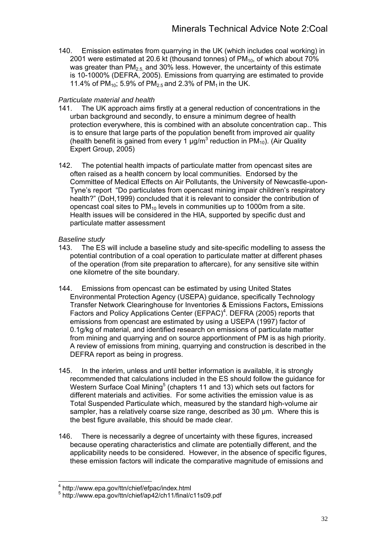140. Emission estimates from quarrying in the UK (which includes coal working) in 2001 were estimated at 20.6 kt (thousand tonnes) of  $PM_{10}$ , of which about 70% was greater than  $PM<sub>2.5</sub>$  and 30% less. However, the uncertainty of this estimate is 10-1000% (DEFRA, 2005). Emissions from quarrying are estimated to provide 11.4% of PM<sub>10</sub>: 5.9% of PM<sub>2.5</sub> and 2.3% of PM<sub>1</sub> in the UK.

# *Particulate material and health*

- 141. The UK approach aims firstly at a general reduction of concentrations in the urban background and secondly, to ensure a minimum degree of health protection everywhere, this is combined with an absolute concentration cap.. This is to ensure that large parts of the population benefit from improved air quality (health benefit is gained from every 1  $\mu$ g/m<sup>3</sup> reduction in PM<sub>10</sub>). (Air Quality Expert Group, 2005)
- 142. The potential health impacts of particulate matter from opencast sites are often raised as a health concern by local communities. Endorsed by the Committee of Medical Effects on Air Pollutants, the University of Newcastle-upon-Tyne's report "Do particulates from opencast mining impair children's respiratory health?" (DoH,1999) concluded that it is relevant to consider the contribution of opencast coal sites to  $PM_{10}$  levels in communities up to 1000m from a site. Health issues will be considered in the HIA, supported by specific dust and particulate matter assessment

# *Baseline study*

- 143. The ES will include a baseline study and site-specific modelling to assess the potential contribution of a coal operation to particulate matter at different phases of the operation (from site preparation to aftercare), for any sensitive site within one kilometre of the site boundary.
- 144. Emissions from opencast can be estimated by using United States Environmental Protection Agency (USEPA) guidance, specifically Technology Transfer Network Clearinghouse for Inventories & Emissions Factors**,** Emissions Factors and Policy Applications Center (EFPAC)<sup>4</sup>. DEFRA (2005) reports that emissions from opencast are estimated by using a USEPA (1997) factor of 0.1g/kg of material, and identified research on emissions of particulate matter from mining and quarrying and on source apportionment of PM is as high priority. A review of emissions from mining, quarrying and construction is described in the DEFRA report as being in progress.
- 145. In the interim, unless and until better information is available, it is strongly recommended that calculations included in the ES should follow the guidance for Western Surface Coal Mining<sup>5</sup> (chapters 11 and 13) which sets out factors for different materials and activities. For some activities the emission value is as Total Suspended Particulate which, measured by the standard high-volume air sampler, has a relatively coarse size range, described as 30 µm. Where this is the best figure available, this should be made clear.
- 146. There is necessarily a degree of uncertainty with these figures, increased because operating characteristics and climate are potentially different, and the applicability needs to be considered. However, in the absence of specific figures, these emission factors will indicate the comparative magnitude of emissions and

 4 http://www.epa.gov/ttn/chief/efpac/index.html

<sup>5</sup> http://www.epa.gov/ttn/chief/ap42/ch11/final/c11s09.pdf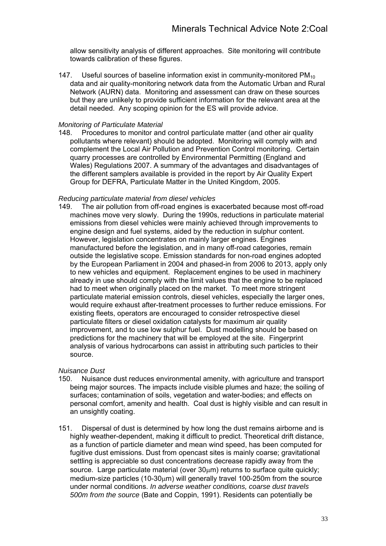allow sensitivity analysis of different approaches. Site monitoring will contribute towards calibration of these figures.

147. Useful sources of baseline information exist in community-monitored  $PM_{10}$ data and air quality-monitoring network data from the Automatic Urban and Rural Network (AURN) data. Monitoring and assessment can draw on these sources but they are unlikely to provide sufficient information for the relevant area at the detail needed. Any scoping opinion for the ES will provide advice.

#### *Monitoring of Particulate Material*

148. Procedures to monitor and control particulate matter (and other air quality pollutants where relevant) should be adopted. Monitoring will comply with and complement the Local Air Pollution and Prevention Control monitoring. Certain quarry processes are controlled by Environmental Permitting (England and Wales) Regulations 2007. A summary of the advantages and disadvantages of the different samplers available is provided in the report by Air Quality Expert Group for DEFRA, Particulate Matter in the United Kingdom, 2005.

#### *Reducing particulate material from diesel vehicles*

149. The air pollution from off-road engines is exacerbated because most off-road machines move very slowly. During the 1990s, reductions in particulate material emissions from diesel vehicles were mainly achieved through improvements to engine design and fuel systems, aided by the reduction in sulphur content. However, legislation concentrates on mainly larger engines. Engines manufactured before the legislation, and in many off-road categories, remain outside the legislative scope. Emission standards for non-road engines adopted by the European Parliament in 2004 and phased-in from 2006 to 2013, apply only to new vehicles and equipment. Replacement engines to be used in machinery already in use should comply with the limit values that the engine to be replaced had to meet when originally placed on the market. To meet more stringent particulate material emission controls, diesel vehicles, especially the larger ones, would require exhaust after-treatment processes to further reduce emissions. For existing fleets, operators are encouraged to consider retrospective diesel particulate filters or diesel oxidation catalysts for maximum air quality improvement, and to use low sulphur fuel. Dust modelling should be based on predictions for the machinery that will be employed at the site. Fingerprint analysis of various hydrocarbons can assist in attributing such particles to their source.

#### *Nuisance Dust*

- 150. Nuisance dust reduces environmental amenity, with agriculture and transport being major sources. The impacts include visible plumes and haze; the soiling of surfaces; contamination of soils, vegetation and water-bodies; and effects on personal comfort, amenity and health. Coal dust is highly visible and can result in an unsightly coating.
- 151. Dispersal of dust is determined by how long the dust remains airborne and is highly weather-dependent, making it difficult to predict. Theoretical drift distance, as a function of particle diameter and mean wind speed, has been computed for fugitive dust emissions. Dust from opencast sites is mainly coarse; gravitational settling is appreciable so dust concentrations decrease rapidly away from the source. Large particulate material (over  $30\mu m$ ) returns to surface quite quickly; medium-size particles (10-30μm) will generally travel 100-250m from the source under normal conditions. *In adverse weather conditions, coarse dust travels 500m from the source* (Bate and Coppin, 1991). Residents can potentially be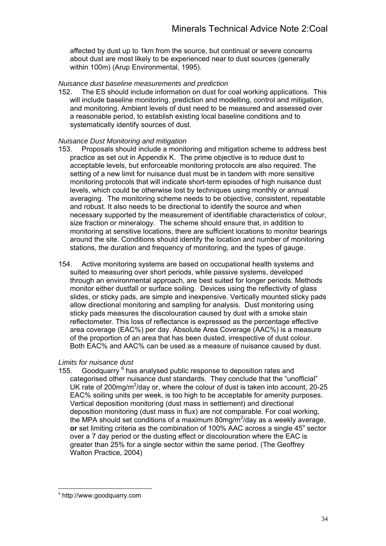affected by dust up to 1km from the source, but continual or severe concerns about dust are most likely to be experienced near to dust sources (generally within 100m) (Arup Environmental, 1995).

#### *Nuisance dust baseline measurements and prediction*

152. The ES should include information on dust for coal working applications. This will include baseline monitoring, prediction and modelling, control and mitigation, and monitoring. Ambient levels of dust need to be measured and assessed over a reasonable period, to establish existing local baseline conditions and to systematically identify sources of dust.

#### *Nuisance Dust Monitoring and mitigation*

- 153. Proposals should include a monitoring and mitigation scheme to address best practice as set out in Appendix K. The prime objective is to reduce dust to acceptable levels, but enforceable monitoring protocols are also required. The setting of a new limit for nuisance dust must be in tandem with more sensitive monitoring protocols that will indicate short-term episodes of high nuisance dust levels, which could be otherwise lost by techniques using monthly or annual averaging. The monitoring scheme needs to be objective, consistent, repeatable and robust. It also needs to be directional to identify the source and when necessary supported by the measurement of identifiable characteristics of colour, size fraction or mineralogy. The scheme should ensure that, in addition to monitoring at sensitive locations, there are sufficient locations to monitor bearings around the site. Conditions should identify the location and number of monitoring stations, the duration and frequency of monitoring, and the types of gauge.
- 154. Active monitoring systems are based on occupational health systems and suited to measuring over short periods, while passive systems, developed through an environmental approach, are best suited for longer periods. Methods monitor either dustfall or surface soiling. Devices using the reflectivity of glass slides, or sticky pads, are simple and inexpensive. Vertically mounted sticky pads allow directional monitoring and sampling for analysis. Dust monitoring using sticky pads measures the discolouration caused by dust with a smoke stain reflectometer. This loss of reflectance is expressed as the percentage effective area coverage (EAC%) per day. Absolute Area Coverage (AAC%) is a measure of the proportion of an area that has been dusted, irrespective of dust colour. Both EAC% and AAC% can be used as a measure of nuisance caused by dust.

## *Limits for nuisance dust*

155. Goodquarry <sup>6</sup> has analysed public response to deposition rates and categorised other nuisance dust standards. They conclude that the "unofficial" UK rate of 200mg/m<sup>2</sup>/day or, where the colour of dust is taken into account, 20-25 EAC% soiling units per week, is too high to be acceptable for amenity purposes. Vertical deposition monitoring (dust mass in settlement) and directional deposition monitoring (dust mass in flux) are not comparable. For coal working, the MPA should set conditions of a maximum 80mg/m<sup>2</sup>/day as a weekly average, or set limiting criteria as the combination of 100% AAC across a single 45° sector over a 7 day period or the dusting effect or discolouration where the EAC is greater than 25% for a single sector within the same period. (The Geoffrey Walton Practice, 2004)

l

<sup>6</sup> http://www.goodquarry.com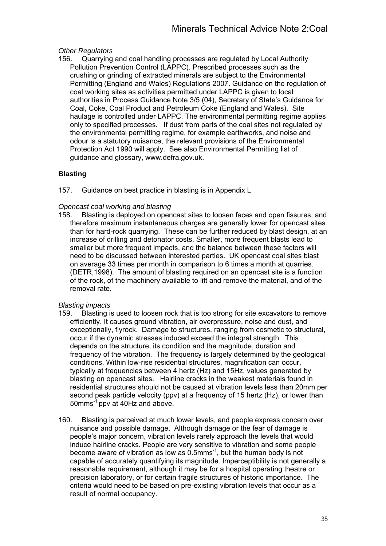## *Other Regulators*

156. Quarrying and coal handling processes are regulated by Local Authority Pollution Prevention Control (LAPPC). Prescribed processes such as the crushing or grinding of extracted minerals are subject to the Environmental Permitting (England and Wales) Regulations 2007. Guidance on the regulation of coal working sites as activities permitted under LAPPC is given to local authorities in Process Guidance Note 3/5 (04), Secretary of State's Guidance for Coal, Coke, Coal Product and Petroleum Coke (England and Wales). Site haulage is controlled under LAPPC. The environmental permitting regime applies only to specified processes. If dust from parts of the coal sites not regulated by the environmental permitting regime, for example earthworks, and noise and odour is a statutory nuisance, the relevant provisions of the Environmental Protection Act 1990 will apply. See also Environmental Permitting list of guidance and glossary, www.defra.gov.uk.

# **Blasting**

157. Guidance on best practice in blasting is in Appendix L

## *Opencast coal working and blasting*

158. Blasting is deployed on opencast sites to loosen faces and open fissures, and therefore maximum instantaneous charges are generally lower for opencast sites than for hard-rock quarrying. These can be further reduced by blast design, at an increase of drilling and detonator costs. Smaller, more frequent blasts lead to smaller but more frequent impacts, and the balance between these factors will need to be discussed between interested parties. UK opencast coal sites blast on average 33 times per month in comparison to 6 times a month at quarries. (DETR,1998). The amount of blasting required on an opencast site is a function of the rock, of the machinery available to lift and remove the material, and of the removal rate.

## *Blasting impacts*

- 159. Blasting is used to loosen rock that is too strong for site excavators to remove efficiently. It causes ground vibration, air overpressure, noise and dust, and exceptionally, flyrock. Damage to structures, ranging from cosmetic to structural, occur if the dynamic stresses induced exceed the integral strength. This depends on the structure, its condition and the magnitude, duration and frequency of the vibration. The frequency is largely determined by the geological conditions. Within low-rise residential structures, magnification can occur, typically at frequencies between 4 hertz (Hz) and 15Hz, values generated by blasting on opencast sites. Hairline cracks in the weakest materials found in residential structures should not be caused at vibration levels less than 20mm per second peak particle velocity (ppv) at a frequency of 15 hertz (Hz), or lower than 50mms-1 ppv at 40Hz and above.
- 160. Blasting is perceived at much lower levels, and people express concern over nuisance and possible damage. Although damage or the fear of damage is people's major concern, vibration levels rarely approach the levels that would induce hairline cracks. People are very sensitive to vibration and some people become aware of vibration as low as  $0.5$ mms<sup>-1</sup>, but the human body is not capable of accurately quantifying its magnitude. Imperceptibility is not generally a reasonable requirement, although it may be for a hospital operating theatre or precision laboratory, or for certain fragile structures of historic importance. The criteria would need to be based on pre-existing vibration levels that occur as a result of normal occupancy.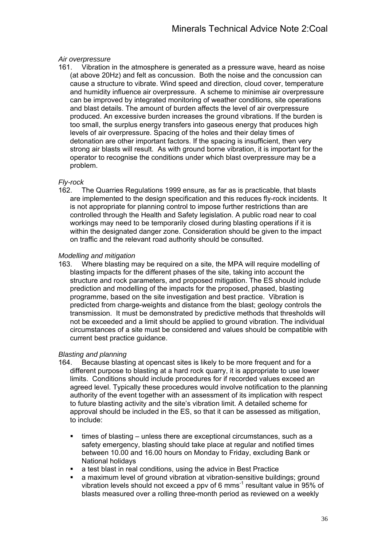# *Air overpressure*

161. Vibration in the atmosphere is generated as a pressure wave, heard as noise (at above 20Hz) and felt as concussion. Both the noise and the concussion can cause a structure to vibrate. Wind speed and direction, cloud cover, temperature and humidity influence air overpressure. A scheme to minimise air overpressure can be improved by integrated monitoring of weather conditions, site operations and blast details. The amount of burden affects the level of air overpressure produced. An excessive burden increases the ground vibrations. If the burden is too small, the surplus energy transfers into gaseous energy that produces high levels of air overpressure. Spacing of the holes and their delay times of detonation are other important factors. If the spacing is insufficient, then very strong air blasts will result. As with ground borne vibration, it is important for the operator to recognise the conditions under which blast overpressure may be a problem.

# *Fly-rock*

162. The Quarries Regulations 1999 ensure, as far as is practicable, that blasts are implemented to the design specification and this reduces fly-rock incidents. It is not appropriate for planning control to impose further restrictions than are controlled through the Health and Safety legislation. A public road near to coal workings may need to be temporarily closed during blasting operations if it is within the designated danger zone. Consideration should be given to the impact on traffic and the relevant road authority should be consulted.

## *Modelling and mitigation*

163. Where blasting may be required on a site, the MPA will require modelling of blasting impacts for the different phases of the site, taking into account the structure and rock parameters, and proposed mitigation. The ES should include prediction and modelling of the impacts for the proposed, phased, blasting programme, based on the site investigation and best practice. Vibration is predicted from charge-weights and distance from the blast; geology controls the transmission. It must be demonstrated by predictive methods that thresholds will not be exceeded and a limit should be applied to ground vibration. The individual circumstances of a site must be considered and values should be compatible with current best practice guidance.

## *Blasting and planning*

- 164. Because blasting at opencast sites is likely to be more frequent and for a different purpose to blasting at a hard rock quarry, it is appropriate to use lower limits. Conditions should include procedures for if recorded values exceed an agreed level. Typically these procedures would involve notification to the planning authority of the event together with an assessment of its implication with respect to future blasting activity and the site's vibration limit. A detailed scheme for approval should be included in the ES, so that it can be assessed as mitigation, to include:
	- times of blasting unless there are exceptional circumstances, such as a safety emergency, blasting should take place at regular and notified times between 10.00 and 16.00 hours on Monday to Friday, excluding Bank or National holidays
	- a test blast in real conditions, using the advice in Best Practice
	- a maximum level of ground vibration at vibration-sensitive buildings; ground vibration levels should not exceed a ppv of 6 mms<sup>-1</sup> resultant value in 95% of blasts measured over a rolling three-month period as reviewed on a weekly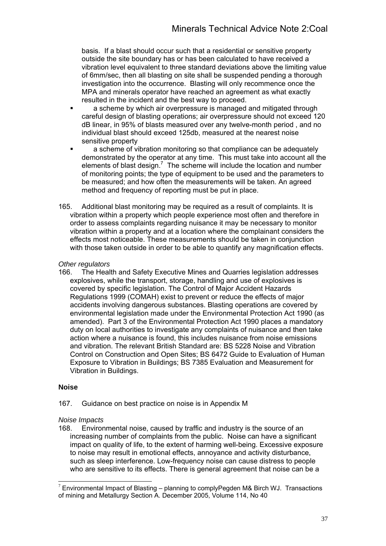basis. If a blast should occur such that a residential or sensitive property outside the site boundary has or has been calculated to have received a vibration level equivalent to three standard deviations above the limiting value of 6mm/sec, then all blasting on site shall be suspended pending a thorough investigation into the occurrence. Blasting will only recommence once the MPA and minerals operator have reached an agreement as what exactly resulted in the incident and the best way to proceed.

- a scheme by which air overpressure is managed and mitigated through careful design of blasting operations; air overpressure should not exceed 120 dB linear, in 95% of blasts measured over any twelve-month period , and no individual blast should exceed 125db, measured at the nearest noise sensitive property
- a scheme of vibration monitoring so that compliance can be adequately demonstrated by the operator at any time. This must take into account all the elements of blast design. $<sup>7</sup>$  The scheme will include the location and number</sup> of monitoring points; the type of equipment to be used and the parameters to be measured; and how often the measurements will be taken. An agreed method and frequency of reporting must be put in place.
- 165. Additional blast monitoring may be required as a result of complaints. It is vibration within a property which people experience most often and therefore in order to assess complaints regarding nuisance it may be necessary to monitor vibration within a property and at a location where the complainant considers the effects most noticeable. These measurements should be taken in conjunction with those taken outside in order to be able to quantify any magnification effects.

## *Other regulators*

166. The Health and Safety Executive Mines and Quarries legislation addresses explosives, while the transport, storage, handling and use of explosives is covered by specific legislation. The Control of Major Accident Hazards Regulations 1999 (COMAH) exist to prevent or reduce the effects of major accidents involving dangerous substances. Blasting operations are covered by environmental legislation made under the Environmental Protection Act 1990 (as amended). Part 3 of the Environmental Protection Act 1990 places a mandatory duty on local authorities to investigate any complaints of nuisance and then take action where a nuisance is found, this includes nuisance from noise emissions and vibration. The relevant British Standard are: BS 5228 Noise and Vibration Control on Construction and Open Sites; BS 6472 Guide to Evaluation of Human Exposure to Vibration in Buildings; BS 7385 Evaluation and Measurement for Vibration in Buildings.

## **Noise**

## 167. Guidance on best practice on noise is in Appendix M

## *Noise Impacts*

168. Environmental noise, caused by traffic and industry is the source of an increasing number of complaints from the public. Noise can have a significant impact on quality of life, to the extent of harming well-being. Excessive exposure to noise may result in emotional effects, annoyance and activity disturbance, such as sleep interference. Low-frequency noise can cause distress to people who are sensitive to its effects. There is general agreement that noise can be a

 $\overline{a}$  $7$  Environmental Impact of Blasting – planning to complyPegden M& Birch WJ. Transactions of mining and Metallurgy Section A. December 2005, Volume 114, No 40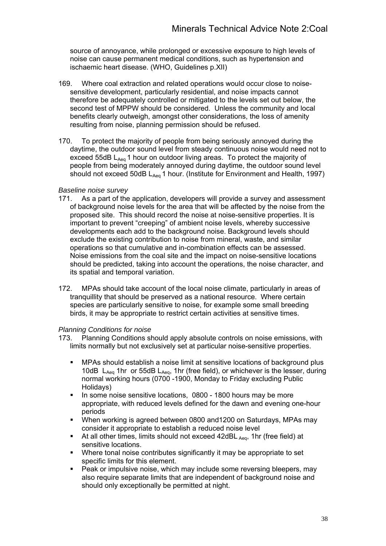source of annoyance, while prolonged or excessive exposure to high levels of noise can cause permanent medical conditions, such as hypertension and ischaemic heart disease. (WHO, Guidelines p.XII)

- 169. Where coal extraction and related operations would occur close to noisesensitive development, particularly residential, and noise impacts cannot therefore be adequately controlled or mitigated to the levels set out below, the second test of MPPW should be considered. Unless the community and local benefits clearly outweigh, amongst other considerations, the loss of amenity resulting from noise, planning permission should be refused.
- 170. To protect the majority of people from being seriously annoyed during the daytime, the outdoor sound level from steady continuous noise would need not to exceed 55dB L<sub>Aeg</sub> 1 hour on outdoor living areas. To protect the majority of people from being moderately annoyed during daytime, the outdoor sound level should not exceed 50dB  $L_{Aeq}$  1 hour. (Institute for Environment and Health, 1997)

## *Baseline noise survey*

- 171. As a part of the application, developers will provide a survey and assessment of background noise levels for the area that will be affected by the noise from the proposed site. This should record the noise at noise-sensitive properties. It is important to prevent "creeping" of ambient noise levels, whereby successive developments each add to the background noise. Background levels should exclude the existing contribution to noise from mineral, waste, and similar operations so that cumulative and in-combination effects can be assessed. Noise emissions from the coal site and the impact on noise-sensitive locations should be predicted, taking into account the operations, the noise character, and its spatial and temporal variation.
- 172. MPAs should take account of the local noise climate, particularly in areas of tranquillity that should be preserved as a national resource. Where certain species are particularly sensitive to noise, for example some small breeding birds, it may be appropriate to restrict certain activities at sensitive times.

## *Planning Conditions for noise*

- 173. Planning Conditions should apply absolute controls on noise emissions, with limits normally but not exclusively set at particular noise-sensitive properties.
	- MPAs should establish a noise limit at sensitive locations of background plus 10dB  $L_{Aeq}$  1hr or 55dB  $L_{Aeq}$ , 1hr (free field), or whichever is the lesser, during normal working hours (0700 -1900, Monday to Friday excluding Public Holidays)
	- In some noise sensitive locations, 0800 1800 hours may be more appropriate, with reduced levels defined for the dawn and evening one-hour periods
	- When working is agreed between 0800 and1200 on Saturdays, MPAs may consider it appropriate to establish a reduced noise level
	- At all other times, limits should not exceed  $42$ dBL  $_{Ae0}$ , 1hr (free field) at sensitive locations.
	- Where tonal noise contributes significantly it may be appropriate to set specific limits for this element.
	- Peak or impulsive noise, which may include some reversing bleepers, may also require separate limits that are independent of background noise and should only exceptionally be permitted at night.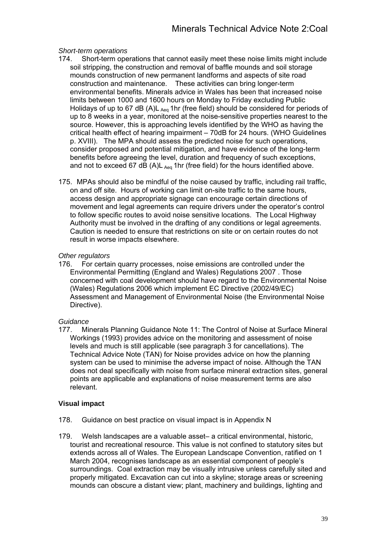#### *Short-term operations*

- 174. Short-term operations that cannot easily meet these noise limits might include soil stripping, the construction and removal of baffle mounds and soil storage mounds construction of new permanent landforms and aspects of site road construction and maintenance. These activities can bring longer-term environmental benefits. Minerals advice in Wales has been that increased noise limits between 1000 and 1600 hours on Monday to Friday excluding Public Holidays of up to 67 dB (A)L  $_{Aeq}$  1hr (free field) should be considered for periods of up to 8 weeks in a year, monitored at the noise-sensitive properties nearest to the source. However, this is approaching levels identified by the WHO as having the critical health effect of hearing impairment – 70dB for 24 hours. (WHO Guidelines p. XVIII). The MPA should assess the predicted noise for such operations, consider proposed and potential mitigation, and have evidence of the long-term benefits before agreeing the level, duration and frequency of such exceptions, and not to exceed 67 dB (A)L  $_{Aeq}$  1hr (free field) for the hours identified above.
- 175. MPAs should also be mindful of the noise caused by traffic, including rail traffic, on and off site. Hours of working can limit on-site traffic to the same hours, access design and appropriate signage can encourage certain directions of movement and legal agreements can require drivers under the operator's control to follow specific routes to avoid noise sensitive locations. The Local Highway Authority must be involved in the drafting of any conditions or legal agreements. Caution is needed to ensure that restrictions on site or on certain routes do not result in worse impacts elsewhere.

## *Other regulators*

176. For certain quarry processes, noise emissions are controlled under the Environmental Permitting (England and Wales) Regulations 2007 . Those concerned with coal development should have regard to the Environmental Noise (Wales) Regulations 2006 which implement EC Directive (2002/49/EC) Assessment and Management of Environmental Noise (the Environmental Noise Directive).

## *Guidance*

177. Minerals Planning Guidance Note 11: The Control of Noise at Surface Mineral Workings (1993) provides advice on the monitoring and assessment of noise levels and much is still applicable (see paragraph 3 for cancellations). The Technical Advice Note (TAN) for Noise provides advice on how the planning system can be used to minimise the adverse impact of noise. Although the TAN does not deal specifically with noise from surface mineral extraction sites, general points are applicable and explanations of noise measurement terms are also relevant.

## **Visual impact**

- 178. Guidance on best practice on visual impact is in Appendix N
- 179. Welsh landscapes are a valuable asset– a critical environmental, historic, tourist and recreational resource. This value is not confined to statutory sites but extends across all of Wales. The European Landscape Convention, ratified on 1 March 2004, recognises landscape as an essential component of people's surroundings. Coal extraction may be visually intrusive unless carefully sited and properly mitigated. Excavation can cut into a skyline; storage areas or screening mounds can obscure a distant view; plant, machinery and buildings, lighting and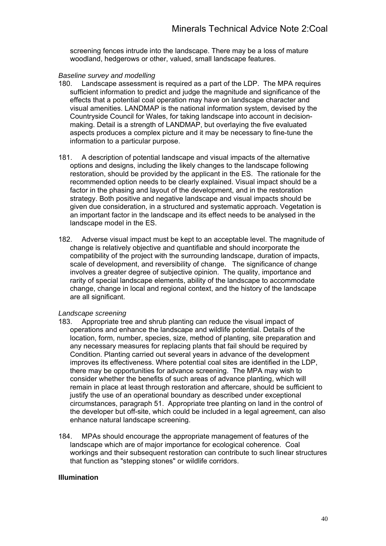screening fences intrude into the landscape. There may be a loss of mature woodland, hedgerows or other, valued, small landscape features.

#### *Baseline survey and modelling*

- 180. Landscape assessment is required as a part of the LDP. The MPA requires sufficient information to predict and judge the magnitude and significance of the effects that a potential coal operation may have on landscape character and visual amenities. LANDMAP is the national information system, devised by the Countryside Council for Wales, for taking landscape into account in decisionmaking. Detail is a strength of LANDMAP, but overlaying the five evaluated aspects produces a complex picture and it may be necessary to fine-tune the information to a particular purpose.
- 181. A description of potential landscape and visual impacts of the alternative options and designs, including the likely changes to the landscape following restoration, should be provided by the applicant in the ES. The rationale for the recommended option needs to be clearly explained. Visual impact should be a factor in the phasing and layout of the development, and in the restoration strategy. Both positive and negative landscape and visual impacts should be given due consideration, in a structured and systematic approach. Vegetation is an important factor in the landscape and its effect needs to be analysed in the landscape model in the ES.
- 182. Adverse visual impact must be kept to an acceptable level. The magnitude of change is relatively objective and quantifiable and should incorporate the compatibility of the project with the surrounding landscape, duration of impacts, scale of development, and reversibility of change. The significance of change involves a greater degree of subjective opinion. The quality, importance and rarity of special landscape elements, ability of the landscape to accommodate change, change in local and regional context, and the history of the landscape are all significant.

#### *Landscape screening*

- 183. Appropriate tree and shrub planting can reduce the visual impact of operations and enhance the landscape and wildlife potential. Details of the location, form, number, species, size, method of planting, site preparation and any necessary measures for replacing plants that fail should be required by Condition. Planting carried out several years in advance of the development improves its effectiveness. Where potential coal sites are identified in the LDP, there may be opportunities for advance screening. The MPA may wish to consider whether the benefits of such areas of advance planting, which will remain in place at least through restoration and aftercare, should be sufficient to justify the use of an operational boundary as described under exceptional circumstances, paragraph 51. Appropriate tree planting on land in the control of the developer but off-site, which could be included in a legal agreement, can also enhance natural landscape screening.
- 184. MPAs should encourage the appropriate management of features of the landscape which are of major importance for ecological coherence. Coal workings and their subsequent restoration can contribute to such linear structures that function as "stepping stones" or wildlife corridors.

#### **Illumination**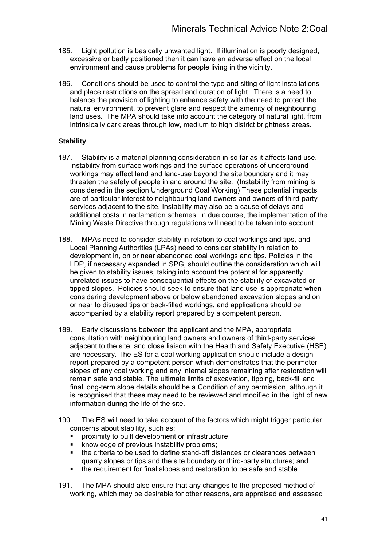- 185. Light pollution is basically unwanted light. If illumination is poorly designed, excessive or badly positioned then it can have an adverse effect on the local environment and cause problems for people living in the vicinity.
- 186. Conditions should be used to control the type and siting of light installations and place restrictions on the spread and duration of light. There is a need to balance the provision of lighting to enhance safety with the need to protect the natural environment, to prevent glare and respect the amenity of neighbouring land uses. The MPA should take into account the category of natural light, from intrinsically dark areas through low, medium to high district brightness areas.

# **Stability**

- 187. Stability is a material planning consideration in so far as it affects land use. Instability from surface workings and the surface operations of underground workings may affect land and land-use beyond the site boundary and it may threaten the safety of people in and around the site. (Instability from mining is considered in the section Underground Coal Working) These potential impacts are of particular interest to neighbouring land owners and owners of third-party services adjacent to the site. Instability may also be a cause of delays and additional costs in reclamation schemes. In due course, the implementation of the Mining Waste Directive through regulations will need to be taken into account.
- 188. MPAs need to consider stability in relation to coal workings and tips, and Local Planning Authorities (LPAs) need to consider stability in relation to development in, on or near abandoned coal workings and tips. Policies in the LDP, if necessary expanded in SPG, should outline the consideration which will be given to stability issues, taking into account the potential for apparently unrelated issues to have consequential effects on the stability of excavated or tipped slopes. Policies should seek to ensure that land use is appropriate when considering development above or below abandoned excavation slopes and on or near to disused tips or back-filled workings, and applications should be accompanied by a stability report prepared by a competent person.
- 189. Early discussions between the applicant and the MPA, appropriate consultation with neighbouring land owners and owners of third-party services adjacent to the site, and close liaison with the Health and Safety Executive (HSE) are necessary. The ES for a coal working application should include a design report prepared by a competent person which demonstrates that the perimeter slopes of any coal working and any internal slopes remaining after restoration will remain safe and stable. The ultimate limits of excavation, tipping, back-fill and final long-term slope details should be a Condition of any permission, although it is recognised that these may need to be reviewed and modified in the light of new information during the life of the site.
- 190. The ES will need to take account of the factors which might trigger particular concerns about stability, such as:
	- proximity to built development or infrastructure;
	- knowledge of previous instability problems;
	- the criteria to be used to define stand-off distances or clearances between quarry slopes or tips and the site boundary or third-party structures; and
	- the requirement for final slopes and restoration to be safe and stable
- 191. The MPA should also ensure that any changes to the proposed method of working, which may be desirable for other reasons, are appraised and assessed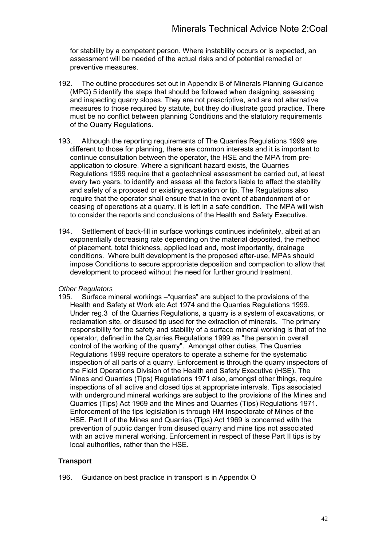for stability by a competent person. Where instability occurs or is expected, an assessment will be needed of the actual risks and of potential remedial or preventive measures.

- 192. The outline procedures set out in Appendix B of Minerals Planning Guidance (MPG) 5 identify the steps that should be followed when designing, assessing and inspecting quarry slopes. They are not prescriptive, and are not alternative measures to those required by statute, but they do illustrate good practice. There must be no conflict between planning Conditions and the statutory requirements of the Quarry Regulations.
- 193. Although the reporting requirements of The Quarries Regulations 1999 are different to those for planning, there are common interests and it is important to continue consultation between the operator, the HSE and the MPA from preapplication to closure. Where a significant hazard exists, the Quarries Regulations 1999 require that a geotechnical assessment be carried out, at least every two years, to identify and assess all the factors liable to affect the stability and safety of a proposed or existing excavation or tip. The Regulations also require that the operator shall ensure that in the event of abandonment of or ceasing of operations at a quarry, it is left in a safe condition. The MPA will wish to consider the reports and conclusions of the Health and Safety Executive.
- 194. Settlement of back-fill in surface workings continues indefinitely, albeit at an exponentially decreasing rate depending on the material deposited, the method of placement, total thickness, applied load and, most importantly, drainage conditions. Where built development is the proposed after-use, MPAs should impose Conditions to secure appropriate deposition and compaction to allow that development to proceed without the need for further ground treatment.

## *Other Regulators*

195. Surface mineral workings –"quarries" are subject to the provisions of the Health and Safety at Work etc Act 1974 and the Quarries Regulations 1999. Under reg.3 of the Quarries Regulations, a quarry is a system of excavations, or reclamation site, or disused tip used for the extraction of minerals. The primary responsibility for the safety and stability of a surface mineral working is that of the operator, defined in the Quarries Regulations 1999 as "the person in overall control of the working of the quarry". Amongst other duties, The Quarries Regulations 1999 require operators to operate a scheme for the systematic inspection of all parts of a quarry. Enforcement is through the quarry inspectors of the Field Operations Division of the Health and Safety Executive (HSE). The Mines and Quarries (Tips) Regulations 1971 also, amongst other things, require inspections of all active and closed tips at appropriate intervals. Tips associated with underground mineral workings are subject to the provisions of the Mines and Quarries (Tips) Act 1969 and the Mines and Quarries (Tips) Regulations 1971. Enforcement of the tips legislation is through HM Inspectorate of Mines of the HSE. Part II of the Mines and Quarries (Tips) Act 1969 is concerned with the prevention of public danger from disused quarry and mine tips not associated with an active mineral working. Enforcement in respect of these Part II tips is by local authorities, rather than the HSE.

# **Transport**

196. Guidance on best practice in transport is in Appendix O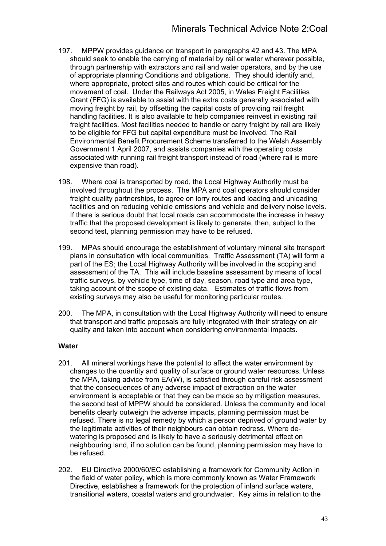- 197. MPPW provides guidance on transport in paragraphs 42 and 43. The MPA should seek to enable the carrying of material by rail or water wherever possible, through partnership with extractors and rail and water operators, and by the use of appropriate planning Conditions and obligations. They should identify and, where appropriate, protect sites and routes which could be critical for the movement of coal. Under the Railways Act 2005, in Wales Freight Facilities Grant (FFG) is available to assist with the extra costs generally associated with moving freight by rail, by offsetting the capital costs of providing rail freight handling facilities. It is also available to help companies reinvest in existing rail freight facilities. Most facilities needed to handle or carry freight by rail are likely to be eligible for FFG but capital expenditure must be involved. The Rail Environmental Benefit Procurement Scheme transferred to the Welsh Assembly Government 1 April 2007, and assists companies with the operating costs associated with running rail freight transport instead of road (where rail is more expensive than road).
- 198. Where coal is transported by road, the Local Highway Authority must be involved throughout the process. The MPA and coal operators should consider freight quality partnerships, to agree on lorry routes and loading and unloading facilities and on reducing vehicle emissions and vehicle and delivery noise levels. If there is serious doubt that local roads can accommodate the increase in heavy traffic that the proposed development is likely to generate, then, subject to the second test, planning permission may have to be refused.
- 199. MPAs should encourage the establishment of voluntary mineral site transport plans in consultation with local communities. Traffic Assessment (TA) will form a part of the ES; the Local Highway Authority will be involved in the scoping and assessment of the TA. This will include baseline assessment by means of local traffic surveys, by vehicle type, time of day, season, road type and area type, taking account of the scope of existing data. Estimates of traffic flows from existing surveys may also be useful for monitoring particular routes.
- 200. The MPA, in consultation with the Local Highway Authority will need to ensure that transport and traffic proposals are fully integrated with their strategy on air quality and taken into account when considering environmental impacts.

## **Water**

- 201. All mineral workings have the potential to affect the water environment by changes to the quantity and quality of surface or ground water resources. Unless the MPA, taking advice from EA(W), is satisfied through careful risk assessment that the consequences of any adverse impact of extraction on the water environment is acceptable or that they can be made so by mitigation measures, the second test of MPPW should be considered. Unless the community and local benefits clearly outweigh the adverse impacts, planning permission must be refused. There is no legal remedy by which a person deprived of ground water by the legitimate activities of their neighbours can obtain redress. Where dewatering is proposed and is likely to have a seriously detrimental effect on neighbouring land, if no solution can be found, planning permission may have to be refused.
- 202. EU Directive 2000/60/EC establishing a framework for Community Action in the field of water policy, which is more commonly known as Water Framework Directive, establishes a framework for the protection of inland surface waters, transitional waters, coastal waters and groundwater. Key aims in relation to the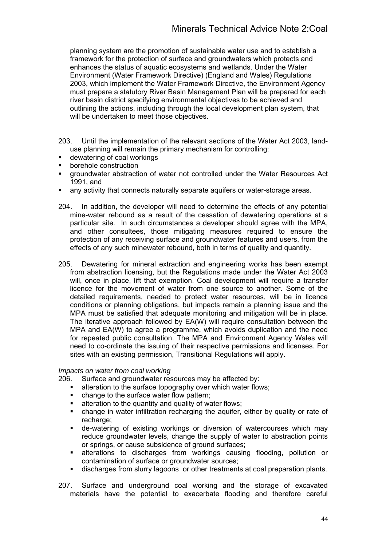planning system are the promotion of sustainable water use and to establish a framework for the protection of surface and groundwaters which protects and enhances the status of aquatic ecosystems and wetlands. Under the Water Environment (Water Framework Directive) (England and Wales) Regulations 2003, which implement the Water Framework Directive, the Environment Agency must prepare a statutory River Basin Management Plan will be prepared for each river basin district specifying environmental objectives to be achieved and outlining the actions, including through the local development plan system, that will be undertaken to meet those objectives.

- 203. Until the implementation of the relevant sections of the Water Act 2003, landuse planning will remain the primary mechanism for controlling:
- dewatering of coal workings
- borehole construction
- groundwater abstraction of water not controlled under the Water Resources Act 1991, and
- any activity that connects naturally separate aquifers or water-storage areas.
- 204. In addition, the developer will need to determine the effects of any potential mine-water rebound as a result of the cessation of dewatering operations at a particular site. In such circumstances a developer should agree with the MPA, and other consultees, those mitigating measures required to ensure the protection of any receiving surface and groundwater features and users, from the effects of any such minewater rebound, both in terms of quality and quantity.
- 205. Dewatering for mineral extraction and engineering works has been exempt from abstraction licensing, but the Regulations made under the Water Act 2003 will, once in place, lift that exemption. Coal development will require a transfer licence for the movement of water from one source to another. Some of the detailed requirements, needed to protect water resources, will be in licence conditions or planning obligations, but impacts remain a planning issue and the MPA must be satisfied that adequate monitoring and mitigation will be in place. The iterative approach followed by EA(W) will require consultation between the MPA and EA(W) to agree a programme, which avoids duplication and the need for repeated public consultation. The MPA and Environment Agency Wales will need to co-ordinate the issuing of their respective permissions and licenses. For sites with an existing permission, Transitional Regulations will apply.

#### *Impacts on water from coal working*

206. Surface and groundwater resources may be affected by:

- alteration to the surface topography over which water flows;
- change to the surface water flow pattern;
- alteration to the quantity and quality of water flows;
- change in water infiltration recharging the aquifer, either by quality or rate of recharge:
- de-watering of existing workings or diversion of watercourses which may reduce groundwater levels, change the supply of water to abstraction points or springs, or cause subsidence of ground surfaces;
- alterations to discharges from workings causing flooding, pollution or contamination of surface or groundwater sources;
- discharges from slurry lagoons or other treatments at coal preparation plants.

207. Surface and underground coal working and the storage of excavated materials have the potential to exacerbate flooding and therefore careful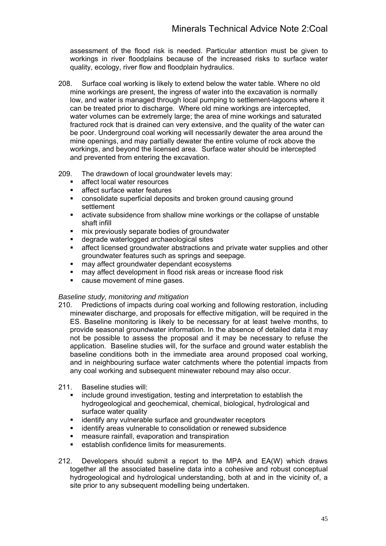assessment of the flood risk is needed. Particular attention must be given to workings in river floodplains because of the increased risks to surface water quality, ecology, river flow and floodplain hydraulics.

- 208. Surface coal working is likely to extend below the water table. Where no old mine workings are present, the ingress of water into the excavation is normally low, and water is managed through local pumping to settlement-lagoons where it can be treated prior to discharge. Where old mine workings are intercepted, water volumes can be extremely large; the area of mine workings and saturated fractured rock that is drained can very extensive, and the quality of the water can be poor. Underground coal working will necessarily dewater the area around the mine openings, and may partially dewater the entire volume of rock above the workings, and beyond the licensed area. Surface water should be intercepted and prevented from entering the excavation.
- 209. The drawdown of local groundwater levels may:
	- affect local water resources
	- affect surface water features
	- consolidate superficial deposits and broken ground causing ground settlement
	- activate subsidence from shallow mine workings or the collapse of unstable shaft infill
	- mix previously separate bodies of groundwater
	- degrade waterlogged archaeological sites
	- affect licensed groundwater abstractions and private water supplies and other groundwater features such as springs and seepage.
	- may affect groundwater dependant ecosystems
	- may affect development in flood risk areas or increase flood risk
	- cause movement of mine gases.

#### *Baseline study, monitoring and mitigation*

- 210. Predictions of impacts during coal working and following restoration, including minewater discharge, and proposals for effective mitigation, will be required in the ES. Baseline monitoring is likely to be necessary for at least twelve months, to provide seasonal groundwater information. In the absence of detailed data it may not be possible to assess the proposal and it may be necessary to refuse the application. Baseline studies will, for the surface and ground water establish the baseline conditions both in the immediate area around proposed coal working, and in neighbouring surface water catchments where the potential impacts from any coal working and subsequent minewater rebound may also occur.
- 211. Baseline studies will:
	- include ground investigation, testing and interpretation to establish the hydrogeological and geochemical, chemical, biological, hydrological and surface water quality
	- identify any vulnerable surface and groundwater receptors
	- identify areas vulnerable to consolidation or renewed subsidence
	- measure rainfall, evaporation and transpiration
	- establish confidence limits for measurements.
- 212. Developers should submit a report to the MPA and EA(W) which draws together all the associated baseline data into a cohesive and robust conceptual hydrogeological and hydrological understanding, both at and in the vicinity of, a site prior to any subsequent modelling being undertaken.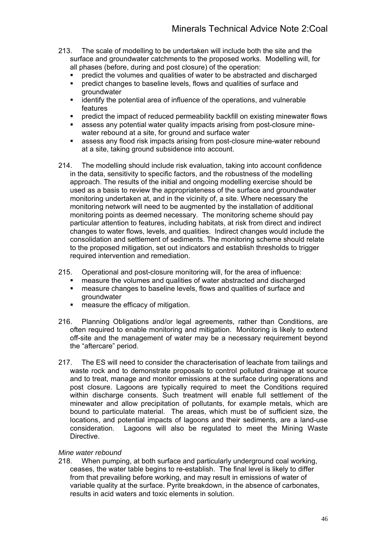- 213. The scale of modelling to be undertaken will include both the site and the surface and groundwater catchments to the proposed works. Modelling will, for all phases (before, during and post closure) of the operation:
	- predict the volumes and qualities of water to be abstracted and discharged
	- predict changes to baseline levels, flows and qualities of surface and groundwater
	- identify the potential area of influence of the operations, and vulnerable features
	- predict the impact of reduced permeability backfill on existing minewater flows
	- assess any potential water quality impacts arising from post-closure minewater rebound at a site, for ground and surface water
	- assess any flood risk impacts arising from post-closure mine-water rebound at a site, taking ground subsidence into account.
- 214. The modelling should include risk evaluation, taking into account confidence in the data, sensitivity to specific factors, and the robustness of the modelling approach. The results of the initial and ongoing modelling exercise should be used as a basis to review the appropriateness of the surface and groundwater monitoring undertaken at, and in the vicinity of, a site. Where necessary the monitoring network will need to be augmented by the installation of additional monitoring points as deemed necessary. The monitoring scheme should pay particular attention to features, including habitats, at risk from direct and indirect changes to water flows, levels, and qualities. Indirect changes would include the consolidation and settlement of sediments. The monitoring scheme should relate to the proposed mitigation, set out indicators and establish thresholds to trigger required intervention and remediation.
- 215. Operational and post-closure monitoring will, for the area of influence:
	- measure the volumes and qualities of water abstracted and discharged
	- measure changes to baseline levels, flows and qualities of surface and groundwater
	- measure the efficacy of mitigation.
- 216. Planning Obligations and/or legal agreements, rather than Conditions, are often required to enable monitoring and mitigation. Monitoring is likely to extend off-site and the management of water may be a necessary requirement beyond the "aftercare" period.
- 217. The ES will need to consider the characterisation of leachate from tailings and waste rock and to demonstrate proposals to control polluted drainage at source and to treat, manage and monitor emissions at the surface during operations and post closure. Lagoons are typically required to meet the Conditions required within discharge consents. Such treatment will enable full settlement of the minewater and allow precipitation of pollutants, for example metals, which are bound to particulate material. The areas, which must be of sufficient size, the locations, and potential impacts of lagoons and their sediments, are a land-use consideration. Lagoons will also be regulated to meet the Mining Waste Directive.

## *Mine water rebound*

218. When pumping, at both surface and particularly underground coal working, ceases, the water table begins to re-establish. The final level is likely to differ from that prevailing before working, and may result in emissions of water of variable quality at the surface. Pyrite breakdown, in the absence of carbonates, results in acid waters and toxic elements in solution.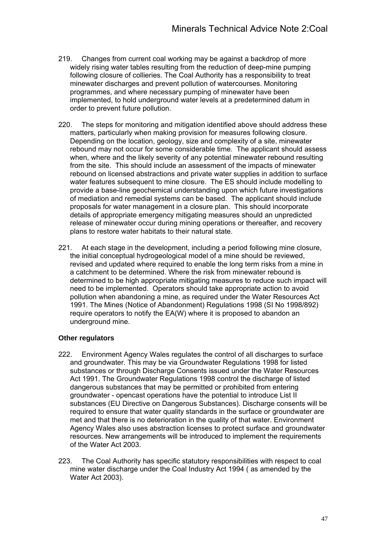- 219. Changes from current coal working may be against a backdrop of more widely rising water tables resulting from the reduction of deep-mine pumping following closure of collieries. The Coal Authority has a responsibility to treat minewater discharges and prevent pollution of watercourses. Monitoring programmes, and where necessary pumping of minewater have been implemented, to hold underground water levels at a predetermined datum in order to prevent future pollution.
- 220. The steps for monitoring and mitigation identified above should address these matters, particularly when making provision for measures following closure. Depending on the location, geology, size and complexity of a site, minewater rebound may not occur for some considerable time. The applicant should assess when, where and the likely severity of any potential minewater rebound resulting from the site. This should include an assessment of the impacts of minewater rebound on licensed abstractions and private water supplies in addition to surface water features subsequent to mine closure. The ES should include modelling to provide a base-line geochemical understanding upon which future investigations of mediation and remedial systems can be based. The applicant should include proposals for water management in a closure plan. This should incorporate details of appropriate emergency mitigating measures should an unpredicted release of minewater occur during mining operations or thereafter, and recovery plans to restore water habitats to their natural state.
- 221. At each stage in the development, including a period following mine closure, the initial conceptual hydrogeological model of a mine should be reviewed, revised and updated where required to enable the long term risks from a mine in a catchment to be determined. Where the risk from minewater rebound is determined to be high appropriate mitigating measures to reduce such impact will need to be implemented. Operators should take appropriate action to avoid pollution when abandoning a mine, as required under the Water Resources Act 1991. The Mines (Notice of Abandonment) Regulations 1998 (SI No 1998/892) require operators to notify the EA(W) where it is proposed to abandon an underground mine.

# **Other regulators**

- 222. Environment Agency Wales regulates the control of all discharges to surface and groundwater. This may be via Groundwater Regulations 1998 for listed substances or through Discharge Consents issued under the Water Resources Act 1991. The Groundwater Regulations 1998 control the discharge of listed dangerous substances that may be permitted or prohibited from entering groundwater - opencast operations have the potential to introduce List II substances (EU Directive on Dangerous Substances). Discharge consents will be required to ensure that water quality standards in the surface or groundwater are met and that there is no deterioration in the quality of that water. Environment Agency Wales also uses abstraction licenses to protect surface and groundwater resources. New arrangements will be introduced to implement the requirements of the Water Act 2003.
- 223. The Coal Authority has specific statutory responsibilities with respect to coal mine water discharge under the Coal Industry Act 1994 ( as amended by the Water Act 2003).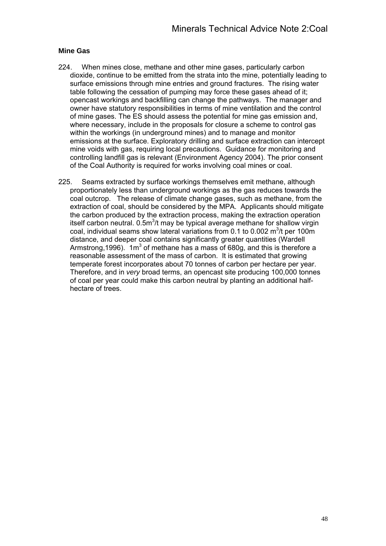## **Mine Gas**

- 224. When mines close, methane and other mine gases, particularly carbon dioxide, continue to be emitted from the strata into the mine, potentially leading to surface emissions through mine entries and ground fractures. The rising water table following the cessation of pumping may force these gases ahead of it; opencast workings and backfilling can change the pathways. The manager and owner have statutory responsibilities in terms of mine ventilation and the control of mine gases. The ES should assess the potential for mine gas emission and, where necessary, include in the proposals for closure a scheme to control gas within the workings (in underground mines) and to manage and monitor emissions at the surface. Exploratory drilling and surface extraction can intercept mine voids with gas, requiring local precautions. Guidance for monitoring and controlling landfill gas is relevant (Environment Agency 2004). The prior consent of the Coal Authority is required for works involving coal mines or coal.
- 225. Seams extracted by surface workings themselves emit methane, although proportionately less than underground workings as the gas reduces towards the coal outcrop. The release of climate change gases, such as methane, from the extraction of coal, should be considered by the MPA. Applicants should mitigate the carbon produced by the extraction process, making the extraction operation itself carbon neutral.  $0.5m^3/t$  may be typical average methane for shallow virgin coal, individual seams show lateral variations from 0.1 to 0.002  $m^3/t$  per 100m distance, and deeper coal contains significantly greater quantities (Wardell Armstrong, 1996). 1m<sup>3</sup> of methane has a mass of 680g, and this is therefore a reasonable assessment of the mass of carbon. It is estimated that growing temperate forest incorporates about 70 tonnes of carbon per hectare per year. Therefore, and in *very* broad terms, an opencast site producing 100,000 tonnes of coal per year could make this carbon neutral by planting an additional halfhectare of trees.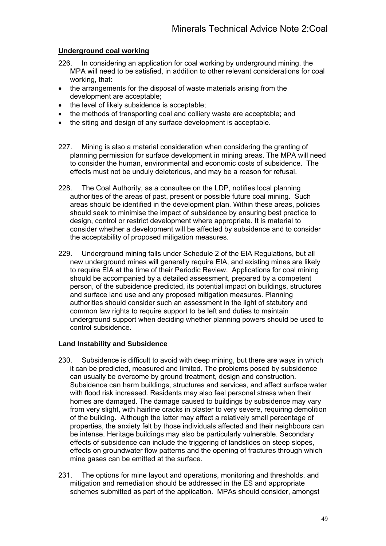# **Underground coal working**

- 226. In considering an application for coal working by underground mining, the MPA will need to be satisfied, in addition to other relevant considerations for coal working, that:
- the arrangements for the disposal of waste materials arising from the development are acceptable;
- the level of likely subsidence is acceptable:
- the methods of transporting coal and colliery waste are acceptable; and
- the siting and design of any surface development is acceptable.
- 227. Mining is also a material consideration when considering the granting of planning permission for surface development in mining areas. The MPA will need to consider the human, environmental and economic costs of subsidence. The effects must not be unduly deleterious, and may be a reason for refusal.
- 228. The Coal Authority, as a consultee on the LDP, notifies local planning authorities of the areas of past, present or possible future coal mining. Such areas should be identified in the development plan. Within these areas, policies should seek to minimise the impact of subsidence by ensuring best practice to design, control or restrict development where appropriate. It is material to consider whether a development will be affected by subsidence and to consider the acceptability of proposed mitigation measures.
- 229. Underground mining falls under Schedule 2 of the EIA Regulations, but all new underground mines will generally require EIA, and existing mines are likely to require EIA at the time of their Periodic Review. Applications for coal mining should be accompanied by a detailed assessment, prepared by a competent person, of the subsidence predicted, its potential impact on buildings, structures and surface land use and any proposed mitigation measures. Planning authorities should consider such an assessment in the light of statutory and common law rights to require support to be left and duties to maintain underground support when deciding whether planning powers should be used to control subsidence.

## **Land Instability and Subsidence**

- 230. Subsidence is difficult to avoid with deep mining, but there are ways in which it can be predicted, measured and limited. The problems posed by subsidence can usually be overcome by ground treatment, design and construction. Subsidence can harm buildings, structures and services, and affect surface water with flood risk increased. Residents may also feel personal stress when their homes are damaged. The damage caused to buildings by subsidence may vary from very slight, with hairline cracks in plaster to very severe, requiring demolition of the building. Although the latter may affect a relatively small percentage of properties, the anxiety felt by those individuals affected and their neighbours can be intense. Heritage buildings may also be particularly vulnerable. Secondary effects of subsidence can include the triggering of landslides on steep slopes, effects on groundwater flow patterns and the opening of fractures through which mine gases can be emitted at the surface.
- 231. The options for mine layout and operations, monitoring and thresholds, and mitigation and remediation should be addressed in the ES and appropriate schemes submitted as part of the application. MPAs should consider, amongst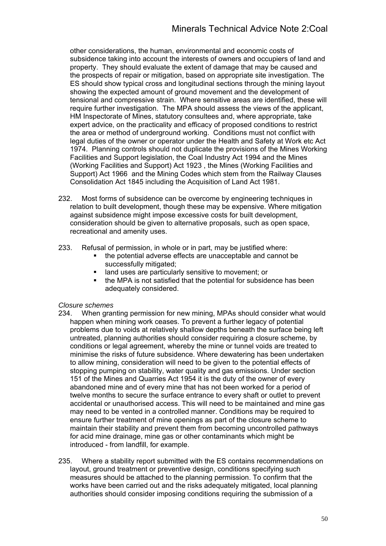other considerations, the human, environmental and economic costs of subsidence taking into account the interests of owners and occupiers of land and property. They should evaluate the extent of damage that may be caused and the prospects of repair or mitigation, based on appropriate site investigation. The ES should show typical cross and longitudinal sections through the mining layout showing the expected amount of ground movement and the development of tensional and compressive strain. Where sensitive areas are identified, these will require further investigation. The MPA should assess the views of the applicant, HM Inspectorate of Mines, statutory consultees and, where appropriate, take expert advice, on the practicality and efficacy of proposed conditions to restrict the area or method of underground working. Conditions must not conflict with legal duties of the owner or operator under the Health and Safety at Work etc Act 1974. Planning controls should not duplicate the provisions of the Mines Working Facilities and Support legislation, the Coal Industry Act 1994 and the Mines (Working Facilities and Support) Act 1923 , the Mines (Working Facilities and Support) Act 1966 and the Mining Codes which stem from the Railway Clauses Consolidation Act 1845 including the Acquisition of Land Act 1981.

- 232. Most forms of subsidence can be overcome by engineering techniques in relation to built development, though these may be expensive. Where mitigation against subsidence might impose excessive costs for built development, consideration should be given to alternative proposals, such as open space, recreational and amenity uses.
- 233. Refusal of permission, in whole or in part, may be justified where:
	- the potential adverse effects are unacceptable and cannot be successfully mitigated;
	- land uses are particularly sensitive to movement; or
	- the MPA is not satisfied that the potential for subsidence has been adequately considered.

## *Closure schemes*

- 234. When granting permission for new mining, MPAs should consider what would happen when mining work ceases. To prevent a further legacy of potential problems due to voids at relatively shallow depths beneath the surface being left untreated, planning authorities should consider requiring a closure scheme, by conditions or legal agreement, whereby the mine or tunnel voids are treated to minimise the risks of future subsidence. Where dewatering has been undertaken to allow mining, consideration will need to be given to the potential effects of stopping pumping on stability, water quality and gas emissions. Under section 151 of the Mines and Quarries Act 1954 it is the duty of the owner of every abandoned mine and of every mine that has not been worked for a period of twelve months to secure the surface entrance to every shaft or outlet to prevent accidental or unauthorised access. This will need to be maintained and mine gas may need to be vented in a controlled manner. Conditions may be required to ensure further treatment of mine openings as part of the closure scheme to maintain their stability and prevent them from becoming uncontrolled pathways for acid mine drainage, mine gas or other contaminants which might be introduced - from landfill, for example.
- 235. Where a stability report submitted with the ES contains recommendations on layout, ground treatment or preventive design, conditions specifying such measures should be attached to the planning permission. To confirm that the works have been carried out and the risks adequately mitigated, local planning authorities should consider imposing conditions requiring the submission of a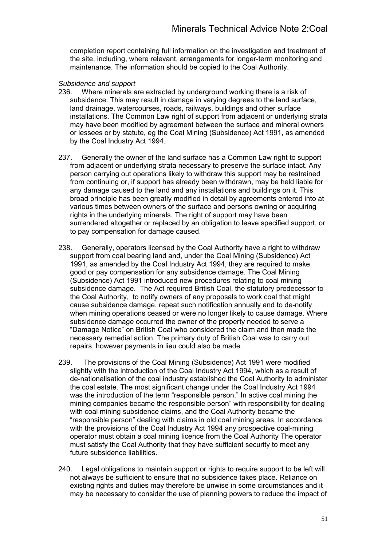completion report containing full information on the investigation and treatment of the site, including, where relevant, arrangements for longer-term monitoring and maintenance. The information should be copied to the Coal Authority.

#### *Subsidence and support*

- 236. Where minerals are extracted by underground working there is a risk of subsidence. This may result in damage in varying degrees to the land surface, land drainage, watercourses, roads, railways, buildings and other surface installations. The Common Law right of support from adjacent or underlying strata may have been modified by agreement between the surface and mineral owners or lessees or by statute, eg the Coal Mining (Subsidence) Act 1991, as amended by the Coal Industry Act 1994.
- 237. Generally the owner of the land surface has a Common Law right to support from adjacent or underlying strata necessary to preserve the surface intact. Any person carrying out operations likely to withdraw this support may be restrained from continuing or, if support has already been withdrawn, may be held liable for any damage caused to the land and any installations and buildings on it. This broad principle has been greatly modified in detail by agreements entered into at various times between owners of the surface and persons owning or acquiring rights in the underlying minerals. The right of support may have been surrendered altogether or replaced by an obligation to leave specified support, or to pay compensation for damage caused.
- 238. Generally, operators licensed by the Coal Authority have a right to withdraw support from coal bearing land and, under the Coal Mining (Subsidence) Act 1991, as amended by the Coal Industry Act 1994, they are required to make good or pay compensation for any subsidence damage. The Coal Mining (Subsidence) Act 1991 introduced new procedures relating to coal mining subsidence damage. The Act required British Coal, the statutory predecessor to the Coal Authority, to notify owners of any proposals to work coal that might cause subsidence damage, repeat such notification annually and to de-notify when mining operations ceased or were no longer likely to cause damage. Where subsidence damage occurred the owner of the property needed to serve a "Damage Notice" on British Coal who considered the claim and then made the necessary remedial action. The primary duty of British Coal was to carry out repairs, however payments in lieu could also be made.
- 239. The provisions of the Coal Mining (Subsidence) Act 1991 were modified slightly with the introduction of the Coal Industry Act 1994, which as a result of de-nationalisation of the coal industry established the Coal Authority to administer the coal estate. The most significant change under the Coal Industry Act 1994 was the introduction of the term "responsible person." In active coal mining the mining companies became the responsible person" with responsibility for dealing with coal mining subsidence claims, and the Coal Authority became the "responsible person" dealing with claims in old coal mining areas. In accordance with the provisions of the Coal Industry Act 1994 any prospective coal-mining operator must obtain a coal mining licence from the Coal Authority The operator must satisfy the Coal Authority that they have sufficient security to meet any future subsidence liabilities.
- 240. Legal obligations to maintain support or rights to require support to be left will not always be sufficient to ensure that no subsidence takes place. Reliance on existing rights and duties may therefore be unwise in some circumstances and it may be necessary to consider the use of planning powers to reduce the impact of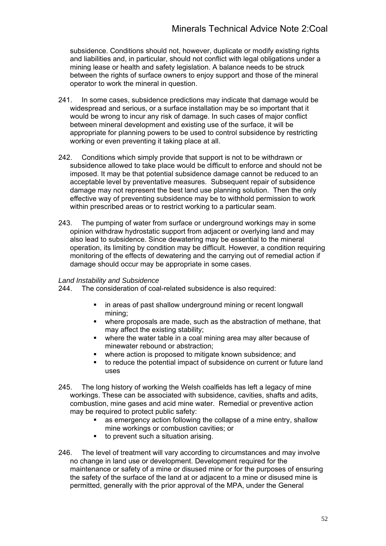subsidence. Conditions should not, however, duplicate or modify existing rights and liabilities and, in particular, should not conflict with legal obligations under a mining lease or health and safety legislation. A balance needs to be struck between the rights of surface owners to enjoy support and those of the mineral operator to work the mineral in question.

- 241. In some cases, subsidence predictions may indicate that damage would be widespread and serious, or a surface installation may be so important that it would be wrong to incur any risk of damage. In such cases of major conflict between mineral development and existing use of the surface, it will be appropriate for planning powers to be used to control subsidence by restricting working or even preventing it taking place at all.
- 242. Conditions which simply provide that support is not to be withdrawn or subsidence allowed to take place would be difficult to enforce and should not be imposed. It may be that potential subsidence damage cannot be reduced to an acceptable level by preventative measures. Subsequent repair of subsidence damage may not represent the best land use planning solution. Then the only effective way of preventing subsidence may be to withhold permission to work within prescribed areas or to restrict working to a particular seam.
- 243. The pumping of water from surface or underground workings may in some opinion withdraw hydrostatic support from adjacent or overlying land and may also lead to subsidence. Since dewatering may be essential to the mineral operation, its limiting by condition may be difficult. However, a condition requiring monitoring of the effects of dewatering and the carrying out of remedial action if damage should occur may be appropriate in some cases.

## *Land Instability and Subsidence*

244. The consideration of coal-related subsidence is also required:

- **EXTERGED FIND THE INCOCOLET THE INCOCOLET THE INCOCOLET IN A THE INCOCOLET IN A THE INCOCOLET IN A THE INCOCOLET I** mining;
- where proposals are made, such as the abstraction of methane, that may affect the existing stability;
- where the water table in a coal mining area may alter because of minewater rebound or abstraction;
- where action is proposed to mitigate known subsidence; and
- to reduce the potential impact of subsidence on current or future land uses
- 245. The long history of working the Welsh coalfields has left a legacy of mine workings. These can be associated with subsidence, cavities, shafts and adits, combustion, mine gases and acid mine water. Remedial or preventive action may be required to protect public safety:
	- as emergency action following the collapse of a mine entry, shallow mine workings or combustion cavities; or
	- to prevent such a situation arising.
- 246. The level of treatment will vary according to circumstances and may involve no change in land use or development. Development required for the maintenance or safety of a mine or disused mine or for the purposes of ensuring the safety of the surface of the land at or adjacent to a mine or disused mine is permitted, generally with the prior approval of the MPA, under the General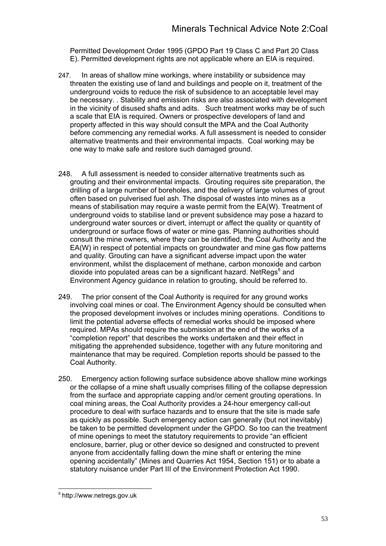Permitted Development Order 1995 (GPDO Part 19 Class C and Part 20 Class E). Permitted development rights are not applicable where an EIA is required.

- 247. In areas of shallow mine workings, where instability or subsidence may threaten the existing use of land and buildings and people on it, treatment of the underground voids to reduce the risk of subsidence to an acceptable level may be necessary. . Stability and emission risks are also associated with development in the vicinity of disused shafts and adits. Such treatment works may be of such a scale that EIA is required. Owners or prospective developers of land and property affected in this way should consult the MPA and the Coal Authority before commencing any remedial works. A full assessment is needed to consider alternative treatments and their environmental impacts. Coal working may be one way to make safe and restore such damaged ground.
- 248. A full assessment is needed to consider alternative treatments such as grouting and their environmental impacts. Grouting requires site preparation, the drilling of a large number of boreholes, and the delivery of large volumes of grout often based on pulverised fuel ash. The disposal of wastes into mines as a means of stabilisation may require a waste permit from the EA(W). Treatment of underground voids to stabilise land or prevent subsidence may pose a hazard to underground water sources or divert, interrupt or affect the quality or quantity of underground or surface flows of water or mine gas. Planning authorities should consult the mine owners, where they can be identified, the Coal Authority and the EA(W) in respect of potential impacts on groundwater and mine gas flow patterns and quality. Grouting can have a significant adverse impact upon the water environment, whilst the displacement of methane, carbon monoxide and carbon dioxide into populated areas can be a significant hazard. NetRegs<sup>8</sup> and Environment Agency guidance in relation to grouting, should be referred to.
- 249. The prior consent of the Coal Authority is required for any ground works involving coal mines or coal. The Environment Agency should be consulted when the proposed development involves or includes mining operations. Conditions to limit the potential adverse effects of remedial works should be imposed where required. MPAs should require the submission at the end of the works of a "completion report" that describes the works undertaken and their effect in mitigating the apprehended subsidence, together with any future monitoring and maintenance that may be required. Completion reports should be passed to the Coal Authority.
- 250. Emergency action following surface subsidence above shallow mine workings or the collapse of a mine shaft usually comprises filling of the collapse depression from the surface and appropriate capping and/or cement grouting operations. In coal mining areas, the Coal Authority provides a 24-hour emergency call-out procedure to deal with surface hazards and to ensure that the site is made safe as quickly as possible. Such emergency action can generally (but not inevitably) be taken to be permitted development under the GPDO. So too can the treatment of mine openings to meet the statutory requirements to provide "an efficient enclosure, barrier, plug or other device so designed and constructed to prevent anyone from accidentally falling down the mine shaft or entering the mine opening accidentally" (Mines and Quarries Act 1954, Section 151) or to abate a statutory nuisance under Part III of the Environment Protection Act 1990.

l

<sup>8</sup> http://www.netregs.gov.uk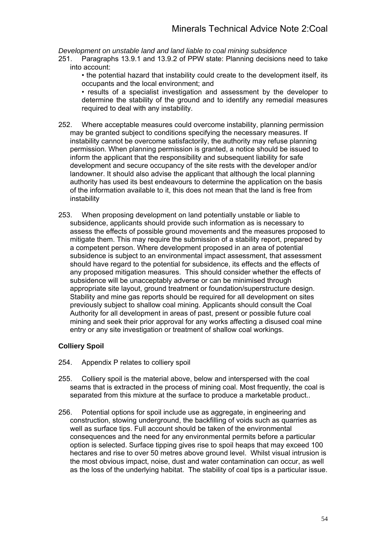*Development on unstable land and land liable to coal mining subsidence* 

251. Paragraphs 13.9.1 and 13.9.2 of PPW state: Planning decisions need to take into account:

• the potential hazard that instability could create to the development itself, its occupants and the local environment; and

• results of a specialist investigation and assessment by the developer to determine the stability of the ground and to identify any remedial measures required to deal with any instability.

- 252. Where acceptable measures could overcome instability, planning permission may be granted subject to conditions specifying the necessary measures. If instability cannot be overcome satisfactorily, the authority may refuse planning permission. When planning permission is granted, a notice should be issued to inform the applicant that the responsibility and subsequent liability for safe development and secure occupancy of the site rests with the developer and/or landowner. It should also advise the applicant that although the local planning authority has used its best endeavours to determine the application on the basis of the information available to it, this does not mean that the land is free from instability
- 253. When proposing development on land potentially unstable or liable to subsidence, applicants should provide such information as is necessary to assess the effects of possible ground movements and the measures proposed to mitigate them. This may require the submission of a stability report, prepared by a competent person. Where development proposed in an area of potential subsidence is subject to an environmental impact assessment, that assessment should have regard to the potential for subsidence, its effects and the effects of any proposed mitigation measures. This should consider whether the effects of subsidence will be unacceptably adverse or can be minimised through appropriate site layout, ground treatment or foundation/superstructure design. Stability and mine gas reports should be required for all development on sites previously subject to shallow coal mining. Applicants should consult the Coal Authority for all development in areas of past, present or possible future coal mining and seek their prior approval for any works affecting a disused coal mine entry or any site investigation or treatment of shallow coal workings.

# **Colliery Spoil**

- 254. Appendix P relates to colliery spoil
- 255. Colliery spoil is the material above, below and interspersed with the coal seams that is extracted in the process of mining coal. Most frequently, the coal is separated from this mixture at the surface to produce a marketable product..
- 256. Potential options for spoil include use as aggregate, in engineering and construction, stowing underground, the backfilling of voids such as quarries as well as surface tips. Full account should be taken of the environmental consequences and the need for any environmental permits before a particular option is selected. Surface tipping gives rise to spoil heaps that may exceed 100 hectares and rise to over 50 metres above ground level. Whilst visual intrusion is the most obvious impact, noise, dust and water contamination can occur, as well as the loss of the underlying habitat. The stability of coal tips is a particular issue.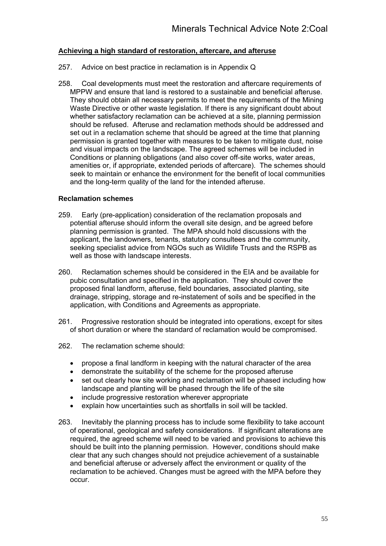## **Achieving a high standard of restoration, aftercare, and afteruse**

- 257. Advice on best practice in reclamation is in Appendix Q
- 258. Coal developments must meet the restoration and aftercare requirements of MPPW and ensure that land is restored to a sustainable and beneficial afteruse. They should obtain all necessary permits to meet the requirements of the Mining Waste Directive or other waste legislation. If there is any significant doubt about whether satisfactory reclamation can be achieved at a site, planning permission should be refused. Afteruse and reclamation methods should be addressed and set out in a reclamation scheme that should be agreed at the time that planning permission is granted together with measures to be taken to mitigate dust, noise and visual impacts on the landscape. The agreed schemes will be included in Conditions or planning obligations (and also cover off-site works, water areas, amenities or, if appropriate, extended periods of aftercare). The schemes should seek to maintain or enhance the environment for the benefit of local communities and the long-term quality of the land for the intended afteruse.

#### **Reclamation schemes**

- 259. Early (pre-application) consideration of the reclamation proposals and potential afteruse should inform the overall site design, and be agreed before planning permission is granted. The MPA should hold discussions with the applicant, the landowners, tenants, statutory consultees and the community, seeking specialist advice from NGOs such as Wildlife Trusts and the RSPB as well as those with landscape interests.
- 260. Reclamation schemes should be considered in the EIA and be available for pubic consultation and specified in the application. They should cover the proposed final landform, afteruse, field boundaries, associated planting, site drainage, stripping, storage and re-instatement of soils and be specified in the application, with Conditions and Agreements as appropriate.
- 261. Progressive restoration should be integrated into operations, except for sites of short duration or where the standard of reclamation would be compromised.
- 262. The reclamation scheme should:
	- propose a final landform in keeping with the natural character of the area
	- demonstrate the suitability of the scheme for the proposed afteruse
	- set out clearly how site working and reclamation will be phased including how landscape and planting will be phased through the life of the site
	- include progressive restoration wherever appropriate
	- explain how uncertainties such as shortfalls in soil will be tackled.
- 263. Inevitably the planning process has to include some flexibility to take account of operational, geological and safety considerations. If significant alterations are required, the agreed scheme will need to be varied and provisions to achieve this should be built into the planning permission. However, conditions should make clear that any such changes should not prejudice achievement of a sustainable and beneficial afteruse or adversely affect the environment or quality of the reclamation to be achieved. Changes must be agreed with the MPA before they occur.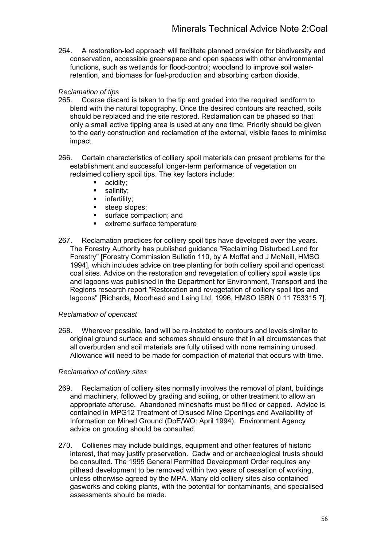264. A restoration-led approach will facilitate planned provision for biodiversity and conservation, accessible greenspace and open spaces with other environmental functions, such as wetlands for flood-control; woodland to improve soil waterretention, and biomass for fuel-production and absorbing carbon dioxide.

# *Reclamation of tips*

- 265. Coarse discard is taken to the tip and graded into the required landform to blend with the natural topography. Once the desired contours are reached, soils should be replaced and the site restored. Reclamation can be phased so that only a small active tipping area is used at any one time. Priority should be given to the early construction and reclamation of the external, visible faces to minimise impact.
- 266. Certain characteristics of colliery spoil materials can present problems for the establishment and successful longer-term performance of vegetation on reclaimed colliery spoil tips. The key factors include:
	- **acidity:**
	- **salinity**:
	- **·** infertility;
	- steep slopes;
	- surface compaction; and
	- **EXTERE SUPERER EXTEREM** extreme surface temperature
- 267. Reclamation practices for colliery spoil tips have developed over the years. The Forestry Authority has published guidance "Reclaiming Disturbed Land for Forestry" [Forestry Commission Bulletin 110, by A Moffat and J McNeill, HMSO 1994], which includes advice on tree planting for both colliery spoil and opencast coal sites. Advice on the restoration and revegetation of colliery spoil waste tips and lagoons was published in the Department for Environment, Transport and the Regions research report "Restoration and revegetation of colliery spoil tips and lagoons" [Richards, Moorhead and Laing Ltd, 1996, HMSO ISBN 0 11 753315 7].

## *Reclamation of opencast*

268. Wherever possible, land will be re-instated to contours and levels similar to original ground surface and schemes should ensure that in all circumstances that all overburden and soil materials are fully utilised with none remaining unused. Allowance will need to be made for compaction of material that occurs with time.

## *Reclamation of colliery sites*

- 269. Reclamation of colliery sites normally involves the removal of plant, buildings and machinery, followed by grading and soiling, or other treatment to allow an appropriate afteruse. Abandoned mineshafts must be filled or capped. Advice is contained in MPG12 Treatment of Disused Mine Openings and Availability of Information on Mined Ground (DoE/WO: April 1994). Environment Agency advice on grouting should be consulted.
- 270. Collieries may include buildings, equipment and other features of historic interest, that may justify preservation. Cadw and or archaeological trusts should be consulted. The 1995 General Permitted Development Order requires any pithead development to be removed within two years of cessation of working, unless otherwise agreed by the MPA. Many old colliery sites also contained gasworks and coking plants, with the potential for contaminants, and specialised assessments should be made.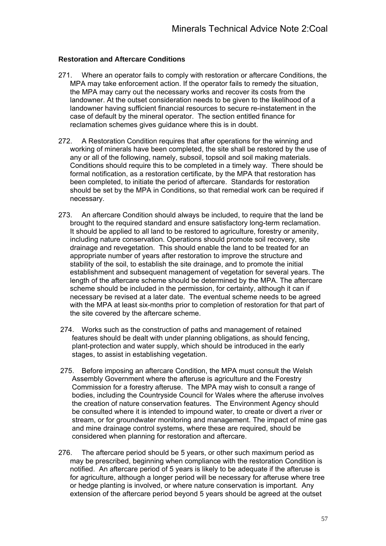## **Restoration and Aftercare Conditions**

- 271. Where an operator fails to comply with restoration or aftercare Conditions, the MPA may take enforcement action. If the operator fails to remedy the situation, the MPA may carry out the necessary works and recover its costs from the landowner. At the outset consideration needs to be given to the likelihood of a landowner having sufficient financial resources to secure re-instatement in the case of default by the mineral operator. The section entitled finance for reclamation schemes gives guidance where this is in doubt.
- 272. A Restoration Condition requires that after operations for the winning and working of minerals have been completed, the site shall be restored by the use of any or all of the following, namely, subsoil, topsoil and soil making materials. Conditions should require this to be completed in a timely way. There should be formal notification, as a restoration certificate, by the MPA that restoration has been completed, to initiate the period of aftercare. Standards for restoration should be set by the MPA in Conditions, so that remedial work can be required if necessary.
- 273. An aftercare Condition should always be included, to require that the land be brought to the required standard and ensure satisfactory long-term reclamation. It should be applied to all land to be restored to agriculture, forestry or amenity, including nature conservation. Operations should promote soil recovery, site drainage and revegetation. This should enable the land to be treated for an appropriate number of years after restoration to improve the structure and stability of the soil, to establish the site drainage, and to promote the initial establishment and subsequent management of vegetation for several years. The length of the aftercare scheme should be determined by the MPA. The aftercare scheme should be included in the permission, for certainty, although it can if necessary be revised at a later date. The eventual scheme needs to be agreed with the MPA at least six-months prior to completion of restoration for that part of the site covered by the aftercare scheme.
- 274. Works such as the construction of paths and management of retained features should be dealt with under planning obligations, as should fencing, plant-protection and water supply, which should be introduced in the early stages, to assist in establishing vegetation.
- 275. Before imposing an aftercare Condition, the MPA must consult the Welsh Assembly Government where the afteruse is agriculture and the Forestry Commission for a forestry afteruse. The MPA may wish to consult a range of bodies, including the Countryside Council for Wales where the afteruse involves the creation of nature conservation features. The Environment Agency should be consulted where it is intended to impound water, to create or divert a river or stream, or for groundwater monitoring and management. The impact of mine gas and mine drainage control systems, where these are required, should be considered when planning for restoration and aftercare.
- 276. The aftercare period should be 5 years, or other such maximum period as may be prescribed, beginning when compliance with the restoration Condition is notified. An aftercare period of 5 years is likely to be adequate if the afteruse is for agriculture, although a longer period will be necessary for afteruse where tree or hedge planting is involved, or where nature conservation is important. Any extension of the aftercare period beyond 5 years should be agreed at the outset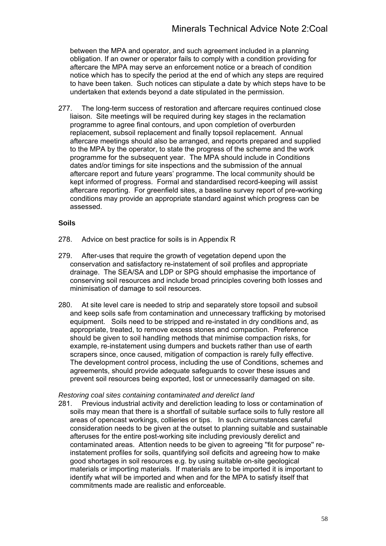between the MPA and operator, and such agreement included in a planning obligation. If an owner or operator fails to comply with a condition providing for aftercare the MPA may serve an enforcement notice or a breach of condition notice which has to specify the period at the end of which any steps are required to have been taken. Such notices can stipulate a date by which steps have to be undertaken that extends beyond a date stipulated in the permission.

277. The long-term success of restoration and aftercare requires continued close liaison. Site meetings will be required during key stages in the reclamation programme to agree final contours, and upon completion of overburden replacement, subsoil replacement and finally topsoil replacement. Annual aftercare meetings should also be arranged, and reports prepared and supplied to the MPA by the operator, to state the progress of the scheme and the work programme for the subsequent year. The MPA should include in Conditions dates and/or timings for site inspections and the submission of the annual aftercare report and future years' programme. The local community should be kept informed of progress. Formal and standardised record-keeping will assist aftercare reporting. For greenfield sites, a baseline survey report of pre-working conditions may provide an appropriate standard against which progress can be assessed.

## **Soils**

- 278. Advice on best practice for soils is in Appendix R
- 279. After-uses that require the growth of vegetation depend upon the conservation and satisfactory re-instatement of soil profiles and appropriate drainage. The SEA/SA and LDP or SPG should emphasise the importance of conserving soil resources and include broad principles covering both losses and minimisation of damage to soil resources.
- 280. At site level care is needed to strip and separately store topsoil and subsoil and keep soils safe from contamination and unnecessary trafficking by motorised equipment. Soils need to be stripped and re-instated in dry conditions and, as appropriate, treated, to remove excess stones and compaction. Preference should be given to soil handling methods that minimise compaction risks, for example, re-instatement using dumpers and buckets rather than use of earth scrapers since, once caused, mitigation of compaction is rarely fully effective. The development control process, including the use of Conditions, schemes and agreements, should provide adequate safeguards to cover these issues and prevent soil resources being exported, lost or unnecessarily damaged on site.

#### *Restoring coal sites containing contaminated and derelict land*

281. Previous industrial activity and dereliction leading to loss or contamination of soils may mean that there is a shortfall of suitable surface soils to fully restore all areas of opencast workings, collieries or tips. In such circumstances careful consideration needs to be given at the outset to planning suitable and sustainable afteruses for the entire post-working site including previously derelict and contaminated areas. Attention needs to be given to agreeing ''fit for purpose'' reinstatement profiles for soils, quantifying soil deficits and agreeing how to make good shortages in soil resources e.g. by using suitable on-site geological materials or importing materials. If materials are to be imported it is important to identify what will be imported and when and for the MPA to satisfy itself that commitments made are realistic and enforceable.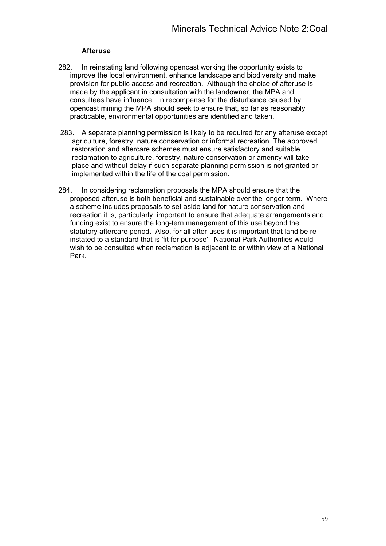## **Afteruse**

- 282. In reinstating land following opencast working the opportunity exists to improve the local environment, enhance landscape and biodiversity and make provision for public access and recreation. Although the choice of afteruse is made by the applicant in consultation with the landowner, the MPA and consultees have influence. In recompense for the disturbance caused by opencast mining the MPA should seek to ensure that, so far as reasonably practicable, environmental opportunities are identified and taken.
- 283. A separate planning permission is likely to be required for any afteruse except agriculture, forestry, nature conservation or informal recreation. The approved restoration and aftercare schemes must ensure satisfactory and suitable reclamation to agriculture, forestry, nature conservation or amenity will take place and without delay if such separate planning permission is not granted or implemented within the life of the coal permission.
- 284. In considering reclamation proposals the MPA should ensure that the proposed afteruse is both beneficial and sustainable over the longer term. Where a scheme includes proposals to set aside land for nature conservation and recreation it is, particularly, important to ensure that adequate arrangements and funding exist to ensure the long-tern management of this use beyond the statutory aftercare period. Also, for all after-uses it is important that land be reinstated to a standard that is 'fit for purpose'. National Park Authorities would wish to be consulted when reclamation is adjacent to or within view of a National Park.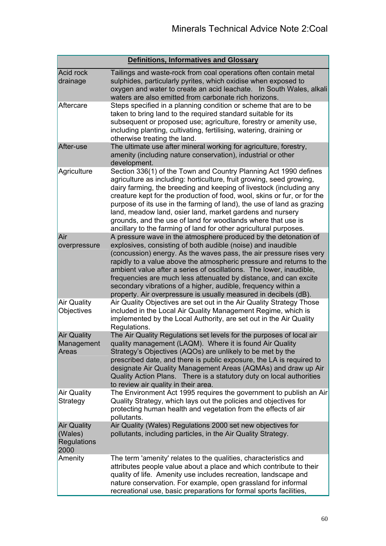| <b>Definitions, Informatives and Glossary</b>        |                                                                                                                                                                                                                                                                                                                                                                                                                                                                                                                                                                         |  |
|------------------------------------------------------|-------------------------------------------------------------------------------------------------------------------------------------------------------------------------------------------------------------------------------------------------------------------------------------------------------------------------------------------------------------------------------------------------------------------------------------------------------------------------------------------------------------------------------------------------------------------------|--|
| Acid rock<br>drainage                                | Tailings and waste-rock from coal operations often contain metal<br>sulphides, particularly pyrites, which oxidise when exposed to<br>oxygen and water to create an acid leachate. In South Wales, alkali<br>waters are also emitted from carbonate rich horizons.                                                                                                                                                                                                                                                                                                      |  |
| Aftercare                                            | Steps specified in a planning condition or scheme that are to be<br>taken to bring land to the required standard suitable for its<br>subsequent or proposed use; agriculture, forestry or amenity use,<br>including planting, cultivating, fertilising, watering, draining or<br>otherwise treating the land.                                                                                                                                                                                                                                                           |  |
| After-use                                            | The ultimate use after mineral working for agriculture, forestry,<br>amenity (including nature conservation), industrial or other<br>development.                                                                                                                                                                                                                                                                                                                                                                                                                       |  |
| Agriculture                                          | Section 336(1) of the Town and Country Planning Act 1990 defines<br>agriculture as including: horticulture, fruit growing, seed growing,<br>dairy farming, the breeding and keeping of livestock (including any<br>creature kept for the production of food, wool, skins or fur, or for the<br>purpose of its use in the farming of land), the use of land as grazing<br>land, meadow land, osier land, market gardens and nursery<br>grounds, and the use of land for woodlands where that use is<br>ancillary to the farming of land for other agricultural purposes. |  |
| Air<br>overpressure                                  | A pressure wave in the atmosphere produced by the detonation of<br>explosives, consisting of both audible (noise) and inaudible<br>(concussion) energy. As the waves pass, the air pressure rises very<br>rapidly to a value above the atmospheric pressure and returns to the<br>ambient value after a series of oscillations. The lower, inaudible,<br>frequencies are much less attenuated by distance, and can excite<br>secondary vibrations of a higher, audible, frequency within a<br>property. Air overpressure is usually measured in decibels (dB).          |  |
| <b>Air Quality</b><br>Objectives                     | Air Quality Objectives are set out in the Air Quality Strategy Those<br>included in the Local Air Quality Management Regime, which is<br>implemented by the Local Authority, are set out in the Air Quality<br>Regulations.                                                                                                                                                                                                                                                                                                                                             |  |
| <b>Air Quality</b><br>Management<br>Areas            | The Air Quality Regulations set levels for the purposes of local air<br>quality management (LAQM). Where it is found Air Quality<br>Strategy's Objectives (AQOs) are unlikely to be met by the<br>prescribed date, and there is public exposure, the LA is required to<br>designate Air Quality Management Areas (AQMAs) and draw up Air<br>Quality Action Plans. There is a statutory duty on local authorities<br>to review air quality in their area.                                                                                                                |  |
| Air Quality<br>Strategy                              | The Environment Act 1995 requires the government to publish an Air<br>Quality Strategy, which lays out the policies and objectives for<br>protecting human health and vegetation from the effects of air<br>pollutants.                                                                                                                                                                                                                                                                                                                                                 |  |
| <b>Air Quality</b><br>(Wales)<br>Regulations<br>2000 | Air Quality (Wales) Regulations 2000 set new objectives for<br>pollutants, including particles, in the Air Quality Strategy.                                                                                                                                                                                                                                                                                                                                                                                                                                            |  |
| Amenity                                              | The term 'amenity' relates to the qualities, characteristics and<br>attributes people value about a place and which contribute to their<br>quality of life. Amenity use includes recreation, landscape and<br>nature conservation. For example, open grassland for informal<br>recreational use, basic preparations for formal sports facilities,                                                                                                                                                                                                                       |  |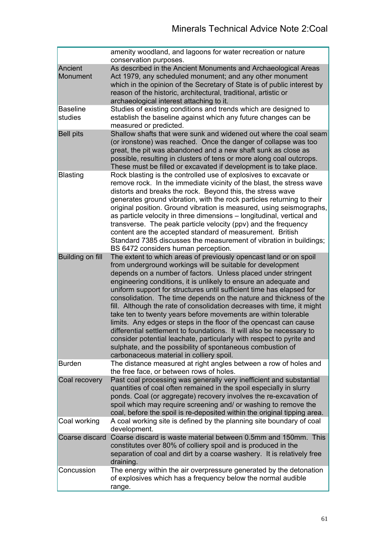|                            | amenity woodland, and lagoons for water recreation or nature                                                                                                                                                                                                                                                                                                                                                                                                                                                                                                                                                                                                                                                                                                                                                                                                                                  |
|----------------------------|-----------------------------------------------------------------------------------------------------------------------------------------------------------------------------------------------------------------------------------------------------------------------------------------------------------------------------------------------------------------------------------------------------------------------------------------------------------------------------------------------------------------------------------------------------------------------------------------------------------------------------------------------------------------------------------------------------------------------------------------------------------------------------------------------------------------------------------------------------------------------------------------------|
|                            | conservation purposes.                                                                                                                                                                                                                                                                                                                                                                                                                                                                                                                                                                                                                                                                                                                                                                                                                                                                        |
| Ancient<br>Monument        | As described in the Ancient Monuments and Archaeological Areas<br>Act 1979, any scheduled monument; and any other monument<br>which in the opinion of the Secretary of State is of public interest by<br>reason of the historic, architectural, traditional, artistic or<br>archaeological interest attaching to it.                                                                                                                                                                                                                                                                                                                                                                                                                                                                                                                                                                          |
| <b>Baseline</b><br>studies | Studies of existing conditions and trends which are designed to<br>establish the baseline against which any future changes can be<br>measured or predicted.                                                                                                                                                                                                                                                                                                                                                                                                                                                                                                                                                                                                                                                                                                                                   |
| <b>Bell pits</b>           | Shallow shafts that were sunk and widened out where the coal seam<br>(or ironstone) was reached. Once the danger of collapse was too<br>great, the pit was abandoned and a new shaft sunk as close as<br>possible, resulting in clusters of tens or more along coal outcrops.<br>These must be filled or excavated if development is to take place.                                                                                                                                                                                                                                                                                                                                                                                                                                                                                                                                           |
| Blasting                   | Rock blasting is the controlled use of explosives to excavate or<br>remove rock. In the immediate vicinity of the blast, the stress wave<br>distorts and breaks the rock. Beyond this, the stress wave<br>generates ground vibration, with the rock particles returning to their<br>original position. Ground vibration is measured, using seismographs,<br>as particle velocity in three dimensions – longitudinal, vertical and<br>transverse. The peak particle velocity (ppv) and the frequency<br>content are the accepted standard of measurement. British<br>Standard 7385 discusses the measurement of vibration in buildings;<br>BS 6472 considers human perception.                                                                                                                                                                                                                 |
| Building on fill           | The extent to which areas of previously opencast land or on spoil<br>from underground workings will be suitable for development<br>depends on a number of factors. Unless placed under stringent<br>engineering conditions, it is unlikely to ensure an adequate and<br>uniform support for structures until sufficient time has elapsed for<br>consolidation. The time depends on the nature and thickness of the<br>fill. Although the rate of consolidation decreases with time, it might<br>take ten to twenty years before movements are within tolerable<br>limits. Any edges or steps in the floor of the opencast can cause<br>differential settlement to foundations. It will also be necessary to<br>consider potential leachate, particularly with respect to pyrite and<br>sulphate, and the possibility of spontaneous combustion of<br>carbonaceous material in colliery spoil. |
| <b>Burden</b>              | The distance measured at right angles between a row of holes and<br>the free face, or between rows of holes.                                                                                                                                                                                                                                                                                                                                                                                                                                                                                                                                                                                                                                                                                                                                                                                  |
| Coal recovery              | Past coal processing was generally very inefficient and substantial<br>quantities of coal often remained in the spoil especially in slurry<br>ponds. Coal (or aggregate) recovery involves the re-excavation of<br>spoil which may require screening and/ or washing to remove the<br>coal, before the spoil is re-deposited within the original tipping area.                                                                                                                                                                                                                                                                                                                                                                                                                                                                                                                                |
| Coal working               | A coal working site is defined by the planning site boundary of coal<br>development.                                                                                                                                                                                                                                                                                                                                                                                                                                                                                                                                                                                                                                                                                                                                                                                                          |
| Coarse discard             | Coarse discard is waste material between 0.5mm and 150mm. This<br>constitutes over 80% of colliery spoil and is produced in the<br>separation of coal and dirt by a coarse washery. It is relatively free<br>draining.                                                                                                                                                                                                                                                                                                                                                                                                                                                                                                                                                                                                                                                                        |
| Concussion                 | The energy within the air overpressure generated by the detonation<br>of explosives which has a frequency below the normal audible<br>range.                                                                                                                                                                                                                                                                                                                                                                                                                                                                                                                                                                                                                                                                                                                                                  |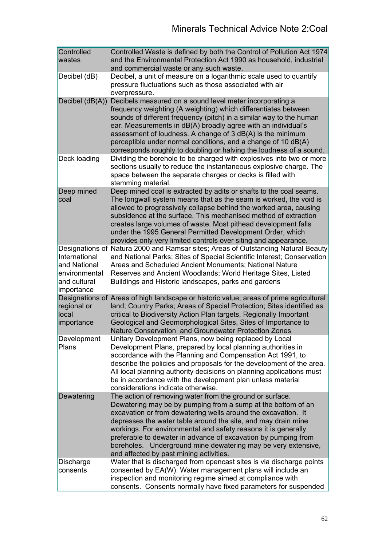| Controlled<br>wastes                                                         | Controlled Waste is defined by both the Control of Pollution Act 1974<br>and the Environmental Protection Act 1990 as household, industrial<br>and commercial waste or any such waste.                                                                                                                                                                                                                                                                                                                     |  |
|------------------------------------------------------------------------------|------------------------------------------------------------------------------------------------------------------------------------------------------------------------------------------------------------------------------------------------------------------------------------------------------------------------------------------------------------------------------------------------------------------------------------------------------------------------------------------------------------|--|
| Decibel (dB)                                                                 | Decibel, a unit of measure on a logarithmic scale used to quantify<br>pressure fluctuations such as those associated with air<br>overpressure.                                                                                                                                                                                                                                                                                                                                                             |  |
| Decibel (dB(A))                                                              | Decibels measured on a sound level meter incorporating a<br>frequency weighting (A weighting) which differentiates between<br>sounds of different frequency (pitch) in a similar way to the human<br>ear. Measurements in dB(A) broadly agree with an individual's<br>assessment of loudness. A change of 3 dB(A) is the minimum<br>perceptible under normal conditions, and a change of 10 dB(A)<br>corresponds roughly to doubling or halving the loudness of a sound.                                   |  |
| Deck loading                                                                 | Dividing the borehole to be charged with explosives into two or more<br>sections usually to reduce the instantaneous explosive charge. The<br>space between the separate charges or decks is filled with<br>stemming material.                                                                                                                                                                                                                                                                             |  |
| Deep mined<br>coal                                                           | Deep mined coal is extracted by adits or shafts to the coal seams.<br>The longwall system means that as the seam is worked, the void is<br>allowed to progressively collapse behind the worked area, causing<br>subsidence at the surface. This mechanised method of extraction<br>creates large volumes of waste. Most pithead development falls<br>under the 1995 General Permitted Development Order, which<br>provides only very limited controls over siting and appearance.                          |  |
| International<br>and National<br>environmental<br>and cultural<br>importance | Designations of Natura 2000 and Ramsar sites; Areas of Outstanding Natural Beauty<br>and National Parks; Sites of Special Scientific Interest; Conservation<br>Areas and Scheduled Ancient Monuments; National Nature<br>Reserves and Ancient Woodlands; World Heritage Sites, Listed<br>Buildings and Historic landscapes, parks and gardens                                                                                                                                                              |  |
| regional or<br>local<br>importance                                           | Designations of Areas of high landscape or historic value; areas of prime agricultural<br>land; Country Parks; Areas of Special Protection; Sites identified as<br>critical to Biodiversity Action Plan targets, Regionally Important<br>Geological and Geomorphological Sites, Sites of Importance to<br>Nature Conservation and Groundwater Protection Zones                                                                                                                                             |  |
| Development<br>Plans                                                         | Unitary Development Plans, now being replaced by Local<br>Development Plans, prepared by local planning authorities in<br>accordance with the Planning and Compensation Act 1991, to<br>describe the policies and proposals for the development of the area.<br>All local planning authority decisions on planning applications must<br>be in accordance with the development plan unless material<br>considerations indicate otherwise.                                                                   |  |
| Dewatering                                                                   | The action of removing water from the ground or surface.<br>Dewatering may be by pumping from a sump at the bottom of an<br>excavation or from dewatering wells around the excavation. It<br>depresses the water table around the site, and may drain mine<br>workings. For environmental and safety reasons it is generally<br>preferable to dewater in advance of excavation by pumping from<br>boreholes. Underground mine dewatering may be very extensive,<br>and affected by past mining activities. |  |
| Discharge<br>consents                                                        | Water that is discharged from opencast sites is via discharge points<br>consented by EA(W). Water management plans will include an<br>inspection and monitoring regime aimed at compliance with<br>consents. Consents normally have fixed parameters for suspended                                                                                                                                                                                                                                         |  |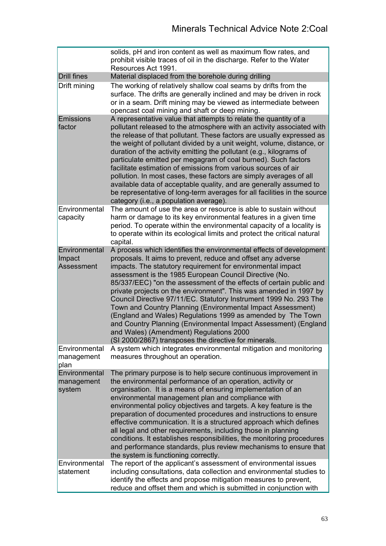|                                       | solids, pH and iron content as well as maximum flow rates, and<br>prohibit visible traces of oil in the discharge. Refer to the Water<br>Resources Act 1991.                                                                                                                                                                                                                                                                                                                                                                                                                                                                                                                                                                                                                       |  |
|---------------------------------------|------------------------------------------------------------------------------------------------------------------------------------------------------------------------------------------------------------------------------------------------------------------------------------------------------------------------------------------------------------------------------------------------------------------------------------------------------------------------------------------------------------------------------------------------------------------------------------------------------------------------------------------------------------------------------------------------------------------------------------------------------------------------------------|--|
| <b>Drill fines</b>                    | Material displaced from the borehole during drilling                                                                                                                                                                                                                                                                                                                                                                                                                                                                                                                                                                                                                                                                                                                               |  |
| Drift mining                          | The working of relatively shallow coal seams by drifts from the<br>surface. The drifts are generally inclined and may be driven in rock<br>or in a seam. Drift mining may be viewed as intermediate between<br>opencast coal mining and shaft or deep mining.                                                                                                                                                                                                                                                                                                                                                                                                                                                                                                                      |  |
| Emissions<br>factor                   | A representative value that attempts to relate the quantity of a<br>pollutant released to the atmosphere with an activity associated with<br>the release of that pollutant. These factors are usually expressed as<br>the weight of pollutant divided by a unit weight, volume, distance, or<br>duration of the activity emitting the pollutant (e.g., kilograms of<br>particulate emitted per megagram of coal burned). Such factors<br>facilitate estimation of emissions from various sources of air<br>pollution. In most cases, these factors are simply averages of all<br>available data of acceptable quality, and are generally assumed to<br>be representative of long-term averages for all facilities in the source<br>category (i.e., a population average).          |  |
| Environmental<br>capacity             | The amount of use the area or resource is able to sustain without<br>harm or damage to its key environmental features in a given time<br>period. To operate within the environmental capacity of a locality is<br>to operate within its ecological limits and protect the critical natural<br>capital.                                                                                                                                                                                                                                                                                                                                                                                                                                                                             |  |
| Environmental<br>Impact<br>Assessment | A process which identifies the environmental effects of development<br>proposals. It aims to prevent, reduce and offset any adverse<br>impacts. The statutory requirement for environmental impact<br>assessment is the 1985 European Council Directive (No.<br>85/337/EEC) "on the assessment of the effects of certain public and<br>private projects on the environment". This was amended in 1997 by<br>Council Directive 97/11/EC. Statutory Instrument 1999 No. 293 The<br>Town and Country Planning (Environmental Impact Assessment)<br>(England and Wales) Regulations 1999 as amended by The Town<br>and Country Planning (Environmental Impact Assessment) (England<br>and Wales) (Amendment) Regulations 2000<br>(SI 2000/2867) transposes the directive for minerals. |  |
| Environmental<br>management<br>plan   | A system which integrates environmental mitigation and monitoring<br>measures throughout an operation.                                                                                                                                                                                                                                                                                                                                                                                                                                                                                                                                                                                                                                                                             |  |
| Environmental<br>management<br>system | The primary purpose is to help secure continuous improvement in<br>the environmental performance of an operation, activity or<br>organisation. It is a means of ensuring implementation of an<br>environmental management plan and compliance with<br>environmental policy objectives and targets. A key feature is the<br>preparation of documented procedures and instructions to ensure<br>effective communication. It is a structured approach which defines<br>all legal and other requirements, including those in planning<br>conditions. It establishes responsibilities, the monitoring procedures<br>and performance standards, plus review mechanisms to ensure that<br>the system is functioning correctly.                                                            |  |
| Environmental<br>statement            | The report of the applicant's assessment of environmental issues<br>including consultations, data collection and environmental studies to<br>identify the effects and propose mitigation measures to prevent,<br>reduce and offset them and which is submitted in conjunction with                                                                                                                                                                                                                                                                                                                                                                                                                                                                                                 |  |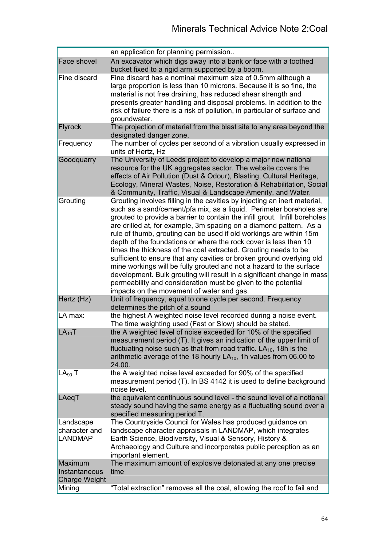|                                                     | an application for planning permission                                                                                                                                                                                                                                                                                                                                                                                                                                                                                                                                                                                                                                                                                                                                                                                                                    |
|-----------------------------------------------------|-----------------------------------------------------------------------------------------------------------------------------------------------------------------------------------------------------------------------------------------------------------------------------------------------------------------------------------------------------------------------------------------------------------------------------------------------------------------------------------------------------------------------------------------------------------------------------------------------------------------------------------------------------------------------------------------------------------------------------------------------------------------------------------------------------------------------------------------------------------|
| <b>Face shovel</b>                                  | An excavator which digs away into a bank or face with a toothed<br>bucket fixed to a rigid arm supported by a boom.                                                                                                                                                                                                                                                                                                                                                                                                                                                                                                                                                                                                                                                                                                                                       |
| Fine discard                                        | Fine discard has a nominal maximum size of 0.5mm although a<br>large proportion is less than 10 microns. Because it is so fine, the<br>material is not free draining, has reduced shear strength and<br>presents greater handling and disposal problems. In addition to the<br>risk of failure there is a risk of pollution, in particular of surface and<br>groundwater.                                                                                                                                                                                                                                                                                                                                                                                                                                                                                 |
| Flyrock                                             | The projection of material from the blast site to any area beyond the<br>designated danger zone.                                                                                                                                                                                                                                                                                                                                                                                                                                                                                                                                                                                                                                                                                                                                                          |
| Frequency                                           | The number of cycles per second of a vibration usually expressed in<br>units of Hertz, Hz                                                                                                                                                                                                                                                                                                                                                                                                                                                                                                                                                                                                                                                                                                                                                                 |
| Goodquarry                                          | The University of Leeds project to develop a major new national<br>resource for the UK aggregates sector. The website covers the<br>effects of Air Pollution (Dust & Odour), Blasting, Cultural Heritage,<br>Ecology, Mineral Wastes, Noise, Restoration & Rehabilitation, Social<br>& Community, Traffic, Visual & Landscape Amenity, and Water.                                                                                                                                                                                                                                                                                                                                                                                                                                                                                                         |
| Grouting                                            | Grouting involves filling in the cavities by injecting an inert material,<br>such as a sand/cement/pfa mix, as a liquid. Perimeter boreholes are<br>grouted to provide a barrier to contain the infill grout. Infill boreholes<br>are drilled at, for example, 3m spacing on a diamond pattern. As a<br>rule of thumb, grouting can be used if old workings are within 15m<br>depth of the foundations or where the rock cover is less than 10<br>times the thickness of the coal extracted. Grouting needs to be<br>sufficient to ensure that any cavities or broken ground overlying old<br>mine workings will be fully grouted and not a hazard to the surface<br>development. Bulk grouting will result in a significant change in mass<br>permeability and consideration must be given to the potential<br>impacts on the movement of water and gas. |
| Hertz (Hz)                                          | Unit of frequency, equal to one cycle per second. Frequency<br>determines the pitch of a sound                                                                                                                                                                                                                                                                                                                                                                                                                                                                                                                                                                                                                                                                                                                                                            |
| LA max:                                             | the highest A weighted noise level recorded during a noise event.<br>The time weighting used (Fast or Slow) should be stated.                                                                                                                                                                                                                                                                                                                                                                                                                                                                                                                                                                                                                                                                                                                             |
| LA <sub>10</sub> T                                  | the A weighted level of noise exceeded for 10% of the specified<br>measurement period (T). It gives an indication of the upper limit of<br>fluctuating noise such as that from road traffic. $LA_{10}$ , 18h is the<br>arithmetic average of the 18 hourly $LA_{10}$ , 1h values from 06.00 to<br>24.00.                                                                                                                                                                                                                                                                                                                                                                                                                                                                                                                                                  |
| $LA_{90}$ T                                         | the A weighted noise level exceeded for 90% of the specified<br>measurement period (T). In BS 4142 it is used to define background<br>noise level.                                                                                                                                                                                                                                                                                                                                                                                                                                                                                                                                                                                                                                                                                                        |
| LAeqT                                               | the equivalent continuous sound level - the sound level of a notional<br>steady sound having the same energy as a fluctuating sound over a<br>specified measuring period T.                                                                                                                                                                                                                                                                                                                                                                                                                                                                                                                                                                                                                                                                               |
| Landscape<br>character and<br><b>LANDMAP</b>        | The Countryside Council for Wales has produced guidance on<br>landscape character appraisals in LANDMAP, which integrates<br>Earth Science, Biodiversity, Visual & Sensory, History &<br>Archaeology and Culture and incorporates public perception as an<br>important element.                                                                                                                                                                                                                                                                                                                                                                                                                                                                                                                                                                           |
| Maximum<br>Instantaneous<br>Charge Weight<br>Mining | The maximum amount of explosive detonated at any one precise<br>time<br>"Total extraction" removes all the coal, allowing the roof to fail and                                                                                                                                                                                                                                                                                                                                                                                                                                                                                                                                                                                                                                                                                                            |
|                                                     |                                                                                                                                                                                                                                                                                                                                                                                                                                                                                                                                                                                                                                                                                                                                                                                                                                                           |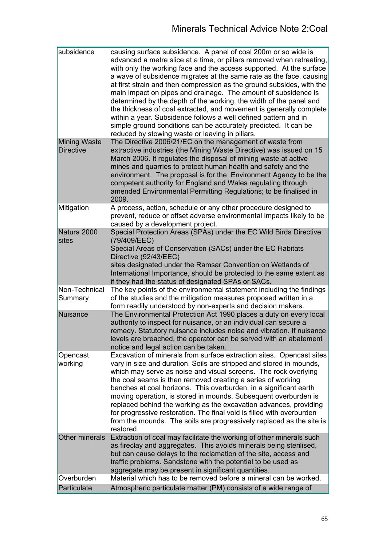| subsidence                              | causing surface subsidence. A panel of coal 200m or so wide is<br>advanced a metre slice at a time, or pillars removed when retreating,<br>with only the working face and the access supported. At the surface<br>a wave of subsidence migrates at the same rate as the face, causing<br>at first strain and then compression as the ground subsides, with the<br>main impact on pipes and drainage. The amount of subsidence is<br>determined by the depth of the working, the width of the panel and<br>the thickness of coal extracted, and movement is generally complete<br>within a year. Subsidence follows a well defined pattern and in<br>simple ground conditions can be accurately predicted. It can be<br>reduced by stowing waste or leaving in pillars. |
|-----------------------------------------|------------------------------------------------------------------------------------------------------------------------------------------------------------------------------------------------------------------------------------------------------------------------------------------------------------------------------------------------------------------------------------------------------------------------------------------------------------------------------------------------------------------------------------------------------------------------------------------------------------------------------------------------------------------------------------------------------------------------------------------------------------------------|
| <b>Mining Waste</b><br><b>Directive</b> | The Directive 2006/21/EC on the management of waste from<br>extractive industries (the Mining Waste Directive) was issued on 15<br>March 2006. It regulates the disposal of mining waste at active<br>mines and quarries to protect human health and safety and the<br>environment. The proposal is for the Environment Agency to be the<br>competent authority for England and Wales regulating through<br>amended Environmental Permitting Regulations; to be finalised in<br>2009.                                                                                                                                                                                                                                                                                  |
| Mitigation                              | A process, action, schedule or any other procedure designed to<br>prevent, reduce or offset adverse environmental impacts likely to be<br>caused by a development project.                                                                                                                                                                                                                                                                                                                                                                                                                                                                                                                                                                                             |
| Natura 2000<br>sites                    | Special Protection Areas (SPAs) under the EC Wild Birds Directive<br>(79/409/EEC)<br>Special Areas of Conservation (SACs) under the EC Habitats<br>Directive (92/43/EEC)<br>sites designated under the Ramsar Convention on Wetlands of<br>International Importance, should be protected to the same extent as<br>if they had the status of designated SPAs or SACs.                                                                                                                                                                                                                                                                                                                                                                                                   |
| Non-Technical<br>Summary                | The key points of the environmental statement including the findings<br>of the studies and the mitigation measures proposed written in a<br>form readily understood by non-experts and decision makers.                                                                                                                                                                                                                                                                                                                                                                                                                                                                                                                                                                |
| Nuisance                                | The Environmental Protection Act 1990 places a duty on every local<br>authority to inspect for nuisance, or an individual can secure a<br>remedy. Statutory nuisance includes noise and vibration. If nuisance<br>levels are breached, the operator can be served with an abatement<br>notice and legal action can be taken.                                                                                                                                                                                                                                                                                                                                                                                                                                           |
| Opencast<br>working                     | Excavation of minerals from surface extraction sites. Opencast sites<br>vary in size and duration. Soils are stripped and stored in mounds,<br>which may serve as noise and visual screens. The rock overlying<br>the coal seams is then removed creating a series of working<br>benches at coal horizons. This overburden, in a significant earth<br>moving operation, is stored in mounds. Subsequent overburden is<br>replaced behind the working as the excavation advances, providing<br>for progressive restoration. The final void is filled with overburden<br>from the mounds. The soils are progressively replaced as the site is<br>restored.                                                                                                               |
| Other minerals                          | Extraction of coal may facilitate the working of other minerals such<br>as fireclay and aggregates. This avoids minerals being sterilised,<br>but can cause delays to the reclamation of the site, access and<br>traffic problems. Sandstone with the potential to be used as<br>aggregate may be present in significant quantities.                                                                                                                                                                                                                                                                                                                                                                                                                                   |
| Overburden<br>Particulate               | Material which has to be removed before a mineral can be worked.                                                                                                                                                                                                                                                                                                                                                                                                                                                                                                                                                                                                                                                                                                       |
|                                         | Atmospheric particulate matter (PM) consists of a wide range of                                                                                                                                                                                                                                                                                                                                                                                                                                                                                                                                                                                                                                                                                                        |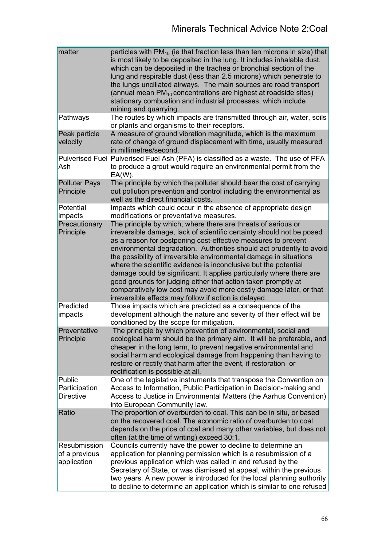| matter                                       | particles with $PM_{10}$ (ie that fraction less than ten microns in size) that<br>is most likely to be deposited in the lung. It includes inhalable dust,<br>which can be deposited in the trachea or bronchial section of the<br>lung and respirable dust (less than 2.5 microns) which penetrate to<br>the lungs unciliated airways. The main sources are road transport<br>(annual mean PM <sub>10</sub> concentrations are highest at roadside sites)<br>stationary combustion and industrial processes, which include<br>mining and quarrying.                                                                                                                                              |
|----------------------------------------------|--------------------------------------------------------------------------------------------------------------------------------------------------------------------------------------------------------------------------------------------------------------------------------------------------------------------------------------------------------------------------------------------------------------------------------------------------------------------------------------------------------------------------------------------------------------------------------------------------------------------------------------------------------------------------------------------------|
| Pathways                                     | The routes by which impacts are transmitted through air, water, soils<br>or plants and organisms to their receptors.                                                                                                                                                                                                                                                                                                                                                                                                                                                                                                                                                                             |
| Peak particle<br>velocity                    | A measure of ground vibration magnitude, which is the maximum<br>rate of change of ground displacement with time, usually measured<br>in millimetres/second.                                                                                                                                                                                                                                                                                                                                                                                                                                                                                                                                     |
| Ash                                          | Pulverised Fuel Pulverised Fuel Ash (PFA) is classified as a waste. The use of PFA<br>to produce a grout would require an environmental permit from the<br>$EA(W)$ .                                                                                                                                                                                                                                                                                                                                                                                                                                                                                                                             |
| <b>Polluter Pays</b><br>Principle            | The principle by which the polluter should bear the cost of carrying<br>out pollution prevention and control including the environmental as<br>well as the direct financial costs.                                                                                                                                                                                                                                                                                                                                                                                                                                                                                                               |
| Potential<br>impacts                         | Impacts which could occur in the absence of appropriate design<br>modifications or preventative measures.                                                                                                                                                                                                                                                                                                                                                                                                                                                                                                                                                                                        |
| Precautionary<br>Principle                   | The principle by which, where there are threats of serious or<br>irreversible damage, lack of scientific certainty should not be posed<br>as a reason for postponing cost-effective measures to prevent<br>environmental degradation. Authorities should act prudently to avoid<br>the possibility of irreversible environmental damage in situations<br>where the scientific evidence is inconclusive but the potential<br>damage could be significant. It applies particularly where there are<br>good grounds for judging either that action taken promptly at<br>comparatively low cost may avoid more costly damage later, or that<br>irreversible effects may follow if action is delayed. |
| Predicted<br>impacts                         | Those impacts which are predicted as a consequence of the<br>development although the nature and severity of their effect will be<br>conditioned by the scope for mitigation.                                                                                                                                                                                                                                                                                                                                                                                                                                                                                                                    |
| Preventative<br>Principle                    | The principle by which prevention of environmental, social and<br>ecological harm should be the primary aim. It will be preferable, and<br>cheaper in the long term, to prevent negative environmental and<br>social harm and ecological damage from happening than having to<br>restore or rectify that harm after the event, if restoration or<br>rectification is possible at all.                                                                                                                                                                                                                                                                                                            |
| Public<br>Participation<br><b>Directive</b>  | One of the legislative instruments that transpose the Convention on<br>Access to Information, Public Participation in Decision-making and<br>Access to Justice in Environmental Matters (the Aarhus Convention)<br>into European Community law.                                                                                                                                                                                                                                                                                                                                                                                                                                                  |
| Ratio                                        | The proportion of overburden to coal. This can be in situ, or based<br>on the recovered coal. The economic ratio of overburden to coal<br>depends on the price of coal and many other variables, but does not<br>often (at the time of writing) exceed 30:1.                                                                                                                                                                                                                                                                                                                                                                                                                                     |
| Resubmission<br>of a previous<br>application | Councils currently have the power to decline to determine an<br>application for planning permission which is a resubmission of a<br>previous application which was called in and refused by the<br>Secretary of State, or was dismissed at appeal, within the previous<br>two years. A new power is introduced for the local planning authority<br>to decline to determine an application which is similar to one refused                                                                                                                                                                                                                                                                        |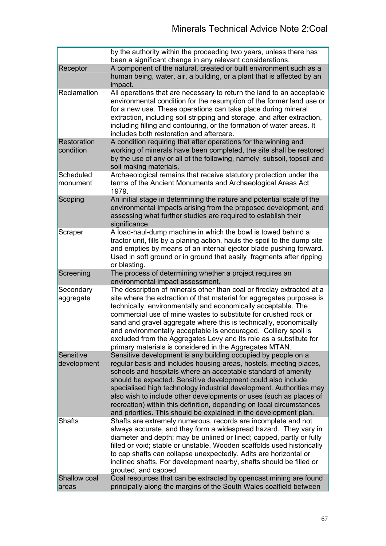|                          | by the authority within the proceeding two years, unless there has<br>been a significant change in any relevant considerations.                                                                                                                                                                                                                                                                                                                                                                                                                                |
|--------------------------|----------------------------------------------------------------------------------------------------------------------------------------------------------------------------------------------------------------------------------------------------------------------------------------------------------------------------------------------------------------------------------------------------------------------------------------------------------------------------------------------------------------------------------------------------------------|
| Receptor                 | A component of the natural, created or built environment such as a<br>human being, water, air, a building, or a plant that is affected by an<br>impact.                                                                                                                                                                                                                                                                                                                                                                                                        |
| Reclamation              | All operations that are necessary to return the land to an acceptable<br>environmental condition for the resumption of the former land use or<br>for a new use. These operations can take place during mineral<br>extraction, including soil stripping and storage, and after extraction,<br>including filling and contouring, or the formation of water areas. It<br>includes both restoration and aftercare.                                                                                                                                                 |
| Restoration<br>condition | A condition requiring that after operations for the winning and<br>working of minerals have been completed, the site shall be restored<br>by the use of any or all of the following, namely: subsoil, topsoil and<br>soil making materials.                                                                                                                                                                                                                                                                                                                    |
| Scheduled<br>monument    | Archaeological remains that receive statutory protection under the<br>terms of the Ancient Monuments and Archaeological Areas Act<br>1979.                                                                                                                                                                                                                                                                                                                                                                                                                     |
| Scoping                  | An initial stage in determining the nature and potential scale of the<br>environmental impacts arising from the proposed development, and<br>assessing what further studies are required to establish their<br>significance.                                                                                                                                                                                                                                                                                                                                   |
| Scraper                  | A load-haul-dump machine in which the bowl is towed behind a<br>tractor unit, fills by a planing action, hauls the spoil to the dump site<br>and empties by means of an internal ejector blade pushing forward.<br>Used in soft ground or in ground that easily fragments after ripping<br>or blasting.                                                                                                                                                                                                                                                        |
| Screening                | The process of determining whether a project requires an<br>environmental impact assessment.                                                                                                                                                                                                                                                                                                                                                                                                                                                                   |
| Secondary<br>aggregate   | The description of minerals other than coal or fireclay extracted at a<br>site where the extraction of that material for aggregates purposes is<br>technically, environmentally and economically acceptable. The<br>commercial use of mine wastes to substitute for crushed rock or<br>sand and gravel aggregate where this is technically, economically<br>and environmentally acceptable is encouraged. Colliery spoil is<br>excluded from the Aggregates Levy and its role as a substitute for<br>primary materials is considered in the Aggregates MTAN.   |
| Sensitive<br>development | Sensitive development is any building occupied by people on a<br>regular basis and includes housing areas, hostels, meeting places,<br>schools and hospitals where an acceptable standard of amenity<br>should be expected. Sensitive development could also include<br>specialised high technology industrial development. Authorities may<br>also wish to include other developments or uses (such as places of<br>recreation) within this definition, depending on local circumstances<br>and priorities. This should be explained in the development plan. |
| <b>Shafts</b>            | Shafts are extremely numerous, records are incomplete and not<br>always accurate, and they form a widespread hazard. They vary in<br>diameter and depth; may be unlined or lined; capped, partly or fully<br>filled or void; stable or unstable. Wooden scaffolds used historically<br>to cap shafts can collapse unexpectedly. Adits are horizontal or<br>inclined shafts. For development nearby, shafts should be filled or<br>grouted, and capped.                                                                                                         |
| Shallow coal<br>areas    | Coal resources that can be extracted by opencast mining are found<br>principally along the margins of the South Wales coalfield between                                                                                                                                                                                                                                                                                                                                                                                                                        |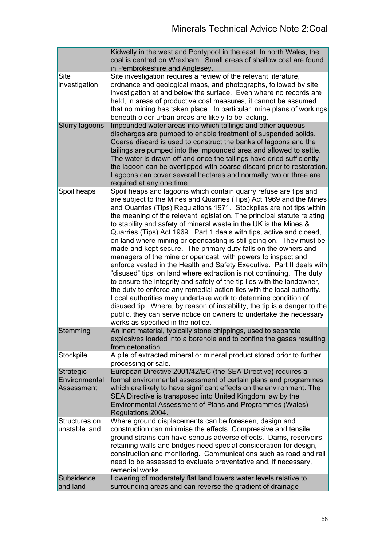|                                          | Kidwelly in the west and Pontypool in the east. In north Wales, the<br>coal is centred on Wrexham. Small areas of shallow coal are found<br>in Pembrokeshire and Anglesey.                                                                                                                                                                                                                                                                                                                                                                                                                                                                                                                                                                                                                                                                                                                                                                                                                                                                                                                                                                                                                                     |
|------------------------------------------|----------------------------------------------------------------------------------------------------------------------------------------------------------------------------------------------------------------------------------------------------------------------------------------------------------------------------------------------------------------------------------------------------------------------------------------------------------------------------------------------------------------------------------------------------------------------------------------------------------------------------------------------------------------------------------------------------------------------------------------------------------------------------------------------------------------------------------------------------------------------------------------------------------------------------------------------------------------------------------------------------------------------------------------------------------------------------------------------------------------------------------------------------------------------------------------------------------------|
| <b>Site</b>                              |                                                                                                                                                                                                                                                                                                                                                                                                                                                                                                                                                                                                                                                                                                                                                                                                                                                                                                                                                                                                                                                                                                                                                                                                                |
| investigation                            | Site investigation requires a review of the relevant literature,<br>ordnance and geological maps, and photographs, followed by site<br>investigation at and below the surface. Even where no records are<br>held, in areas of productive coal measures, it cannot be assumed<br>that no mining has taken place. In particular, mine plans of workings<br>beneath older urban areas are likely to be lacking.                                                                                                                                                                                                                                                                                                                                                                                                                                                                                                                                                                                                                                                                                                                                                                                                   |
| <b>Slurry lagoons</b>                    | Impounded water areas into which tailings and other aqueous<br>discharges are pumped to enable treatment of suspended solids.<br>Coarse discard is used to construct the banks of lagoons and the<br>tailings are pumped into the impounded area and allowed to settle.<br>The water is drawn off and once the tailings have dried sufficiently<br>the lagoon can be overtipped with coarse discard prior to restoration.<br>Lagoons can cover several hectares and normally two or three are<br>required at any one time.                                                                                                                                                                                                                                                                                                                                                                                                                                                                                                                                                                                                                                                                                     |
| Spoil heaps                              | Spoil heaps and lagoons which contain quarry refuse are tips and<br>are subject to the Mines and Quarries (Tips) Act 1969 and the Mines<br>and Quarries (Tips) Regulations 1971. Stockpiles are not tips within<br>the meaning of the relevant legislation. The principal statute relating<br>to stability and safety of mineral waste in the UK is the Mines &<br>Quarries (Tips) Act 1969. Part 1 deals with tips, active and closed,<br>on land where mining or opencasting is still going on. They must be<br>made and kept secure. The primary duty falls on the owners and<br>managers of the mine or opencast, with powers to inspect and<br>enforce vested in the Health and Safety Executive. Part II deals with<br>"disused" tips, on land where extraction is not continuing. The duty<br>to ensure the integrity and safety of the tip lies with the landowner,<br>the duty to enforce any remedial action lies with the local authority.<br>Local authorities may undertake work to determine condition of<br>disused tip. Where, by reason of instability, the tip is a danger to the<br>public, they can serve notice on owners to undertake the necessary<br>works as specified in the notice. |
| Stemming                                 | An inert material, typically stone chippings, used to separate<br>explosives loaded into a borehole and to confine the gases resulting<br>from detonation.                                                                                                                                                                                                                                                                                                                                                                                                                                                                                                                                                                                                                                                                                                                                                                                                                                                                                                                                                                                                                                                     |
| Stockpile                                | A pile of extracted mineral or mineral product stored prior to further<br>processing or sale.                                                                                                                                                                                                                                                                                                                                                                                                                                                                                                                                                                                                                                                                                                                                                                                                                                                                                                                                                                                                                                                                                                                  |
| Strategic<br>Environmental<br>Assessment | European Directive 2001/42/EC (the SEA Directive) requires a<br>formal environmental assessment of certain plans and programmes<br>which are likely to have significant effects on the environment. The<br>SEA Directive is transposed into United Kingdom law by the<br>Environmental Assessment of Plans and Programmes (Wales)<br>Regulations 2004.                                                                                                                                                                                                                                                                                                                                                                                                                                                                                                                                                                                                                                                                                                                                                                                                                                                         |
| Structures on<br>unstable land           | Where ground displacements can be foreseen, design and<br>construction can minimise the effects. Compressive and tensile<br>ground strains can have serious adverse effects. Dams, reservoirs,<br>retaining walls and bridges need special consideration for design,<br>construction and monitoring. Communications such as road and rail<br>need to be assessed to evaluate preventative and, if necessary,<br>remedial works.                                                                                                                                                                                                                                                                                                                                                                                                                                                                                                                                                                                                                                                                                                                                                                                |
| Subsidence<br>and land                   | Lowering of moderately flat land lowers water levels relative to<br>surrounding areas and can reverse the gradient of drainage                                                                                                                                                                                                                                                                                                                                                                                                                                                                                                                                                                                                                                                                                                                                                                                                                                                                                                                                                                                                                                                                                 |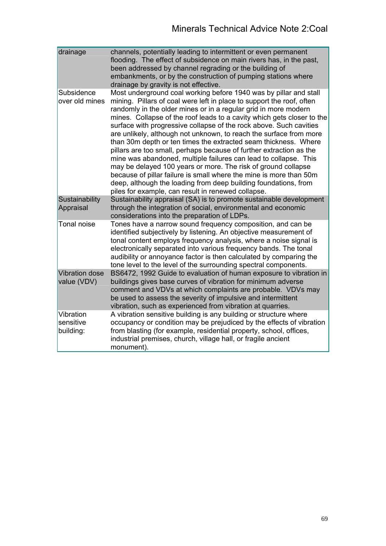| drainage                             | channels, potentially leading to intermittent or even permanent<br>flooding. The effect of subsidence on main rivers has, in the past,<br>been addressed by channel regrading or the building of<br>embankments, or by the construction of pumping stations where<br>drainage by gravity is not effective.                                                                                                                                                                                                                                                                                                                                                                                                                                                                                                                                                                                                        |
|--------------------------------------|-------------------------------------------------------------------------------------------------------------------------------------------------------------------------------------------------------------------------------------------------------------------------------------------------------------------------------------------------------------------------------------------------------------------------------------------------------------------------------------------------------------------------------------------------------------------------------------------------------------------------------------------------------------------------------------------------------------------------------------------------------------------------------------------------------------------------------------------------------------------------------------------------------------------|
| Subsidence<br>over old mines         | Most underground coal working before 1940 was by pillar and stall<br>mining. Pillars of coal were left in place to support the roof, often<br>randomly in the older mines or in a regular grid in more modern<br>mines. Collapse of the roof leads to a cavity which gets closer to the<br>surface with progressive collapse of the rock above. Such cavities<br>are unlikely, although not unknown, to reach the surface from more<br>than 30m depth or ten times the extracted seam thickness. Where<br>pillars are too small, perhaps because of further extraction as the<br>mine was abandoned, multiple failures can lead to collapse. This<br>may be delayed 100 years or more. The risk of ground collapse<br>because of pillar failure is small where the mine is more than 50m<br>deep, although the loading from deep building foundations, from<br>piles for example, can result in renewed collapse. |
| Sustainability<br>Appraisal          | Sustainability appraisal (SA) is to promote sustainable development<br>through the integration of social, environmental and economic<br>considerations into the preparation of LDPs.                                                                                                                                                                                                                                                                                                                                                                                                                                                                                                                                                                                                                                                                                                                              |
| Tonal noise                          | Tones have a narrow sound frequency composition, and can be<br>identified subjectively by listening. An objective measurement of<br>tonal content employs frequency analysis, where a noise signal is<br>electronically separated into various frequency bands. The tonal<br>audibility or annoyance factor is then calculated by comparing the<br>tone level to the level of the surrounding spectral components.                                                                                                                                                                                                                                                                                                                                                                                                                                                                                                |
| <b>Vibration dose</b><br>value (VDV) | BS6472, 1992 Guide to evaluation of human exposure to vibration in<br>buildings gives base curves of vibration for minimum adverse<br>comment and VDVs at which complaints are probable. VDVs may<br>be used to assess the severity of impulsive and intermittent<br>vibration, such as experienced from vibration at quarries.                                                                                                                                                                                                                                                                                                                                                                                                                                                                                                                                                                                   |
| Vibration<br>sensitive<br>building:  | A vibration sensitive building is any building or structure where<br>occupancy or condition may be prejudiced by the effects of vibration<br>from blasting (for example, residential property, school, offices,<br>industrial premises, church, village hall, or fragile ancient<br>monument).                                                                                                                                                                                                                                                                                                                                                                                                                                                                                                                                                                                                                    |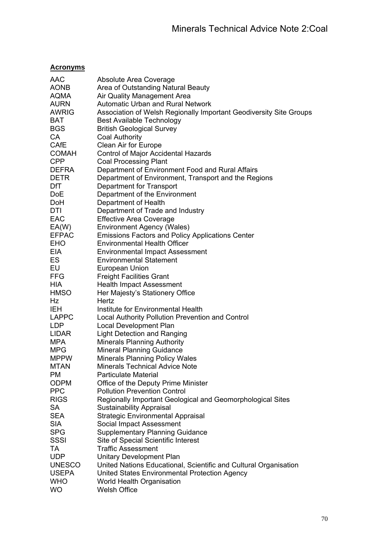# **Acronyms**

| <b>AAC</b>    | Absolute Area Coverage                                             |  |  |
|---------------|--------------------------------------------------------------------|--|--|
| <b>AONB</b>   | Area of Outstanding Natural Beauty                                 |  |  |
| <b>AQMA</b>   | Air Quality Management Area                                        |  |  |
| <b>AURN</b>   | <b>Automatic Urban and Rural Network</b>                           |  |  |
| <b>AWRIG</b>  | Association of Welsh Regionally Important Geodiversity Site Groups |  |  |
| <b>BAT</b>    | <b>Best Available Technology</b>                                   |  |  |
| <b>BGS</b>    | <b>British Geological Survey</b>                                   |  |  |
| <b>CA</b>     | <b>Coal Authority</b>                                              |  |  |
| CAfE          | Clean Air for Europe                                               |  |  |
|               |                                                                    |  |  |
| <b>COMAH</b>  | Control of Major Accidental Hazards                                |  |  |
| <b>CPP</b>    | <b>Coal Processing Plant</b>                                       |  |  |
| <b>DEFRA</b>  | Department of Environment Food and Rural Affairs                   |  |  |
| <b>DETR</b>   | Department of Environment, Transport and the Regions               |  |  |
| DfT           | Department for Transport                                           |  |  |
| <b>DoE</b>    | Department of the Environment                                      |  |  |
| DoH           | Department of Health                                               |  |  |
| DTI           | Department of Trade and Industry                                   |  |  |
| <b>EAC</b>    | <b>Effective Area Coverage</b>                                     |  |  |
| EA(W)         | <b>Environment Agency (Wales)</b>                                  |  |  |
| <b>EFPAC</b>  | <b>Emissions Factors and Policy Applications Center</b>            |  |  |
| <b>EHO</b>    | <b>Environmental Health Officer</b>                                |  |  |
| <b>EIA</b>    | <b>Environmental Impact Assessment</b>                             |  |  |
| <b>ES</b>     | <b>Environmental Statement</b>                                     |  |  |
| EU            | European Union                                                     |  |  |
| <b>FFG</b>    | <b>Freight Facilities Grant</b>                                    |  |  |
| <b>HIA</b>    | <b>Health Impact Assessment</b>                                    |  |  |
| <b>HMSO</b>   | Her Majesty's Stationery Office                                    |  |  |
| Hz            | Hertz                                                              |  |  |
| <b>IEH</b>    | Institute for Environmental Health                                 |  |  |
| <b>LAPPC</b>  | Local Authority Pollution Prevention and Control                   |  |  |
| <b>LDP</b>    | Local Development Plan                                             |  |  |
| <b>LIDAR</b>  |                                                                    |  |  |
|               | <b>Light Detection and Ranging</b>                                 |  |  |
| <b>MPA</b>    | <b>Minerals Planning Authority</b>                                 |  |  |
| <b>MPG</b>    | <b>Mineral Planning Guidance</b>                                   |  |  |
| <b>MPPW</b>   | <b>Minerals Planning Policy Wales</b>                              |  |  |
| <b>MTAN</b>   | <b>Minerals Technical Advice Note</b>                              |  |  |
| <b>PM</b>     | <b>Particulate Material</b>                                        |  |  |
| <b>ODPM</b>   | Office of the Deputy Prime Minister                                |  |  |
| <b>PPC</b>    | <b>Pollution Prevention Control</b>                                |  |  |
| <b>RIGS</b>   | Regionally Important Geological and Geomorphological Sites         |  |  |
| <b>SA</b>     | <b>Sustainability Appraisal</b>                                    |  |  |
| <b>SEA</b>    | <b>Strategic Environmental Appraisal</b>                           |  |  |
| <b>SIA</b>    | Social Impact Assessment                                           |  |  |
| <b>SPG</b>    | <b>Supplementary Planning Guidance</b>                             |  |  |
| <b>SSSI</b>   | Site of Special Scientific Interest                                |  |  |
| TA            | <b>Traffic Assessment</b>                                          |  |  |
| <b>UDP</b>    | <b>Unitary Development Plan</b>                                    |  |  |
| <b>UNESCO</b> | United Nations Educational, Scientific and Cultural Organisation   |  |  |
| <b>USEPA</b>  | United States Environmental Protection Agency                      |  |  |
| <b>WHO</b>    | World Health Organisation                                          |  |  |
| <b>WO</b>     | <b>Welsh Office</b>                                                |  |  |
|               |                                                                    |  |  |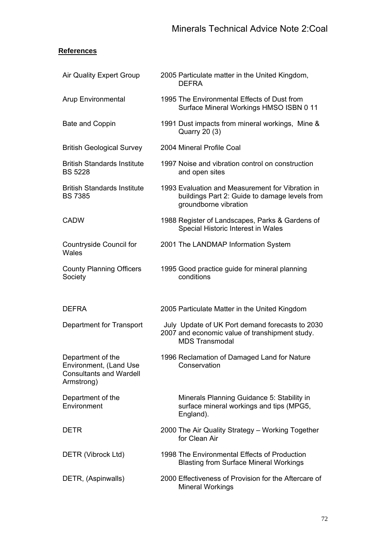# Minerals Technical Advice Note 2:Coal

# **References**

| Air Quality Expert Group                                                                    | 2005 Particulate matter in the United Kingdom,<br><b>DEFRA</b>                                                             |
|---------------------------------------------------------------------------------------------|----------------------------------------------------------------------------------------------------------------------------|
| <b>Arup Environmental</b>                                                                   | 1995 The Environmental Effects of Dust from<br>Surface Mineral Workings HMSO ISBN 0 11                                     |
| Bate and Coppin                                                                             | 1991 Dust impacts from mineral workings, Mine &<br>Quarry 20 (3)                                                           |
| <b>British Geological Survey</b>                                                            | 2004 Mineral Profile Coal                                                                                                  |
| <b>British Standards Institute</b><br><b>BS 5228</b>                                        | 1997 Noise and vibration control on construction<br>and open sites                                                         |
| <b>British Standards Institute</b><br><b>BS 7385</b>                                        | 1993 Evaluation and Measurement for Vibration in<br>buildings Part 2: Guide to damage levels from<br>groundborne vibration |
| <b>CADW</b>                                                                                 | 1988 Register of Landscapes, Parks & Gardens of<br>Special Historic Interest in Wales                                      |
| Countryside Council for<br>Wales                                                            | 2001 The LANDMAP Information System                                                                                        |
| <b>County Planning Officers</b><br>Society                                                  | 1995 Good practice guide for mineral planning<br>conditions                                                                |
| <b>DEFRA</b>                                                                                | 2005 Particulate Matter in the United Kingdom                                                                              |
| Department for Transport                                                                    | July Update of UK Port demand forecasts to 2030<br>2007 and economic value of transhipment study.<br><b>MDS Transmodal</b> |
| Department of the<br>Environment, (Land Use<br><b>Consultants and Wardell</b><br>Armstrong) | 1996 Reclamation of Damaged Land for Nature<br>Conservation                                                                |
| Department of the<br>Environment                                                            | Minerals Planning Guidance 5: Stability in<br>surface mineral workings and tips (MPG5,<br>England).                        |
| <b>DETR</b>                                                                                 | 2000 The Air Quality Strategy - Working Together<br>for Clean Air                                                          |
| DETR (Vibrock Ltd)                                                                          | 1998 The Environmental Effects of Production<br><b>Blasting from Surface Mineral Workings</b>                              |
| DETR, (Aspinwalls)                                                                          | 2000 Effectiveness of Provision for the Aftercare of<br><b>Mineral Workings</b>                                            |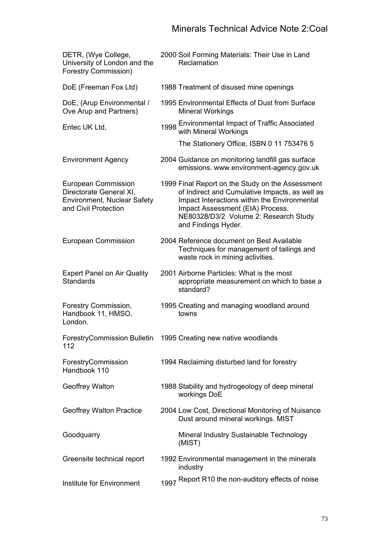# Minerals Technical Advice Note 2:Coal

| DETR, (Wye College,<br>University of London and the<br><b>Forestry Commission)</b>                    | 2000 Soil Forming Materials: Their Use in Land<br>Reclamation                                                                                                                                                                                          |
|-------------------------------------------------------------------------------------------------------|--------------------------------------------------------------------------------------------------------------------------------------------------------------------------------------------------------------------------------------------------------|
| DoE (Freeman Fox Ltd)                                                                                 | 1988 Treatment of disused mine openings                                                                                                                                                                                                                |
| DoE, (Arup Environmental /<br>Ove Arup and Partners)                                                  | 1995 Environmental Effects of Dust from Surface<br><b>Mineral Workings</b>                                                                                                                                                                             |
| Entec UK Ltd,                                                                                         | <b>Environmental Impact of Traffic Associated</b><br>1998<br>with Mineral Workings                                                                                                                                                                     |
|                                                                                                       | The Stationery Office, ISBN 0 11 753476 5                                                                                                                                                                                                              |
| <b>Environment Agency</b>                                                                             | 2004 Guidance on monitoring landfill gas surface<br>emissions. www.environment-agency.gov.uk                                                                                                                                                           |
| European Commission<br>Directorate General XI,<br>Environment, Nuclear Safety<br>and Civil Protection | 1999 Final Report on the Study on the Assessment<br>of Indirect and Cumulative Impacts, as well as<br>Impact Interactions within the Environmental<br>Impact Assessment (EIA) Process.<br>NE80328/D3/2 Volume 2: Research Study<br>and Findings Hyder. |
| <b>European Commission</b>                                                                            | 2004 Reference document on Best Available<br>Techniques for management of tailings and<br>waste rock in mining activities.                                                                                                                             |
| <b>Expert Panel on Air Quality</b><br>Standards                                                       | 2001 Airborne Particles: What is the most<br>appropriate measurement on which to base a<br>standard?                                                                                                                                                   |
| Forestry Commission,<br>Handbook 11, HMSO,<br>London.                                                 | 1995 Creating and managing woodland around<br>towns                                                                                                                                                                                                    |
| <b>ForestryCommission Bulletin</b><br>112                                                             | 1995 Creating new native woodlands                                                                                                                                                                                                                     |
| ForestryCommission<br>Handbook 110                                                                    | 1994 Reclaiming disturbed land for forestry                                                                                                                                                                                                            |
| <b>Geoffrey Walton</b>                                                                                | 1988 Stability and hydrogeology of deep mineral<br>workings DoE                                                                                                                                                                                        |
| <b>Geoffrey Walton Practice</b>                                                                       | 2004 Low Cost, Directional Monitoring of Nuisance<br>Dust around mineral workings. MIST                                                                                                                                                                |
| Goodquarry                                                                                            | Mineral Industry Sustainable Technology<br>(MIST)                                                                                                                                                                                                      |
| Greensite technical report                                                                            | 1992 Environmental management in the minerals<br>industry                                                                                                                                                                                              |
| Institute for Environment                                                                             | 1997 Report R10 the non-auditory effects of noise                                                                                                                                                                                                      |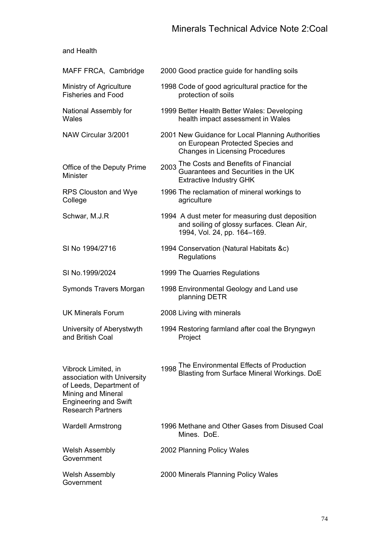and Health

| MAFF FRCA, Cambridge                                                                                                                                            | 2000 Good practice guide for handling soils                                                                                     |
|-----------------------------------------------------------------------------------------------------------------------------------------------------------------|---------------------------------------------------------------------------------------------------------------------------------|
| Ministry of Agriculture<br><b>Fisheries and Food</b>                                                                                                            | 1998 Code of good agricultural practice for the<br>protection of soils                                                          |
| National Assembly for<br>Wales                                                                                                                                  | 1999 Better Health Better Wales: Developing<br>health impact assessment in Wales                                                |
| NAW Circular 3/2001                                                                                                                                             | 2001 New Guidance for Local Planning Authorities<br>on European Protected Species and<br><b>Changes in Licensing Procedures</b> |
| Office of the Deputy Prime<br><b>Minister</b>                                                                                                                   | 2003 The Costs and Benefits of Financial<br>Guarantees and Securities in the UK<br><b>Extractive Industry GHK</b>               |
| RPS Clouston and Wye<br>College                                                                                                                                 | 1996 The reclamation of mineral workings to<br>agriculture                                                                      |
| Schwar, M.J.R                                                                                                                                                   | 1994 A dust meter for measuring dust deposition<br>and soiling of glossy surfaces. Clean Air,<br>1994, Vol. 24, pp. 164-169.    |
| SI No 1994/2716                                                                                                                                                 | 1994 Conservation (Natural Habitats &c)<br>Regulations                                                                          |
| SI No.1999/2024                                                                                                                                                 | 1999 The Quarries Regulations                                                                                                   |
| Symonds Travers Morgan                                                                                                                                          | 1998 Environmental Geology and Land use<br>planning DETR                                                                        |
| <b>UK Minerals Forum</b>                                                                                                                                        | 2008 Living with minerals                                                                                                       |
| University of Aberystwyth<br>and British Coal                                                                                                                   | 1994 Restoring farmland after coal the Bryngwyn<br>Project                                                                      |
| Vibrock Limited, in<br>association with University<br>of Leeds, Department of<br>Mining and Mineral<br><b>Engineering and Swift</b><br><b>Research Partners</b> | 1998 The Environmental Effects of Production<br>Blasting from Surface Mineral Workings. DoE                                     |
| <b>Wardell Armstrong</b>                                                                                                                                        | 1996 Methane and Other Gases from Disused Coal<br>Mines. DoE.                                                                   |
| <b>Welsh Assembly</b><br>Government                                                                                                                             | 2002 Planning Policy Wales                                                                                                      |
| <b>Welsh Assembly</b><br>Government                                                                                                                             | 2000 Minerals Planning Policy Wales                                                                                             |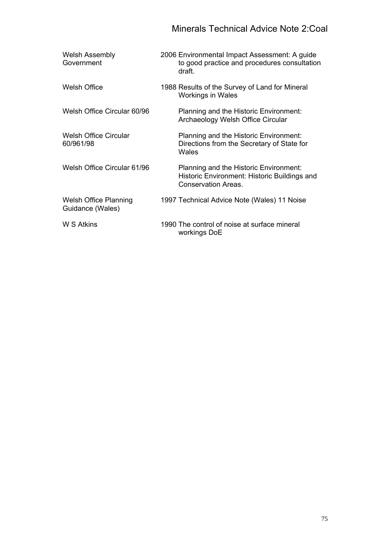# Minerals Technical Advice Note 2:Coal

| <b>Welsh Assembly</b><br>Government              | 2006 Environmental Impact Assessment: A guide<br>to good practice and procedures consultation<br>draft.              |
|--------------------------------------------------|----------------------------------------------------------------------------------------------------------------------|
| <b>Welsh Office</b>                              | 1988 Results of the Survey of Land for Mineral<br><b>Workings in Wales</b>                                           |
| Welsh Office Circular 60/96                      | Planning and the Historic Environment:<br>Archaeology Welsh Office Circular                                          |
| <b>Welsh Office Circular</b><br>60/961/98        | Planning and the Historic Environment:<br>Directions from the Secretary of State for<br>Wales                        |
| Welsh Office Circular 61/96                      | Planning and the Historic Environment:<br>Historic Environment: Historic Buildings and<br><b>Conservation Areas.</b> |
| <b>Welsh Office Planning</b><br>Guidance (Wales) | 1997 Technical Advice Note (Wales) 11 Noise                                                                          |
| W S Atkins                                       | 1990 The control of noise at surface mineral<br>workings DoE                                                         |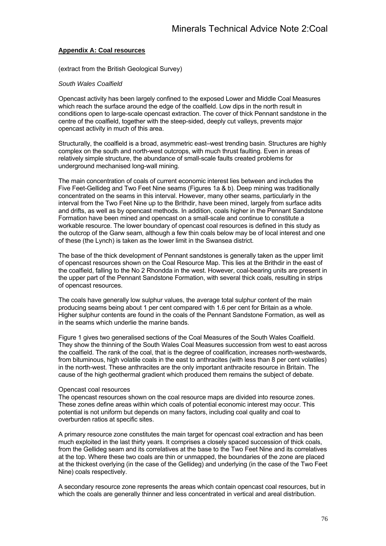### **Appendix A: Coal resources**

(extract from the British Geological Survey)

#### *South Wales Coalfield*

Opencast activity has been largely confined to the exposed Lower and Middle Coal Measures which reach the surface around the edge of the coalfield. Low dips in the north result in conditions open to large-scale opencast extraction. The cover of thick Pennant sandstone in the centre of the coalfield, together with the steep-sided, deeply cut valleys, prevents major opencast activity in much of this area.

Structurally, the coalfield is a broad, asymmetric east–west trending basin. Structures are highly complex on the south and north-west outcrops, with much thrust faulting. Even in areas of relatively simple structure, the abundance of small-scale faults created problems for underground mechanised long-wall mining.

The main concentration of coals of current economic interest lies between and includes the Five Feet-Gellideg and Two Feet Nine seams (Figures 1a & b). Deep mining was traditionally concentrated on the seams in this interval. However, many other seams, particularly in the interval from the Two Feet Nine up to the Brithdir, have been mined, largely from surface adits and drifts, as well as by opencast methods. In addition, coals higher in the Pennant Sandstone Formation have been mined and opencast on a small-scale and continue to constitute a workable resource. The lower boundary of opencast coal resources is defined in this study as the outcrop of the Garw seam, although a few thin coals below may be of local interest and one of these (the Lynch) is taken as the lower limit in the Swansea district.

The base of the thick development of Pennant sandstones is generally taken as the upper limit of opencast resources shown on the Coal Resource Map. This lies at the Brithdir in the east of the coalfield, falling to the No 2 Rhondda in the west. However, coal-bearing units are present in the upper part of the Pennant Sandstone Formation, with several thick coals, resulting in strips of opencast resources.

The coals have generally low sulphur values, the average total sulphur content of the main producing seams being about 1 per cent compared with 1.6 per cent for Britain as a whole. Higher sulphur contents are found in the coals of the Pennant Sandstone Formation, as well as in the seams which underlie the marine bands.

Figure 1 gives two generalised sections of the Coal Measures of the South Wales Coalfield. They show the thinning of the South Wales Coal Measures succession from west to east across the coalfield. The rank of the coal, that is the degree of coalification, increases north-westwards, from bituminous, high volatile coals in the east to anthracites (with less than 8 per cent volatiles) in the north-west. These anthracites are the only important anthracite resource in Britain. The cause of the high geothermal gradient which produced them remains the subject of debate.

#### Opencast coal resources

The opencast resources shown on the coal resource maps are divided into resource zones. These zones define areas within which coals of potential economic interest may occur. This potential is not uniform but depends on many factors, including coal quality and coal to overburden ratios at specific sites.

A primary resource zone constitutes the main target for opencast coal extraction and has been much exploited in the last thirty years. It comprises a closely spaced succession of thick coals, from the Gellideg seam and its correlatives at the base to the Two Feet Nine and its correlatives at the top. Where these two coals are thin or unmapped, the boundaries of the zone are placed at the thickest overlying (in the case of the Gellideg) and underlying (in the case of the Two Feet Nine) coals respectively.

A secondary resource zone represents the areas which contain opencast coal resources, but in which the coals are generally thinner and less concentrated in vertical and areal distribution.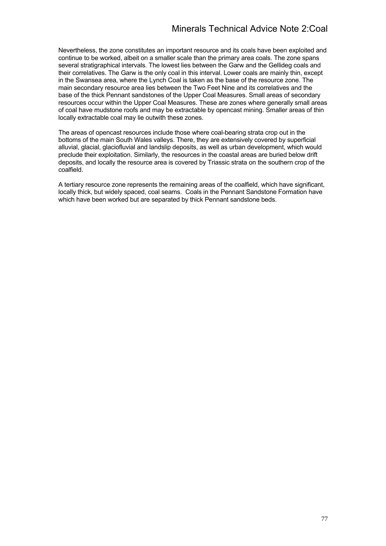Nevertheless, the zone constitutes an important resource and its coals have been exploited and continue to be worked, albeit on a smaller scale than the primary area coals. The zone spans several stratigraphical intervals. The lowest lies between the Garw and the Gellideg coals and their correlatives. The Garw is the only coal in this interval. Lower coals are mainly thin, except in the Swansea area, where the Lynch Coal is taken as the base of the resource zone. The main secondary resource area lies between the Two Feet Nine and its correlatives and the base of the thick Pennant sandstones of the Upper Coal Measures. Small areas of secondary resources occur within the Upper Coal Measures. These are zones where generally small areas of coal have mudstone roofs and may be extractable by opencast mining. Smaller areas of thin locally extractable coal may lie outwith these zones.

The areas of opencast resources include those where coal-bearing strata crop out in the bottoms of the main South Wales valleys. There, they are extensively covered by superficial alluvial, glacial, glaciofluvial and landslip deposits, as well as urban development, which would preclude their exploitation. Similarly, the resources in the coastal areas are buried below drift deposits, and locally the resource area is covered by Triassic strata on the southern crop of the coalfield.

A tertiary resource zone represents the remaining areas of the coalfield, which have significant, locally thick, but widely spaced, coal seams. Coals in the Pennant Sandstone Formation have which have been worked but are separated by thick Pennant sandstone beds.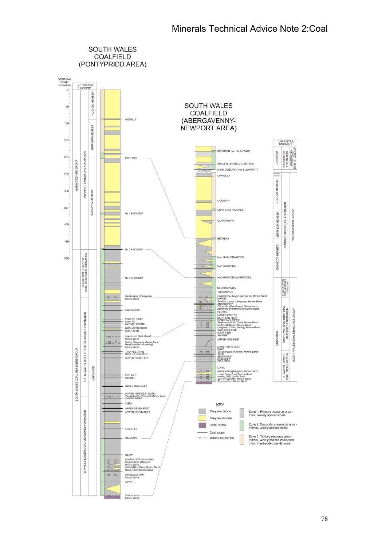

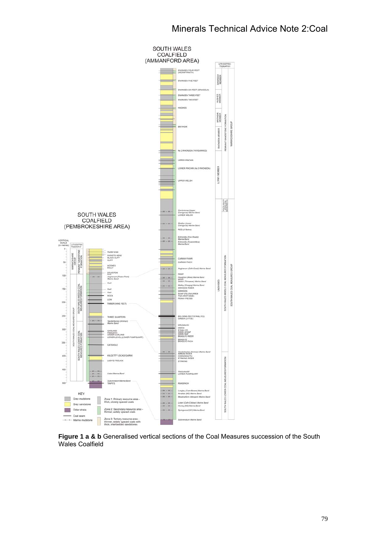# Minerals Technical Advice Note 2:Coal



**Figure 1 a & b** Generalised vertical sections of the Coal Measures succession of the South Wales Coalfield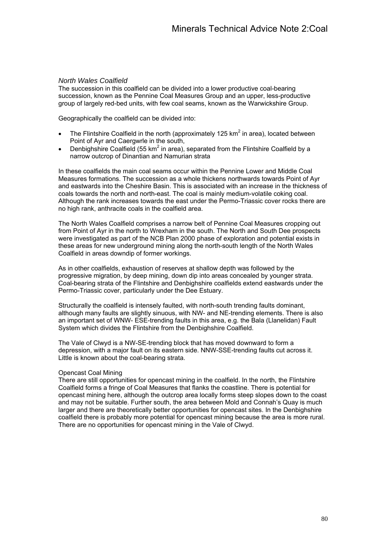### *North Wales Coalfield*

The succession in this coalfield can be divided into a lower productive coal-bearing succession, known as the Pennine Coal Measures Group and an upper, less-productive group of largely red-bed units, with few coal seams, known as the Warwickshire Group.

Geographically the coalfield can be divided into:

- The Flintshire Coalfield in the north (approximately 125 km<sup>2</sup> in area), located between Point of Ayr and Caergwrle in the south,
- Denbighshire Coalfield (55 km<sup>2</sup> in area), separated from the Flintshire Coalfield by a narrow outcrop of Dinantian and Namurian strata

In these coalfields the main coal seams occur within the Pennine Lower and Middle Coal Measures formations. The succession as a whole thickens northwards towards Point of Ayr and eastwards into the Cheshire Basin. This is associated with an increase in the thickness of coals towards the north and north-east. The coal is mainly medium-volatile coking coal. Although the rank increases towards the east under the Permo-Triassic cover rocks there are no high rank, anthracite coals in the coalfield area.

The North Wales Coalfield comprises a narrow belt of Pennine Coal Measures cropping out from Point of Ayr in the north to Wrexham in the south. The North and South Dee prospects were investigated as part of the NCB Plan 2000 phase of exploration and potential exists in these areas for new underground mining along the north-south length of the North Wales Coalfield in areas downdip of former workings.

As in other coalfields, exhaustion of reserves at shallow depth was followed by the progressive migration, by deep mining, down dip into areas concealed by younger strata. Coal-bearing strata of the Flintshire and Denbighshire coalfields extend eastwards under the Permo-Triassic cover, particularly under the Dee Estuary.

Structurally the coalfield is intensely faulted, with north-south trending faults dominant, although many faults are slightly sinuous, with NW- and NE-trending elements. There is also an important set of WNW- ESE-trending faults in this area, e.g. the Bala (Llanelidan) Fault System which divides the Flintshire from the Denbighshire Coalfield.

The Vale of Clwyd is a NW-SE-trending block that has moved downward to form a depression, with a major fault on its eastern side. NNW-SSE-trending faults cut across it. Little is known about the coal-bearing strata.

#### Opencast Coal Mining

There are still opportunities for opencast mining in the coalfield. In the north, the Flintshire Coalfield forms a fringe of Coal Measures that flanks the coastline. There is potential for opencast mining here, although the outcrop area locally forms steep slopes down to the coast and may not be suitable. Further south, the area between Mold and Connah's Quay is much larger and there are theoretically better opportunities for opencast sites. In the Denbighshire coalfield there is probably more potential for opencast mining because the area is more rural. There are no opportunities for opencast mining in the Vale of Clwyd.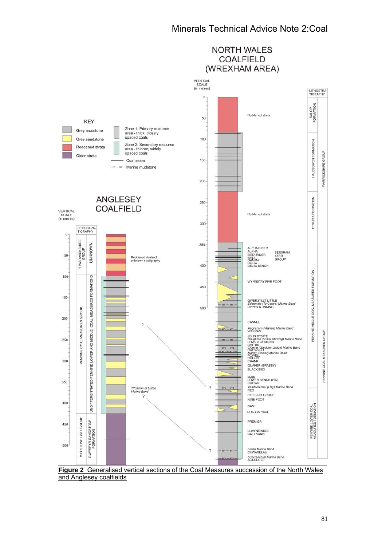**NORTH WALES** 



**Figure 2** Generalised vertical sections of the Coal Measures succession of the North Wales and Anglesey coalfields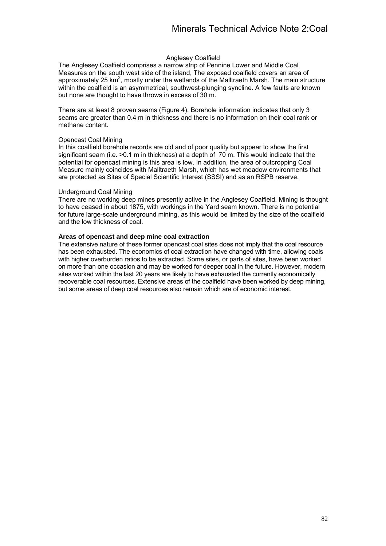### Anglesey Coalfield

The Anglesey Coalfield comprises a narrow strip of Pennine Lower and Middle Coal Measures on the south west side of the island, The exposed coalfield covers an area of approximately 25 km<sup>2</sup>, mostly under the wetlands of the Malltraeth Marsh. The main structure within the coalfield is an asymmetrical, southwest-plunging syncline. A few faults are known but none are thought to have throws in excess of 30 m.

There are at least 8 proven seams (Figure 4). Borehole information indicates that only 3 seams are greater than 0.4 m in thickness and there is no information on their coal rank or methane content.

#### Opencast Coal Mining

In this coalfield borehole records are old and of poor quality but appear to show the first significant seam (i.e. >0.1 m in thickness) at a depth of 70 m. This would indicate that the potential for opencast mining is this area is low. In addition, the area of outcropping Coal Measure mainly coincides with Malltraeth Marsh, which has wet meadow environments that are protected as Sites of Special Scientific Interest (SSSI) and as an RSPB reserve.

#### Underground Coal Mining

There are no working deep mines presently active in the Anglesey Coalfield. Mining is thought to have ceased in about 1875, with workings in the Yard seam known. There is no potential for future large-scale underground mining, as this would be limited by the size of the coalfield and the low thickness of coal.

#### **Areas of opencast and deep mine coal extraction**

The extensive nature of these former opencast coal sites does not imply that the coal resource has been exhausted. The economics of coal extraction have changed with time, allowing coals with higher overburden ratios to be extracted. Some sites, or parts of sites, have been worked on more than one occasion and may be worked for deeper coal in the future. However, modern sites worked within the last 20 years are likely to have exhausted the currently economically recoverable coal resources. Extensive areas of the coalfield have been worked by deep mining, but some areas of deep coal resources also remain which are of economic interest.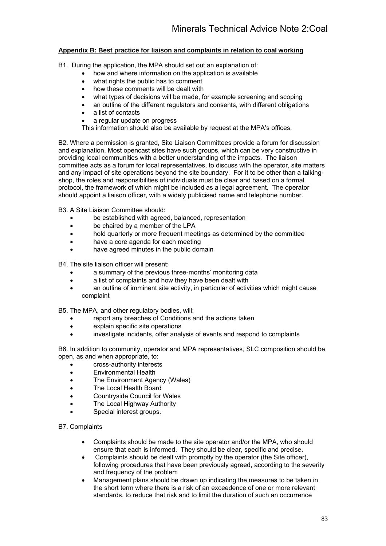## **Appendix B: Best practice for liaison and complaints in relation to coal working**

- B1. During the application, the MPA should set out an explanation of:
	- how and where information on the application is available
	- what rights the public has to comment
	- how these comments will be dealt with
	- what types of decisions will be made, for example screening and scoping
	- an outline of the different regulators and consents, with different obligations
	- a list of contacts
	- a regular update on progress

This information should also be available by request at the MPA's offices.

B2. Where a permission is granted, Site Liaison Committees provide a forum for discussion and explanation. Most opencast sites have such groups, which can be very constructive in providing local communities with a better understanding of the impacts. The liaison committee acts as a forum for local representatives, to discuss with the operator, site matters and any impact of site operations beyond the site boundary. For it to be other than a talkingshop, the roles and responsibilities of individuals must be clear and based on a formal protocol, the framework of which might be included as a legal agreement. The operator should appoint a liaison officer, with a widely publicised name and telephone number.

B3. A Site Liaison Committee should:

- be established with agreed, balanced, representation
- be chaired by a member of the LPA
- hold quarterly or more frequent meetings as determined by the committee
- have a core agenda for each meeting
- have agreed minutes in the public domain

B4. The site liaison officer will present:

- a summary of the previous three-months' monitoring data
- a list of complaints and how they have been dealt with
- an outline of imminent site activity, in particular of activities which might cause complaint

B5. The MPA, and other regulatory bodies, will:

- report any breaches of Conditions and the actions taken
- explain specific site operations
- investigate incidents, offer analysis of events and respond to complaints

B6. In addition to community, operator and MPA representatives, SLC composition should be open, as and when appropriate, to:

- cross-authority interests
- Environmental Health
- The Environment Agency (Wales)
- The Local Health Board
- Countryside Council for Wales
- The Local Highway Authority
- Special interest groups.
- B7. Complaints
	- Complaints should be made to the site operator and/or the MPA, who should ensure that each is informed. They should be clear, specific and precise.
	- Complaints should be dealt with promptly by the operator (the Site officer), following procedures that have been previously agreed, according to the severity and frequency of the problem
	- Management plans should be drawn up indicating the measures to be taken in the short term where there is a risk of an exceedence of one or more relevant standards, to reduce that risk and to limit the duration of such an occurrence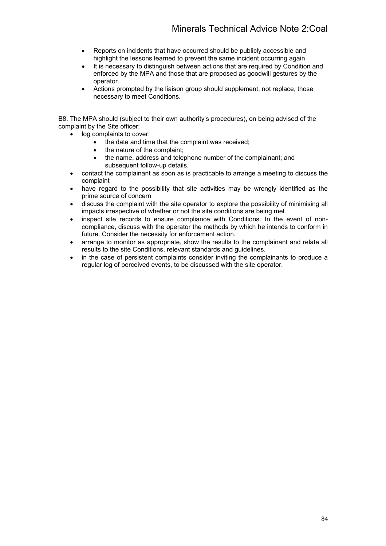- Reports on incidents that have occurred should be publicly accessible and highlight the lessons learned to prevent the same incident occurring again
- It is necessary to distinguish between actions that are required by Condition and enforced by the MPA and those that are proposed as goodwill gestures by the operator.
- Actions prompted by the liaison group should supplement, not replace, those necessary to meet Conditions.

B8. The MPA should (subject to their own authority's procedures), on being advised of the complaint by the Site officer:

- log complaints to cover:
	- the date and time that the complaint was received;
	- the nature of the complaint;
	- the name, address and telephone number of the complainant; and subsequent follow-up details.
- contact the complainant as soon as is practicable to arrange a meeting to discuss the complaint
- have regard to the possibility that site activities may be wrongly identified as the prime source of concern
- discuss the complaint with the site operator to explore the possibility of minimising all impacts irrespective of whether or not the site conditions are being met
- inspect site records to ensure compliance with Conditions. In the event of noncompliance, discuss with the operator the methods by which he intends to conform in future. Consider the necessity for enforcement action.
- arrange to monitor as appropriate, show the results to the complainant and relate all results to the site Conditions, relevant standards and guidelines.
- in the case of persistent complaints consider inviting the complainants to produce a regular log of perceived events, to be discussed with the site operator.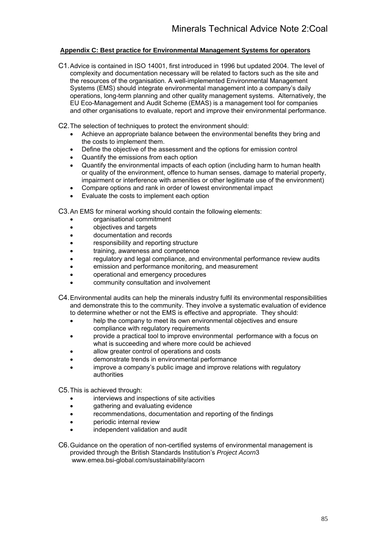# **Appendix C: Best practice for Environmental Management Systems for operators**

- C1. Advice is contained in ISO 14001, first introduced in 1996 but updated 2004. The level of complexity and documentation necessary will be related to factors such as the site and the resources of the organisation. A well-implemented Environmental Management Systems (EMS) should integrate environmental management into a company's daily operations, long-term planning and other quality management systems. Alternatively, the EU Eco-Management and Audit Scheme (EMAS) is a management tool for companies and other organisations to evaluate, report and improve their environmental performance.
- C2. The selection of techniques to protect the environment should:
	- Achieve an appropriate balance between the environmental benefits they bring and the costs to implement them.
	- Define the objective of the assessment and the options for emission control
	- Quantify the emissions from each option
	- Quantify the environmental impacts of each option (including harm to human health or quality of the environment, offence to human senses, damage to material property, impairment or interference with amenities or other legitimate use of the environment)
	- Compare options and rank in order of lowest environmental impact
	- Evaluate the costs to implement each option

C3. An EMS for mineral working should contain the following elements:

- organisational commitment
- objectives and targets
- documentation and records
- responsibility and reporting structure
- training, awareness and competence
- regulatory and legal compliance, and environmental performance review audits
- emission and performance monitoring, and measurement
- operational and emergency procedures
- community consultation and involvement
- C4. Environmental audits can help the minerals industry fulfil its environmental responsibilities and demonstrate this to the community. They involve a systematic evaluation of evidence to determine whether or not the EMS is effective and appropriate. They should:
	- help the company to meet its own environmental objectives and ensure compliance with regulatory requirements
	- provide a practical tool to improve environmental performance with a focus on what is succeeding and where more could be achieved
	- allow greater control of operations and costs
	- demonstrate trends in environmental performance
	- improve a company's public image and improve relations with regulatory authorities

C5. This is achieved through:

- interviews and inspections of site activities
- gathering and evaluating evidence
- recommendations, documentation and reporting of the findings
- periodic internal review
- independent validation and audit

C6. Guidance on the operation of non-certified systems of environmental management is provided through the British Standards Institution's *Project Acorn*3 www.emea.bsi-global.com/sustainability/acorn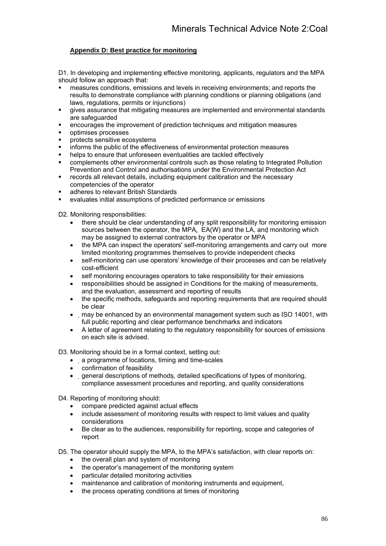# **Appendix D: Best practice for monitoring**

D1. In developing and implementing effective monitoring, applicants, regulators and the MPA should follow an approach that:

- measures conditions, emissions and levels in receiving environments; and reports the results to demonstrate compliance with planning conditions or planning obligations (and laws, regulations, permits or injunctions)
- gives assurance that mitigating measures are implemented and environmental standards are safeguarded
- encourages the improvement of prediction techniques and mitigation measures
- **•** optimises processes
- **Protects sensitive ecosystems**
- informs the public of the effectiveness of environmental protection measures
- helps to ensure that unforeseen eventualities are tackled effectively
- complements other environmental controls such as those relating to Integrated Pollution Prevention and Control and authorisations under the Environmental Protection Act
- records all relevant details, including equipment calibration and the necessary competencies of the operator
- adheres to relevant British Standards
- evaluates initial assumptions of predicted performance or emissions

D2. Monitoring responsibilities:

- there should be clear understanding of any split responsibility for monitoring emission sources between the operator, the MPA, EA(W) and the LA, and monitoring which may be assigned to external contractors by the operator or MPA
- the MPA can inspect the operators' self-monitoring arrangements and carry out more limited monitoring programmes themselves to provide independent checks
- self-monitoring can use operators' knowledge of their processes and can be relatively cost-efficient
- self monitoring encourages operators to take responsibility for their emissions
- responsibilities should be assigned in Conditions for the making of measurements, and the evaluation, assessment and reporting of results
- the specific methods, safeguards and reporting requirements that are required should be clear
- may be enhanced by an environmental management system such as ISO 14001, with full public reporting and clear performance benchmarks and indicators
- A letter of agreement relating to the regulatory responsibility for sources of emissions on each site is advised.

D3. Monitoring should be in a formal context, setting out:

- a programme of locations, timing and time-scales
- confirmation of feasibility
- general descriptions of methods, detailed specifications of types of monitoring, compliance assessment procedures and reporting, and quality considerations

D4. Reporting of monitoring should:

- compare predicted against actual effects
- include assessment of monitoring results with respect to limit values and quality considerations
- Be clear as to the audiences, responsibility for reporting, scope and categories of report
- D5. The operator should supply the MPA, to the MPA's satisfaction, with clear reports on:
	- the overall plan and system of monitoring
	- the operator's management of the monitoring system
	- particular detailed monitoring activities
	- maintenance and calibration of monitoring instruments and equipment,
	- the process operating conditions at times of monitoring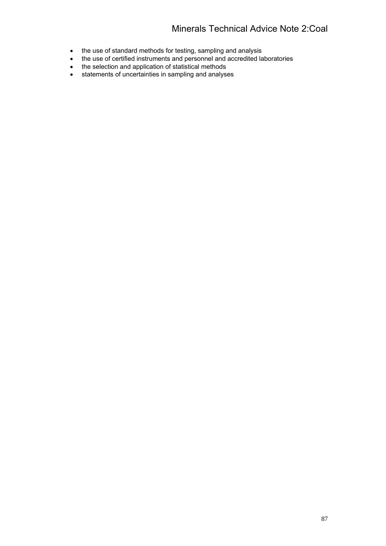- the use of standard methods for testing, sampling and analysis
- the use of certified instruments and personnel and accredited laboratories
- the selection and application of statistical methods
- statements of uncertainties in sampling and analyses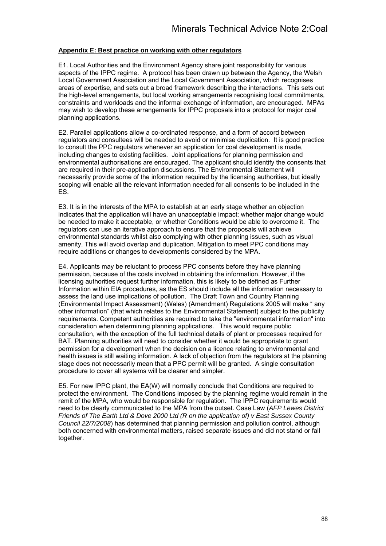## **Appendix E: Best practice on working with other regulators**

E1. Local Authorities and the Environment Agency share joint responsibility for various aspects of the IPPC regime. A protocol has been drawn up between the Agency, the Welsh Local Government Association and the Local Government Association, which recognises areas of expertise, and sets out a broad framework describing the interactions. This sets out the high-level arrangements, but local working arrangements recognising local commitments, constraints and workloads and the informal exchange of information, are encouraged. MPAs may wish to develop these arrangements for IPPC proposals into a protocol for major coal planning applications.

E2. Parallel applications allow a co-ordinated response, and a form of accord between regulators and consultees will be needed to avoid or minimise duplication. It is good practice to consult the PPC regulators whenever an application for coal development is made, including changes to existing facilities. Joint applications for planning permission and environmental authorisations are encouraged. The applicant should identify the consents that are required in their pre-application discussions. The Environmental Statement will necessarily provide some of the information required by the licensing authorities, but ideally scoping will enable all the relevant information needed for all consents to be included in the ES.

E3. It is in the interests of the MPA to establish at an early stage whether an objection indicates that the application will have an unacceptable impact; whether major change would be needed to make it acceptable, or whether Conditions would be able to overcome it. The regulators can use an iterative approach to ensure that the proposals will achieve environmental standards whilst also complying with other planning issues, such as visual amenity. This will avoid overlap and duplication. Mitigation to meet PPC conditions may require additions or changes to developments considered by the MPA.

E4. Applicants may be reluctant to process PPC consents before they have planning permission, because of the costs involved in obtaining the information. However, if the licensing authorities request further information, this is likely to be defined as Further Information within EIA procedures, as the ES should include all the information necessary to assess the land use implications of pollution. The Draft Town and Country Planning (Environmental Impact Assessment) (Wales) (Amendment) Regulations 2005 will make " any other information" (that which relates to the Environmental Statement) subject to the publicity requirements. Competent authorities are required to take the "environmental information" into consideration when determining planning applications. This would require public consultation, with the exception of the full technical details of plant or processes required for BAT. Planning authorities will need to consider whether it would be appropriate to grant permission for a development when the decision on a licence relating to environmental and health issues is still waiting information. A lack of objection from the regulators at the planning stage does not necessarily mean that a PPC permit will be granted. A single consultation procedure to cover all systems will be clearer and simpler.

E5. For new IPPC plant, the EA(W) will normally conclude that Conditions are required to protect the environment. The Conditions imposed by the planning regime would remain in the remit of the MPA, who would be responsible for regulation. The IPPC requirements would need to be clearly communicated to the MPA from the outset. Case Law (*AFP Lewes District Friends of The Earth Ltd & Dove 2000 Ltd (R on the application of) v East Sussex County Council 22/7/2008*) has determined that planning permission and pollution control, although both concerned with environmental matters, raised separate issues and did not stand or fall together.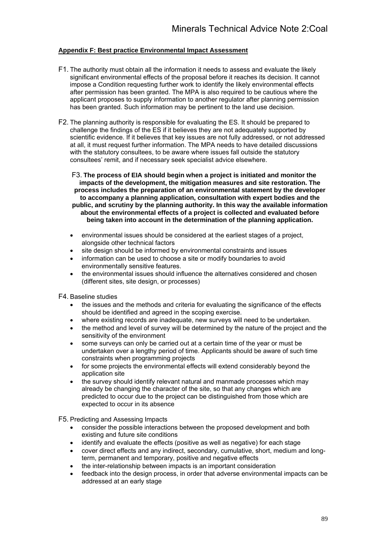# **Appendix F: Best practice Environmental Impact Assessment**

- F1. The authority must obtain all the information it needs to assess and evaluate the likely significant environmental effects of the proposal before it reaches its decision. It cannot impose a Condition requesting further work to identify the likely environmental effects after permission has been granted. The MPA is also required to be cautious where the applicant proposes to supply information to another regulator after planning permission has been granted. Such information may be pertinent to the land use decision.
- F2. The planning authority is responsible for evaluating the ES. It should be prepared to challenge the findings of the ES if it believes they are not adequately supported by scientific evidence. If it believes that key issues are not fully addressed, or not addressed at all, it must request further information. The MPA needs to have detailed discussions with the statutory consultees, to be aware where issues fall outside the statutory consultees' remit, and if necessary seek specialist advice elsewhere.

F3. **The process of EIA should begin when a project is initiated and monitor the impacts of the development, the mitigation measures and site restoration. The process includes the preparation of an environmental statement by the developer to accompany a planning application, consultation with expert bodies and the public, and scrutiny by the planning authority. In this way the available information about the environmental effects of a project is collected and evaluated before being taken into account in the determination of the planning application.** 

- environmental issues should be considered at the earliest stages of a project, alongside other technical factors
- site design should be informed by environmental constraints and issues
- information can be used to choose a site or modify boundaries to avoid environmentally sensitive features.
- the environmental issues should influence the alternatives considered and chosen (different sites, site design, or processes)

F4. Baseline studies

- the issues and the methods and criteria for evaluating the significance of the effects should be identified and agreed in the scoping exercise.
- where existing records are inadequate, new surveys will need to be undertaken.
- the method and level of survey will be determined by the nature of the project and the sensitivity of the environment
- some surveys can only be carried out at a certain time of the year or must be undertaken over a lengthy period of time. Applicants should be aware of such time constraints when programming projects
- for some projects the environmental effects will extend considerably beyond the application site
- the survey should identify relevant natural and manmade processes which may already be changing the character of the site, so that any changes which are predicted to occur due to the project can be distinguished from those which are expected to occur in its absence

F5. Predicting and Assessing Impacts

- consider the possible interactions between the proposed development and both existing and future site conditions
- identify and evaluate the effects (positive as well as negative) for each stage
- cover direct effects and any indirect, secondary, cumulative, short, medium and longterm, permanent and temporary, positive and negative effects
- the inter-relationship between impacts is an important consideration
- feedback into the design process, in order that adverse environmental impacts can be addressed at an early stage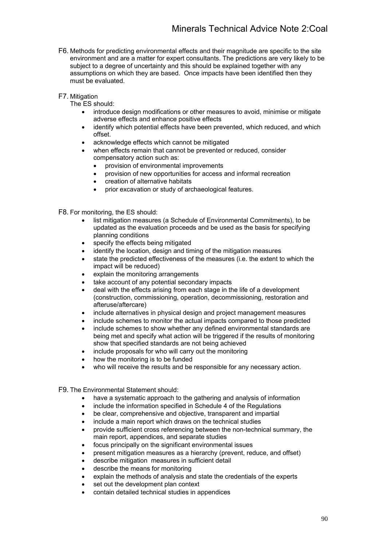F6. Methods for predicting environmental effects and their magnitude are specific to the site environment and are a matter for expert consultants. The predictions are very likely to be subject to a degree of uncertainty and this should be explained together with any assumptions on which they are based. Once impacts have been identified then they must be evaluated.

F7. Mitigation

The ES should:

- introduce design modifications or other measures to avoid, minimise or mitigate adverse effects and enhance positive effects
- identify which potential effects have been prevented, which reduced, and which offset.
- acknowledge effects which cannot be mitigated
- when effects remain that cannot be prevented or reduced, consider compensatory action such as:
	- provision of environmental improvements
	- provision of new opportunities for access and informal recreation
	- creation of alternative habitats
	- prior excavation or study of archaeological features.

F8. For monitoring, the ES should:

- list mitigation measures (a Schedule of Environmental Commitments), to be updated as the evaluation proceeds and be used as the basis for specifying planning conditions
- specify the effects being mitigated
- identify the location, design and timing of the mitigation measures
- state the predicted effectiveness of the measures (i.e. the extent to which the impact will be reduced)
- explain the monitoring arrangements
- take account of any potential secondary impacts
- deal with the effects arising from each stage in the life of a development (construction, commissioning, operation, decommissioning, restoration and afteruse/aftercare)
- include alternatives in physical design and project management measures
- include schemes to monitor the actual impacts compared to those predicted
- include schemes to show whether any defined environmental standards are being met and specify what action will be triggered if the results of monitoring show that specified standards are not being achieved
- include proposals for who will carry out the monitoring
- how the monitoring is to be funded
- who will receive the results and be responsible for any necessary action.
- F9. The Environmental Statement should:
	- have a systematic approach to the gathering and analysis of information
	- include the information specified in Schedule 4 of the Regulations
	- be clear, comprehensive and objective, transparent and impartial
	- include a main report which draws on the technical studies
	- provide sufficient cross referencing between the non-technical summary, the main report, appendices, and separate studies
	- focus principally on the significant environmental issues
	- present mitigation measures as a hierarchy (prevent, reduce, and offset)
	- describe mitigation measures in sufficient detail
	- describe the means for monitoring
	- explain the methods of analysis and state the credentials of the experts
	- set out the development plan context
	- contain detailed technical studies in appendices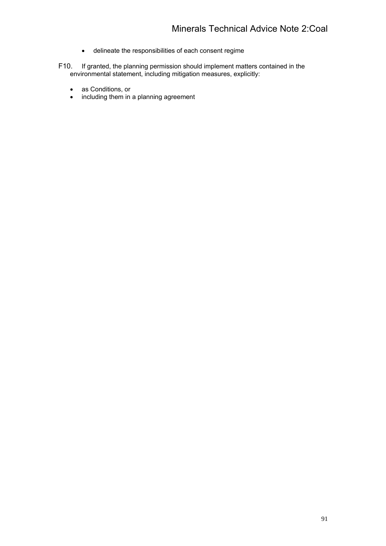- delineate the responsibilities of each consent regime
- F10. If granted, the planning permission should implement matters contained in the environmental statement, including mitigation measures, explicitly:
	- as Conditions, or
	- including them in a planning agreement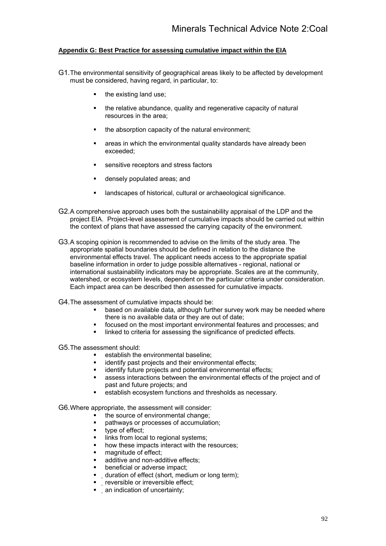# **Appendix G: Best Practice for assessing cumulative impact within the EIA**

- G1. The environmental sensitivity of geographical areas likely to be affected by development must be considered, having regard, in particular, to:
	- the existing land use;
	- the relative abundance, quality and regenerative capacity of natural resources in the area;
	- the absorption capacity of the natural environment;
	- areas in which the environmental quality standards have already been exceeded;
	- **sensitive receptors and stress factors**
	- densely populated areas; and
	- landscapes of historical, cultural or archaeological significance.
- G2. A comprehensive approach uses both the sustainability appraisal of the LDP and the project EIA. Project-level assessment of cumulative impacts should be carried out within the context of plans that have assessed the carrying capacity of the environment.
- G3. A scoping opinion is recommended to advise on the limits of the study area. The appropriate spatial boundaries should be defined in relation to the distance the environmental effects travel. The applicant needs access to the appropriate spatial baseline information in order to judge possible alternatives - regional, national or international sustainability indicators may be appropriate. Scales are at the community, watershed, or ecosystem levels, dependent on the particular criteria under consideration. Each impact area can be described then assessed for cumulative impacts.
- G4. The assessment of cumulative impacts should be:
	- based on available data, although further survey work may be needed where there is no available data or they are out of date;
	- focused on the most important environmental features and processes; and
	- **Inked to criteria for assessing the significance of predicted effects.**
- G5. The assessment should:
	- establish the environmental baseline;
	- identify past projects and their environmental effects;
	- **EXECUTE:** identify future projects and potential environmental effects;
	- assess interactions between the environmental effects of the project and of past and future projects; and
	- establish ecosystem functions and thresholds as necessary.

G6. Where appropriate, the assessment will consider:

- the source of environmental change;
- **•** pathways or processes of accumulation:
- type of effect;<br>■ links from loca
- links from local to regional systems;
- how these impacts interact with the resources:
- **•** magnitude of effect;
- **additive and non-additive effects;**
- **•** beneficial or adverse impact;
- **duration of effect (short, medium or long term);**
- **•** reversible or irreversible effect;
- an indication of uncertainty;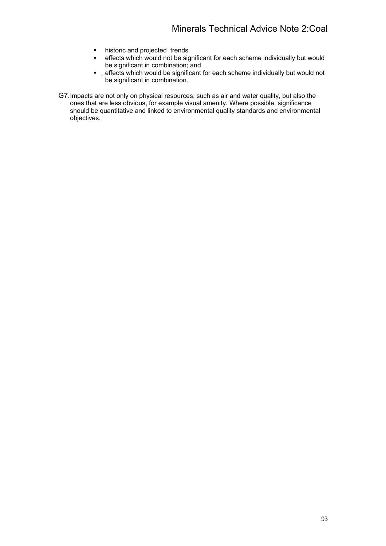- historic and projected trends<br>• effects which would not be side
- effects which would not be significant for each scheme individually but would be significant in combination; and
- effects which would be significant for each scheme individually but would not be significant in combination.
- G7. Impacts are not only on physical resources, such as air and water quality, but also the ones that are less obvious, for example visual amenity. Where possible, significance should be quantitative and linked to environmental quality standards and environmental objectives.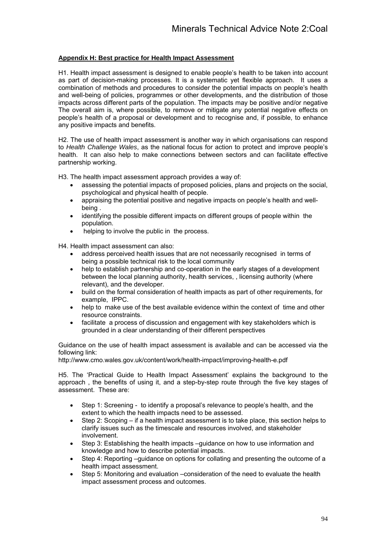## **Appendix H: Best practice for Health Impact Assessment**

H1. Health impact assessment is designed to enable people's health to be taken into account as part of decision-making processes. It is a systematic yet flexible approach. It uses a combination of methods and procedures to consider the potential impacts on people's health and well-being of policies, programmes or other developments, and the distribution of those impacts across different parts of the population. The impacts may be positive and/or negative The overall aim is, where possible, to remove or mitigate any potential negative effects on people's health of a proposal or development and to recognise and, if possible, to enhance any positive impacts and benefits.

H2. The use of health impact assessment is another way in which organisations can respond to *Health Challenge Wales*, as the national focus for action to protect and improve people's health. It can also help to make connections between sectors and can facilitate effective partnership working.

H3. The health impact assessment approach provides a way of:

- assessing the potential impacts of proposed policies, plans and projects on the social, psychological and physical health of people.
- appraising the potential positive and negative impacts on people's health and wellbeing .
- identifying the possible different impacts on different groups of people within the population.
- helping to involve the public in the process.

H4. Health impact assessment can also:

- address perceived health issues that are not necessarily recognised in terms of being a possible technical risk to the local community
- help to establish partnership and co-operation in the early stages of a development between the local planning authority, health services, , licensing authority (where relevant), and the developer.
- build on the formal consideration of health impacts as part of other requirements, for example, IPPC.
- help to make use of the best available evidence within the context of time and other resource constraints.
- facilitate a process of discussion and engagement with key stakeholders which is grounded in a clear understanding of their different perspectives

Guidance on the use of health impact assessment is available and can be accessed via the following link:

http://www.cmo.wales.gov.uk/content/work/health-impact/improving-health-e.pdf

H5. The 'Practical Guide to Health Impact Assessment' explains the background to the approach , the benefits of using it, and a step-by-step route through the five key stages of assessment. These are:

- Step 1: Screening to identify a proposal's relevance to people's health, and the extent to which the health impacts need to be assessed.
- Step 2: Scoping if a health impact assessment is to take place, this section helps to clarify issues such as the timescale and resources involved, and stakeholder involvement.
- Step 3: Establishing the health impacts –guidance on how to use information and knowledge and how to describe potential impacts.
- Step 4: Reporting –guidance on options for collating and presenting the outcome of a health impact assessment.
- Step 5: Monitoring and evaluation –consideration of the need to evaluate the health impact assessment process and outcomes.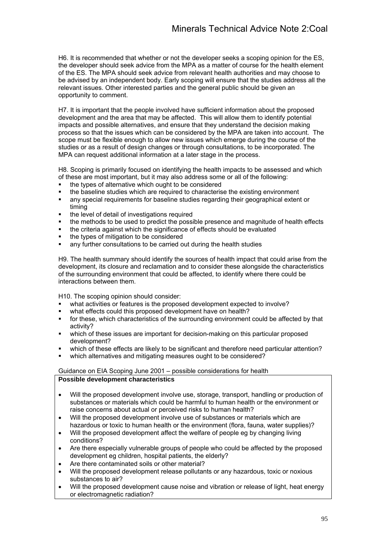H6. It is recommended that whether or not the developer seeks a scoping opinion for the ES, the developer should seek advice from the MPA as a matter of course for the health element of the ES. The MPA should seek advice from relevant health authorities and may choose to be advised by an independent body. Early scoping will ensure that the studies address all the relevant issues. Other interested parties and the general public should be given an opportunity to comment.

H7. It is important that the people involved have sufficient information about the proposed development and the area that may be affected. This will allow them to identify potential impacts and possible alternatives, and ensure that they understand the decision making process so that the issues which can be considered by the MPA are taken into account. The scope must be flexible enough to allow new issues which emerge during the course of the studies or as a result of design changes or through consultations, to be incorporated. The MPA can request additional information at a later stage in the process.

H8. Scoping is primarily focused on identifying the health impacts to be assessed and which of these are most important, but it may also address some or all of the following:

- the types of alternative which ought to be considered
- the baseline studies which are required to characterise the existing environment
- any special requirements for baseline studies regarding their geographical extent or
- timing • the level of detail of investigations required
- the methods to be used to predict the possible presence and magnitude of health effects
- the criteria against which the significance of effects should be evaluated
- the types of mitigation to be considered
- any further consultations to be carried out during the health studies

H9. The health summary should identify the sources of health impact that could arise from the development, its closure and reclamation and to consider these alongside the characteristics of the surrounding environment that could be affected, to identify where there could be interactions between them.

H10. The scoping opinion should consider:

- what activities or features is the proposed development expected to involve?
- what effects could this proposed development have on health?
- for these, which characteristics of the surrounding environment could be affected by that activity?
- which of these issues are important for decision-making on this particular proposed development?
- which of these effects are likely to be significant and therefore need particular attention?
- which alternatives and mitigating measures ought to be considered?

# Guidance on EIA Scoping June 2001 – possible considerations for health **Possible development characteristics**

- Will the proposed development involve use, storage, transport, handling or production of substances or materials which could be harmful to human health or the environment or raise concerns about actual or perceived risks to human health?
- Will the proposed development involve use of substances or materials which are hazardous or toxic to human health or the environment (flora, fauna, water supplies)?
- Will the proposed development affect the welfare of people eg by changing living conditions?
- Are there especially vulnerable groups of people who could be affected by the proposed development eg children, hospital patients, the elderly?
- Are there contaminated soils or other material?
- Will the proposed development release pollutants or any hazardous, toxic or noxious substances to air?
- Will the proposed development cause noise and vibration or release of light, heat energy or electromagnetic radiation?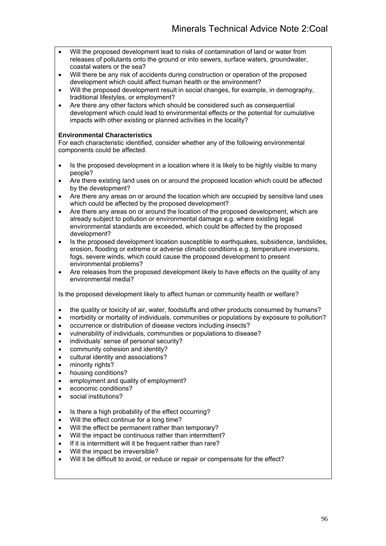- Will the proposed development lead to risks of contamination of land or water from releases of pollutants onto the ground or into sewers, surface waters, groundwater, coastal waters or the sea?
- Will there be any risk of accidents during construction or operation of the proposed development which could affect human health or the environment?
- Will the proposed development result in social changes, for example, in demography, traditional lifestyles, or employment?
- Are there any other factors which should be considered such as consequential development which could lead to environmental effects or the potential for cumulative impacts with other existing or planned activities in the locality?

### **Environmental Characteristics**

For each characteristic identified, consider whether any of the following environmental components could be affected.

- Is the proposed development in a location where it is likely to be highly visible to many people?
- Are there existing land uses on or around the proposed location which could be affected by the development?
- Are there any areas on or around the location which are occupied by sensitive land uses which could be affected by the proposed development?
- Are there any areas on or around the location of the proposed development, which are already subject to pollution or environmental damage e.g. where existing legal environmental standards are exceeded, which could be affected by the proposed development?
- Is the proposed development location susceptible to earthquakes, subsidence, landslides, erosion, flooding or extreme or adverse climatic conditions e.g. temperature inversions, fogs, severe winds, which could cause the proposed development to present environmental problems?
- Are releases from the proposed development likely to have effects on the quality of any environmental media?

Is the proposed development likely to affect human or community health or welfare?

- the quality or toxicity of air, water, foodstuffs and other products consumed by humans?
- morbidity or mortality of individuals, communities or populations by exposure to pollution?
- occurrence or distribution of disease vectors including insects?
- vulnerability of individuals, communities or populations to disease?
- individuals' sense of personal security?
- community cohesion and identity?
- cultural identity and associations?
- minority rights?
- housing conditions?
- employment and quality of employment?
- economic conditions?
- social institutions?
- Is there a high probability of the effect occurring?
- Will the effect continue for a long time?
- Will the effect be permanent rather than temporary?
- Will the impact be continuous rather than intermittent?
- If it is intermittent will it be frequent rather than rare?
- Will the impact be irreversible?
- Will it be difficult to avoid, or reduce or repair or compensate for the effect?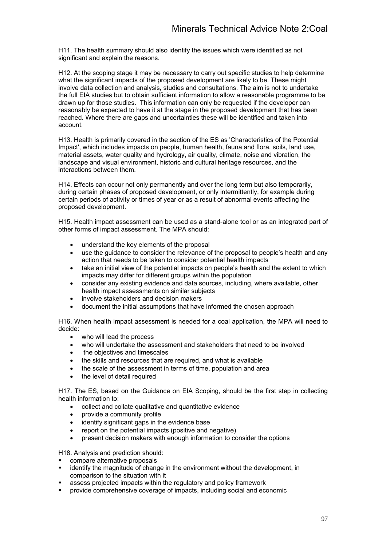H11. The health summary should also identify the issues which were identified as not significant and explain the reasons.

H12. At the scoping stage it may be necessary to carry out specific studies to help determine what the significant impacts of the proposed development are likely to be. These might involve data collection and analysis, studies and consultations. The aim is not to undertake the full EIA studies but to obtain sufficient information to allow a reasonable programme to be drawn up for those studies. This information can only be requested if the developer can reasonably be expected to have it at the stage in the proposed development that has been reached. Where there are gaps and uncertainties these will be identified and taken into account.

H13. Health is primarily covered in the section of the ES as 'Characteristics of the Potential Impact', which includes impacts on people, human health, fauna and flora, soils, land use, material assets, water quality and hydrology, air quality, climate, noise and vibration, the landscape and visual environment, historic and cultural heritage resources, and the interactions between them.

H14. Effects can occur not only permanently and over the long term but also temporarily, during certain phases of proposed development, or only intermittently, for example during certain periods of activity or times of year or as a result of abnormal events affecting the proposed development.

H15. Health impact assessment can be used as a stand-alone tool or as an integrated part of other forms of impact assessment. The MPA should:

- understand the key elements of the proposal
- use the guidance to consider the relevance of the proposal to people's health and any action that needs to be taken to consider potential health impacts
- take an initial view of the potential impacts on people's health and the extent to which impacts may differ for different groups within the population
- consider any existing evidence and data sources, including, where available, other health impact assessments on similar subjects
- involve stakeholders and decision makers
- document the initial assumptions that have informed the chosen approach

H16. When health impact assessment is needed for a coal application, the MPA will need to decide:

- who will lead the process
- who will undertake the assessment and stakeholders that need to be involved
- the objectives and timescales
- the skills and resources that are required, and what is available
- the scale of the assessment in terms of time, population and area
- the level of detail required

H17. The ES, based on the Guidance on EIA Scoping, should be the first step in collecting health information to:

- collect and collate qualitative and quantitative evidence
- provide a community profile
- identify significant gaps in the evidence base
- report on the potential impacts (positive and negative)
- present decision makers with enough information to consider the options

H18. Analysis and prediction should:

- compare alternative proposals
- identify the magnitude of change in the environment without the development, in comparison to the situation with it
- assess projected impacts within the regulatory and policy framework
- provide comprehensive coverage of impacts, including social and economic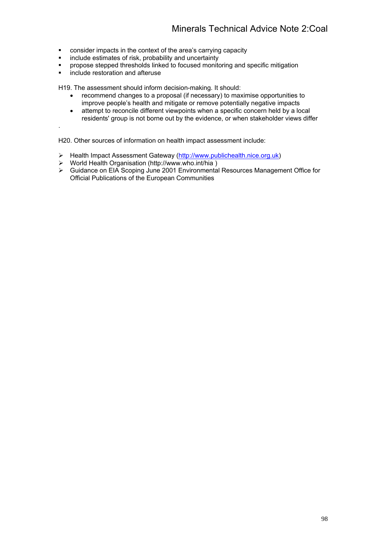- consider impacts in the context of the area's carrying capacity
- **EXECUTE:** include estimates of risk, probability and uncertainty
- **•** propose stepped thresholds linked to focused monitoring and specific mitigation
- **EXEC** include restoration and afteruse

.

H19. The assessment should inform decision-making. It should:

- recommend changes to a proposal (if necessary) to maximise opportunities to improve people's health and mitigate or remove potentially negative impacts
- attempt to reconcile different viewpoints when a specific concern held by a local residents' group is not borne out by the evidence, or when stakeholder views differ

H20. Other sources of information on health impact assessment include:

- ¾ Health Impact Assessment Gateway (http://www.publichealth.nice.org.uk)
- ¾ World Health Organisation (http://www.who.int/hia )
- ¾ Guidance on EIA Scoping June 2001 Environmental Resources Management Office for Official Publications of the European Communities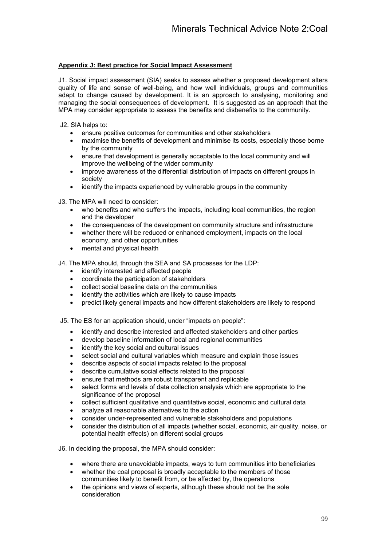# **Appendix J: Best practice for Social Impact Assessment**

J1. Social impact assessment (SIA) seeks to assess whether a proposed development alters quality of life and sense of well-being, and how well individuals, groups and communities adapt to change caused by development. It is an approach to analysing, monitoring and managing the social consequences of development. It is suggested as an approach that the MPA may consider appropriate to assess the benefits and disbenefits to the community.

J2. SIA helps to:

- ensure positive outcomes for communities and other stakeholders
- maximise the benefits of development and minimise its costs, especially those borne by the community
- ensure that development is generally acceptable to the local community and will improve the wellbeing of the wider community
- improve awareness of the differential distribution of impacts on different groups in society
- identify the impacts experienced by vulnerable groups in the community

J3. The MPA will need to consider:

- who benefits and who suffers the impacts, including local communities, the region and the developer
- the consequences of the development on community structure and infrastructure
- whether there will be reduced or enhanced employment, impacts on the local economy, and other opportunities
- mental and physical health
- J4. The MPA should, through the SEA and SA processes for the LDP:
	- identify interested and affected people
	- coordinate the participation of stakeholders
	- collect social baseline data on the communities
	- identify the activities which are likely to cause impacts
	- predict likely general impacts and how different stakeholders are likely to respond

J5. The ES for an application should, under "impacts on people":

- identify and describe interested and affected stakeholders and other parties
- develop baseline information of local and regional communities
- identify the key social and cultural issues
- select social and cultural variables which measure and explain those issues
- describe aspects of social impacts related to the proposal
- describe cumulative social effects related to the proposal
- ensure that methods are robust transparent and replicable
- select forms and levels of data collection analysis which are appropriate to the significance of the proposal
- collect sufficient qualitative and quantitative social, economic and cultural data
- analyze all reasonable alternatives to the action
- consider under-represented and vulnerable stakeholders and populations
- consider the distribution of all impacts (whether social, economic, air quality, noise, or potential health effects) on different social groups

J6. In deciding the proposal, the MPA should consider:

- where there are unavoidable impacts, ways to turn communities into beneficiaries
- whether the coal proposal is broadly acceptable to the members of those communities likely to benefit from, or be affected by, the operations
- the opinions and views of experts, although these should not be the sole consideration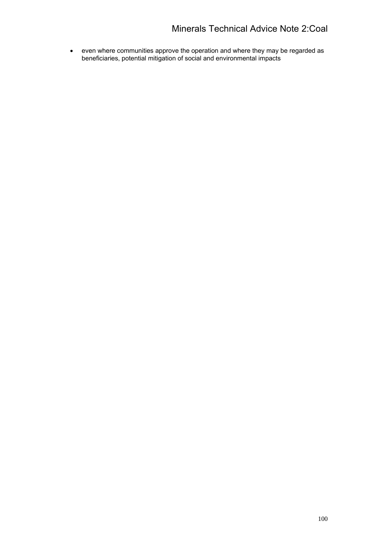• even where communities approve the operation and where they may be regarded as beneficiaries, potential mitigation of social and environmental impacts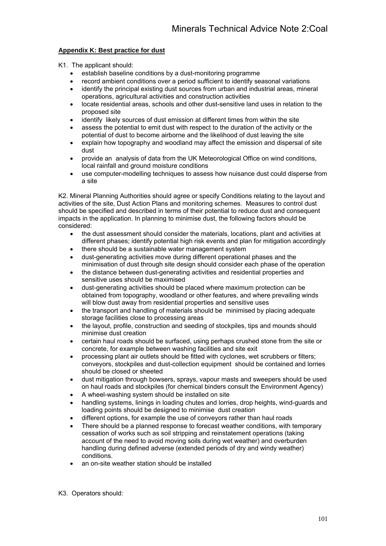# **Appendix K: Best practice for dust**

K1. The applicant should:

- establish baseline conditions by a dust-monitoring programme
- record ambient conditions over a period sufficient to identify seasonal variations
- identify the principal existing dust sources from urban and industrial areas, mineral operations, agricultural activities and construction activities
- locate residential areas, schools and other dust-sensitive land uses in relation to the proposed site
- identify likely sources of dust emission at different times from within the site
- assess the potential to emit dust with respect to the duration of the activity or the potential of dust to become airborne and the likelihood of dust leaving the site
- explain how topography and woodland may affect the emission and dispersal of site dust
- provide an analysis of data from the UK Meteorological Office on wind conditions, local rainfall and ground moisture conditions
- use computer-modelling techniques to assess how nuisance dust could disperse from a site

K2. Mineral Planning Authorities should agree or specify Conditions relating to the layout and activities of the site, Dust Action Plans and monitoring schemes. Measures to control dust should be specified and described in terms of their potential to reduce dust and consequent impacts in the application. In planning to minimise dust, the following factors should be considered:

- the dust assessment should consider the materials, locations, plant and activities at different phases; identify potential high risk events and plan for mitigation accordingly
- there should be a sustainable water management system
- dust-generating activities move during different operational phases and the minimisation of dust through site design should consider each phase of the operation
- the distance between dust-generating activities and residential properties and sensitive uses should be maximised
- dust-generating activities should be placed where maximum protection can be obtained from topography, woodland or other features, and where prevailing winds will blow dust away from residential properties and sensitive uses
- the transport and handling of materials should be minimised by placing adequate storage facilities close to processing areas
- the layout, profile, construction and seeding of stockpiles, tips and mounds should minimise dust creation
- certain haul roads should be surfaced, using perhaps crushed stone from the site or concrete, for example between washing facilities and site exit
- processing plant air outlets should be fitted with cyclones, wet scrubbers or filters; conveyors, stockpiles and dust-collection equipment should be contained and lorries should be closed or sheeted
- dust mitigation through bowsers, sprays, vapour masts and sweepers should be used on haul roads and stockpiles (for chemical binders consult the Environment Agency)
- A wheel-washing system should be installed on site
- handling systems, linings in loading chutes and lorries, drop heights, wind-guards and loading points should be designed to minimise dust creation
- different options, for example the use of conveyors rather than haul roads
- There should be a planned response to forecast weather conditions, with temporary cessation of works such as soil stripping and reinstatement operations (taking account of the need to avoid moving soils during wet weather) and overburden handling during defined adverse (extended periods of dry and windy weather) conditions.
- an on-site weather station should be installed

K3. Operators should: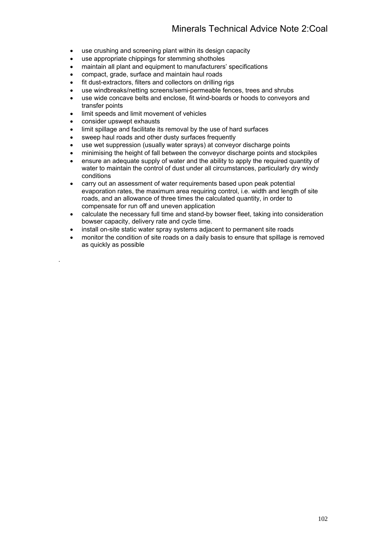- use crushing and screening plant within its design capacity
- use appropriate chippings for stemming shotholes
- maintain all plant and equipment to manufacturers' specifications
- compact, grade, surface and maintain haul roads
- fit dust-extractors, filters and collectors on drilling rigs
- use windbreaks/netting screens/semi-permeable fences, trees and shrubs
- use wide concave belts and enclose, fit wind-boards or hoods to conveyors and transfer points
- limit speeds and limit movement of vehicles
- consider upswept exhausts

.

- limit spillage and facilitate its removal by the use of hard surfaces
- sweep haul roads and other dusty surfaces frequently
- use wet suppression (usually water sprays) at conveyor discharge points
- minimising the height of fall between the conveyor discharge points and stockpiles
- ensure an adequate supply of water and the ability to apply the required quantity of water to maintain the control of dust under all circumstances, particularly dry windy conditions
- carry out an assessment of water requirements based upon peak potential evaporation rates, the maximum area requiring control, i.e. width and length of site roads, and an allowance of three times the calculated quantity, in order to compensate for run off and uneven application
- calculate the necessary full time and stand-by bowser fleet, taking into consideration bowser capacity, delivery rate and cycle time.
- install on-site static water spray systems adjacent to permanent site roads
- monitor the condition of site roads on a daily basis to ensure that spillage is removed as quickly as possible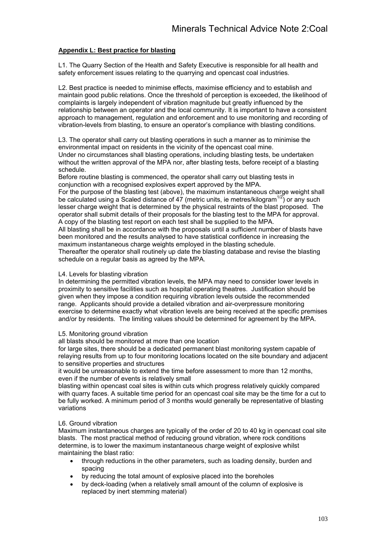# **Appendix L: Best practice for blasting**

L1. The Quarry Section of the Health and Safety Executive is responsible for all health and safety enforcement issues relating to the quarrying and opencast coal industries.

L2. Best practice is needed to minimise effects, maximise efficiency and to establish and maintain good public relations. Once the threshold of perception is exceeded, the likelihood of complaints is largely independent of vibration magnitude but greatly influenced by the relationship between an operator and the local community. It is important to have a consistent approach to management, regulation and enforcement and to use monitoring and recording of vibration-levels from blasting, to ensure an operator's compliance with blasting conditions.

L3. The operator shall carry out blasting operations in such a manner as to minimise the environmental impact on residents in the vicinity of the opencast coal mine. Under no circumstances shall blasting operations, including blasting tests, be undertaken without the written approval of the MPA nor, after blasting tests, before receipt of a blasting schedule.

Before routine blasting is commenced, the operator shall carry out blasting tests in conjunction with a recognised explosives expert approved by the MPA.

For the purpose of the blasting test (above), the maximum instantaneous charge weight shall be calculated using a Scaled distance of 47 (metric units, ie metres/kilogram<sup>1/2</sup>) or any such lesser charge weight that is determined by the physical restraints of the blast proposed. The operator shall submit details of their proposals for the blasting test to the MPA for approval. A copy of the blasting test report on each test shall be supplied to the MPA.

All blasting shall be in accordance with the proposals until a sufficient number of blasts have been monitored and the results analysed to have statistical confidence in increasing the maximum instantaneous charge weights employed in the blasting schedule.

Thereafter the operator shall routinely up date the blasting database and revise the blasting schedule on a regular basis as agreed by the MPA.

#### L4. Levels for blasting vibration

In determining the permitted vibration levels, the MPA may need to consider lower levels in proximity to sensitive facilities such as hospital operating theatres. Justification should be given when they impose a condition requiring vibration levels outside the recommended range. Applicants should provide a detailed vibration and air-overpressure monitoring exercise to determine exactly what vibration levels are being received at the specific premises and/or by residents. The limiting values should be determined for agreement by the MPA.

### L5. Monitoring ground vibration

all blasts should be monitored at more than one location

for large sites, there should be a dedicated permanent blast monitoring system capable of relaying results from up to four monitoring locations located on the site boundary and adjacent to sensitive properties and structures

it would be unreasonable to extend the time before assessment to more than 12 months, even if the number of events is relatively small

blasting within opencast coal sites is within cuts which progress relatively quickly compared with quarry faces. A suitable time period for an opencast coal site may be the time for a cut to be fully worked. A minimum period of 3 months would generally be representative of blasting variations

### L6. Ground vibration

Maximum instantaneous charges are typically of the order of 20 to 40 kg in opencast coal site blasts. The most practical method of reducing ground vibration, where rock conditions determine, is to lower the maximum instantaneous charge weight of explosive whilst maintaining the blast ratio:

- through reductions in the other parameters, such as loading density, burden and spacing
- by reducing the total amount of explosive placed into the boreholes
- by deck-loading (when a relatively small amount of the column of explosive is replaced by inert stemming material)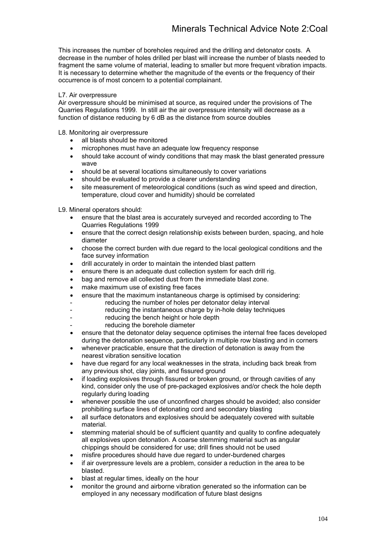This increases the number of boreholes required and the drilling and detonator costs. A decrease in the number of holes drilled per blast will increase the number of blasts needed to fragment the same volume of material, leading to smaller but more frequent vibration impacts. It is necessary to determine whether the magnitude of the events or the frequency of their occurrence is of most concern to a potential complainant.

### L7. Air overpressure

Air overpressure should be minimised at source, as required under the provisions of The Quarries Regulations 1999. In still air the air overpressure intensity will decrease as a function of distance reducing by 6 dB as the distance from source doubles

L8. Monitoring air overpressure

- all blasts should be monitored
- microphones must have an adequate low frequency response
- should take account of windy conditions that may mask the blast generated pressure wave
- should be at several locations simultaneously to cover variations
- should be evaluated to provide a clearer understanding
- site measurement of meteorological conditions (such as wind speed and direction, temperature, cloud cover and humidity) should be correlated

L9. Mineral operators should:

- ensure that the blast area is accurately surveyed and recorded according to The Quarries Regulations 1999
- ensure that the correct design relationship exists between burden, spacing, and hole diameter
- choose the correct burden with due regard to the local geological conditions and the face survey information
- drill accurately in order to maintain the intended blast pattern
- ensure there is an adequate dust collection system for each drill rig.
- bag and remove all collected dust from the immediate blast zone.
- make maximum use of existing free faces
- ensure that the maximum instantaneous charge is optimised by considering:
- reducing the number of holes per detonator delay interval
- reducing the instantaneous charge by in-hole delay techniques
- reducing the bench height or hole depth
- reducing the borehole diameter
- ensure that the detonator delay sequence optimises the internal free faces developed during the detonation sequence, particularly in multiple row blasting and in corners
- whenever practicable, ensure that the direction of detonation is away from the nearest vibration sensitive location
- have due regard for any local weaknesses in the strata, including back break from any previous shot, clay joints, and fissured ground
- if loading explosives through fissured or broken ground, or through cavities of any kind, consider only the use of pre-packaged explosives and/or check the hole depth regularly during loading
- whenever possible the use of unconfined charges should be avoided; also consider prohibiting surface lines of detonating cord and secondary blasting
- all surface detonators and explosives should be adequately covered with suitable material.
- stemming material should be of sufficient quantity and quality to confine adequately all explosives upon detonation. A coarse stemming material such as angular chippings should be considered for use; drill fines should not be used
- misfire procedures should have due regard to under-burdened charges
- if air overpressure levels are a problem, consider a reduction in the area to be blasted.
- blast at regular times, ideally on the hour
- monitor the ground and airborne vibration generated so the information can be employed in any necessary modification of future blast designs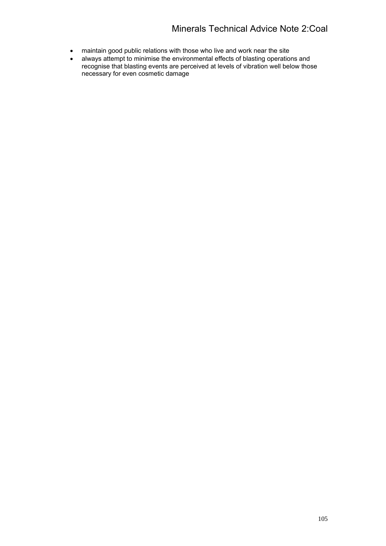- maintain good public relations with those who live and work near the site
- always attempt to minimise the environmental effects of blasting operations and recognise that blasting events are perceived at levels of vibration well below those necessary for even cosmetic damage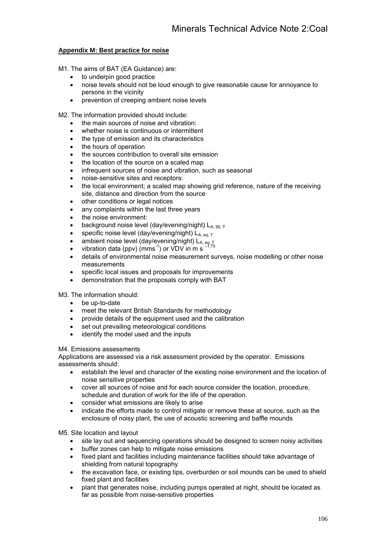# **Appendix M: Best practice for noise**

M1. The aims of BAT (EA Guidance) are:

- to underpin good practice
- noise levels should not be loud enough to give reasonable cause for annoyance to persons in the vicinity
- prevention of creeping ambient noise levels

M2. The information provided should include:

- the main sources of noise and vibration:
- whether noise is continuous or intermittent
- the type of emission and its characteristics
- the hours of operation
- the sources contribution to overall site emission
- the location of the source on a scaled map
- infrequent sources of noise and vibration, such as seasonal
- noise-sensitive sites and receptors:
- the local environment; a scaled map showing grid reference, nature of the receiving site, distance and direction from the source
- other conditions or legal notices
- any complaints within the last three years
- the noise environment:
- background noise level (day/evening/night)  $L_{A, 90, T}$
- specific noise level (day/evening/night)  $L_{A, eq, T}$
- specific flotos level (day/evening/night)  $L_{A, eq, T}$ <br>ambient noise level (day/evening/night)  $L_{A, eq, T}$
- vibration data (ppv) ( $mms^{-1}$ ) or VDV in m s<sup>-1</sup>.
- details of environmental noise measurement surveys, noise modelling or other noise measurements
- specific local issues and proposals for improvements
- demonstration that the proposals comply with BAT

### M3. The information should:

- be up-to-date
- meet the relevant British Standards for methodology
- provide details of the equipment used and the calibration
- 
- set out prevailing meteorological conditions<br>• identify the model used and the inputs identify the model used and the inputs

#### M4. Emissions assessments

Applications are assessed via a risk assessment provided by the operator. Emissions assessments should:

- establish the level and character of the existing noise environment and the location of noise sensitive properties
- cover all sources of noise and for each source consider the location, procedure, schedule and duration of work for the life of the operation.
- consider what emissions are likely to arise
- indicate the efforts made to control mitigate or remove these at source, such as the enclosure of noisy plant, the use of acoustic screening and baffle mounds

M5. Site location and layout

- site lay out and sequencing operations should be designed to screen noisy activities
- buffer zones can help to mitigate noise emissions
- fixed plant and facilities including maintenance facilities should take advantage of shielding from natural topography
- the excavation face, or existing tips, overburden or soil mounds can be used to shield fixed plant and facilities
- plant that generates noise, including pumps operated at night, should be located as far as possible from noise-sensitive properties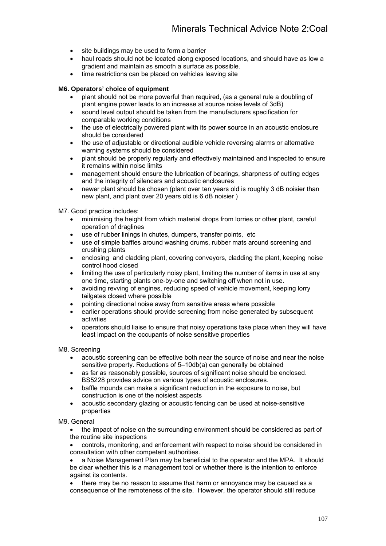- site buildings may be used to form a barrier
- haul roads should not be located along exposed locations, and should have as low a gradient and maintain as smooth a surface as possible.
- time restrictions can be placed on vehicles leaving site

### **M6. Operators' choice of equipment**

- plant should not be more powerful than required, (as a general rule a doubling of plant engine power leads to an increase at source noise levels of 3dB)
- sound level output should be taken from the manufacturers specification for comparable working conditions
- the use of electrically powered plant with its power source in an acoustic enclosure should be considered
- the use of adjustable or directional audible vehicle reversing alarms or alternative warning systems should be considered
- plant should be properly regularly and effectively maintained and inspected to ensure it remains within noise limits
- management should ensure the lubrication of bearings, sharpness of cutting edges and the integrity of silencers and acoustic enclosures
- newer plant should be chosen (plant over ten years old is roughly 3 dB noisier than new plant, and plant over 20 years old is 6 dB noisier )

M7. Good practice includes:

- minimising the height from which material drops from lorries or other plant, careful operation of draglines
- use of rubber linings in chutes, dumpers, transfer points, etc
- use of simple baffles around washing drums, rubber mats around screening and crushing plants
- enclosing and cladding plant, covering conveyors, cladding the plant, keeping noise control hood closed
- limiting the use of particularly noisy plant, limiting the number of items in use at any one time, starting plants one-by-one and switching off when not in use.
- avoiding revving of engines, reducing speed of vehicle movement, keeping lorry tailgates closed where possible
- pointing directional noise away from sensitive areas where possible
- earlier operations should provide screening from noise generated by subsequent activities
- operators should liaise to ensure that noisy operations take place when they will have least impact on the occupants of noise sensitive properties

M8. Screening

- acoustic screening can be effective both near the source of noise and near the noise sensitive property. Reductions of 5–10db(a) can generally be obtained
- as far as reasonably possible, sources of significant noise should be enclosed. BS5228 provides advice on various types of acoustic enclosures.
- baffle mounds can make a significant reduction in the exposure to noise, but construction is one of the noisiest aspects
- acoustic secondary glazing or acoustic fencing can be used at noise-sensitive properties

M9. General

• the impact of noise on the surrounding environment should be considered as part of the routine site inspections

• controls, monitoring, and enforcement with respect to noise should be considered in consultation with other competent authorities.

• a Noise Management Plan may be beneficial to the operator and the MPA. It should be clear whether this is a management tool or whether there is the intention to enforce against its contents.

there may be no reason to assume that harm or annoyance may be caused as a consequence of the remoteness of the site. However, the operator should still reduce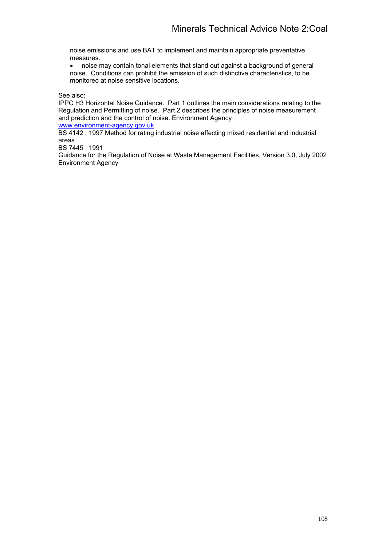noise emissions and use BAT to implement and maintain appropriate preventative measures.

• noise may contain tonal elements that stand out against a background of general noise. Conditions can prohibit the emission of such distinctive characteristics, to be monitored at noise sensitive locations.

See also:

IPPC H3 Horizontal Noise Guidance. Part 1 outlines the main considerations relating to the Regulation and Permitting of noise. Part 2 describes the principles of noise measurement and prediction and the control of noise. Environment Agency

www.environment-agency.gov.uk

BS 4142 : 1997 Method for rating industrial noise affecting mixed residential and industrial areas

BS 7445 : 1991

Guidance for the Regulation of Noise at Waste Management Facilities, Version 3.0, July 2002 Environment Agency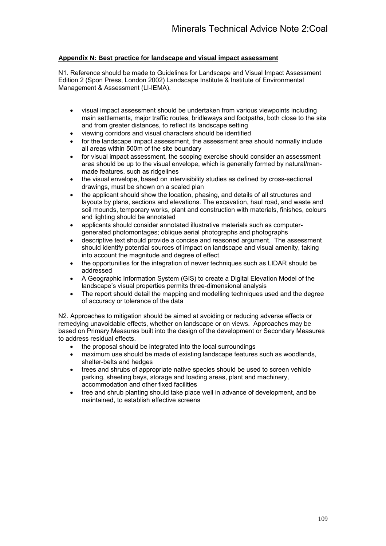## **Appendix N: Best practice for landscape and visual impact assessment**

N1. Reference should be made to Guidelines for Landscape and Visual Impact Assessment Edition 2 (Spon Press, London 2002) Landscape Institute & Institute of Environmental Management & Assessment (LI-IEMA).

- visual impact assessment should be undertaken from various viewpoints including main settlements, major traffic routes, bridleways and footpaths, both close to the site and from greater distances, to reflect its landscape setting
- viewing corridors and visual characters should be identified
- for the landscape impact assessment, the assessment area should normally include all areas within 500m of the site boundary
- for visual impact assessment, the scoping exercise should consider an assessment area should be up to the visual envelope, which is generally formed by natural/manmade features, such as ridgelines
- the visual envelope, based on intervisibility studies as defined by cross-sectional drawings, must be shown on a scaled plan
- the applicant should show the location, phasing, and details of all structures and layouts by plans, sections and elevations. The excavation, haul road, and waste and soil mounds, temporary works, plant and construction with materials, finishes, colours and lighting should be annotated
- applicants should consider annotated illustrative materials such as computergenerated photomontages; oblique aerial photographs and photographs
- descriptive text should provide a concise and reasoned argument. The assessment should identify potential sources of impact on landscape and visual amenity, taking into account the magnitude and degree of effect.
- the opportunities for the integration of newer techniques such as LIDAR should be addressed
- A Geographic Information System (GIS) to create a Digital Elevation Model of the landscape's visual properties permits three-dimensional analysis
- The report should detail the mapping and modelling techniques used and the degree of accuracy or tolerance of the data

N2. Approaches to mitigation should be aimed at avoiding or reducing adverse effects or remedying unavoidable effects, whether on landscape or on views. Approaches may be based on Primary Measures built into the design of the development or Secondary Measures to address residual effects.

- the proposal should be integrated into the local surroundings
- maximum use should be made of existing landscape features such as woodlands, shelter-belts and hedges
- trees and shrubs of appropriate native species should be used to screen vehicle parking, sheeting bays, storage and loading areas, plant and machinery, accommodation and other fixed facilities
- tree and shrub planting should take place well in advance of development, and be maintained, to establish effective screens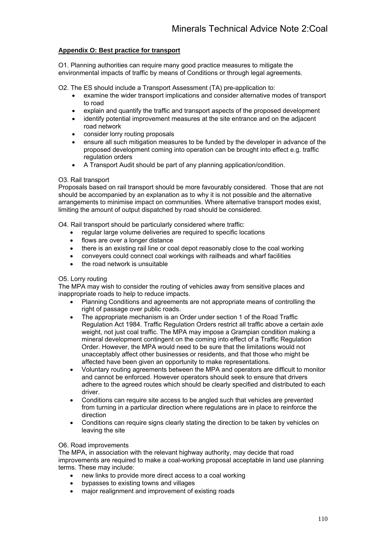## **Appendix O: Best practice for transport**

O1. Planning authorities can require many good practice measures to mitigate the environmental impacts of traffic by means of Conditions or through legal agreements.

O2. The ES should include a Transport Assessment (TA) pre-application to:

- examine the wider transport implications and consider alternative modes of transport to road
- explain and quantify the traffic and transport aspects of the proposed development
- identify potential improvement measures at the site entrance and on the adjacent road network
- consider lorry routing proposals
- ensure all such mitigation measures to be funded by the developer in advance of the proposed development coming into operation can be brought into effect e.g. traffic regulation orders
- A Transport Audit should be part of any planning application/condition.

#### O3. Rail transport

Proposals based on rail transport should be more favourably considered. Those that are not should be accompanied by an explanation as to why it is not possible and the alternative arrangements to minimise impact on communities. Where alternative transport modes exist, limiting the amount of output dispatched by road should be considered.

O4. Rail transport should be particularly considered where traffic:

- regular large volume deliveries are required to specific locations
- flows are over a longer distance
- there is an existing rail line or coal depot reasonably close to the coal working
- conveyers could connect coal workings with railheads and wharf facilities
- the road network is unsuitable

### O5. Lorry routing

The MPA may wish to consider the routing of vehicles away from sensitive places and inappropriate roads to help to reduce impacts.

- Planning Conditions and agreements are not appropriate means of controlling the right of passage over public roads.
- The appropriate mechanism is an Order under section 1 of the Road Traffic Regulation Act 1984. Traffic Regulation Orders restrict all traffic above a certain axle weight, not just coal traffic. The MPA may impose a Grampian condition making a mineral development contingent on the coming into effect of a Traffic Regulation Order. However, the MPA would need to be sure that the limitations would not unacceptably affect other businesses or residents, and that those who might be affected have been given an opportunity to make representations.
- Voluntary routing agreements between the MPA and operators are difficult to monitor and cannot be enforced. However operators should seek to ensure that drivers adhere to the agreed routes which should be clearly specified and distributed to each driver.
- Conditions can require site access to be angled such that vehicles are prevented from turning in a particular direction where regulations are in place to reinforce the direction
- Conditions can require signs clearly stating the direction to be taken by vehicles on leaving the site

### O6. Road improvements

The MPA, in association with the relevant highway authority, may decide that road improvements are required to make a coal-working proposal acceptable in land use planning terms. These may include:

- new links to provide more direct access to a coal working
- bypasses to existing towns and villages
- major realignment and improvement of existing roads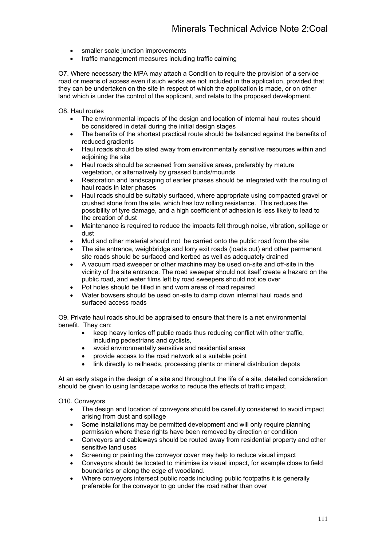- smaller scale junction improvements
- traffic management measures including traffic calming

O7. Where necessary the MPA may attach a Condition to require the provision of a service road or means of access even if such works are not included in the application, provided that they can be undertaken on the site in respect of which the application is made, or on other land which is under the control of the applicant, and relate to the proposed development.

O8. Haul routes

- The environmental impacts of the design and location of internal haul routes should be considered in detail during the initial design stages
- The benefits of the shortest practical route should be balanced against the benefits of reduced gradients
- Haul roads should be sited away from environmentally sensitive resources within and adjoining the site
- Haul roads should be screened from sensitive areas, preferably by mature vegetation, or alternatively by grassed bunds/mounds
- Restoration and landscaping of earlier phases should be integrated with the routing of haul roads in later phases
- Haul roads should be suitably surfaced, where appropriate using compacted gravel or crushed stone from the site, which has low rolling resistance. This reduces the possibility of tyre damage, and a high coefficient of adhesion is less likely to lead to the creation of dust
- Maintenance is required to reduce the impacts felt through noise, vibration, spillage or dust
- Mud and other material should not be carried onto the public road from the site
- The site entrance, weighbridge and lorry exit roads (loads out) and other permanent site roads should be surfaced and kerbed as well as adequately drained
- A vacuum road sweeper or other machine may be used on-site and off-site in the vicinity of the site entrance. The road sweeper should not itself create a hazard on the public road, and water films left by road sweepers should not ice over
- Pot holes should be filled in and worn areas of road repaired
- Water bowsers should be used on-site to damp down internal haul roads and surfaced access roads

O9. Private haul roads should be appraised to ensure that there is a net environmental benefit. They can:

- keep heavy lorries off public roads thus reducing conflict with other traffic, including pedestrians and cyclists,
- avoid environmentally sensitive and residential areas
- provide access to the road network at a suitable point
- link directly to railheads, processing plants or mineral distribution depots

At an early stage in the design of a site and throughout the life of a site, detailed consideration should be given to using landscape works to reduce the effects of traffic impact.

#### O10. Conveyors

- The design and location of conveyors should be carefully considered to avoid impact arising from dust and spillage
- Some installations may be permitted development and will only require planning permission where these rights have been removed by direction or condition
- Conveyors and cableways should be routed away from residential property and other sensitive land uses
- Screening or painting the conveyor cover may help to reduce visual impact
- Conveyors should be located to minimise its visual impact, for example close to field boundaries or along the edge of woodland.
- Where conveyors intersect public roads including public footpaths it is generally preferable for the conveyor to go under the road rather than over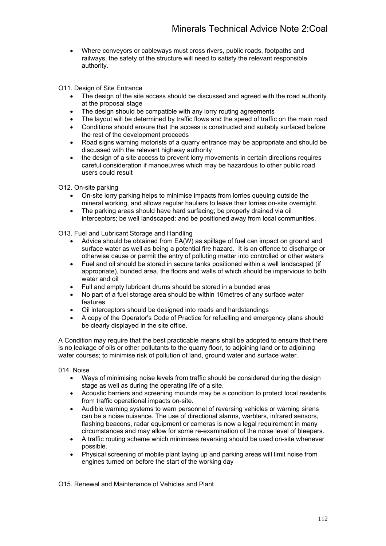• Where conveyors or cableways must cross rivers, public roads, footpaths and railways, the safety of the structure will need to satisfy the relevant responsible authority.

O11. Design of Site Entrance

- The design of the site access should be discussed and agreed with the road authority at the proposal stage
- The design should be compatible with any lorry routing agreements
- The layout will be determined by traffic flows and the speed of traffic on the main road
- Conditions should ensure that the access is constructed and suitably surfaced before the rest of the development proceeds
- Road signs warning motorists of a quarry entrance may be appropriate and should be discussed with the relevant highway authority
- the design of a site access to prevent lorry movements in certain directions requires careful consideration if manoeuvres which may be hazardous to other public road users could result

O12. On-site parking

- On-site lorry parking helps to minimise impacts from lorries queuing outside the mineral working, and allows regular hauliers to leave their lorries on-site overnight.
- The parking areas should have hard surfacing; be properly drained via oil interceptors; be well landscaped; and be positioned away from local communities.

O13. Fuel and Lubricant Storage and Handling

- Advice should be obtained from EA(W) as spillage of fuel can impact on ground and surface water as well as being a potential fire hazard. It is an offence to discharge or otherwise cause or permit the entry of polluting matter into controlled or other waters
- Fuel and oil should be stored in secure tanks positioned within a well landscaped (if appropriate), bunded area, the floors and walls of which should be impervious to both water and oil
- Full and empty lubricant drums should be stored in a bunded area
- No part of a fuel storage area should be within 10metres of any surface water features
- Oil interceptors should be designed into roads and hardstandings
- A copy of the Operator's Code of Practice for refuelling and emergency plans should be clearly displayed in the site office.

A Condition may require that the best practicable means shall be adopted to ensure that there is no leakage of oils or other pollutants to the quarry floor, to adjoining land or to adjoining water courses; to minimise risk of pollution of land, ground water and surface water.

014. Noise

- Ways of minimising noise levels from traffic should be considered during the design stage as well as during the operating life of a site.
- Acoustic barriers and screening mounds may be a condition to protect local residents from traffic operational impacts on-site.
- Audible warning systems to warn personnel of reversing vehicles or warning sirens can be a noise nuisance. The use of directional alarms, warblers, infrared sensors, flashing beacons, radar equipment or cameras is now a legal requirement in many circumstances and may allow for some re-examination of the noise level of bleepers.
- A traffic routing scheme which minimises reversing should be used on-site whenever possible.
- Physical screening of mobile plant laying up and parking areas will limit noise from engines turned on before the start of the working day

O15. Renewal and Maintenance of Vehicles and Plant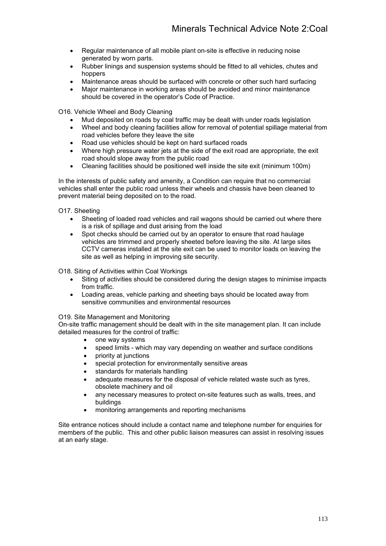- Regular maintenance of all mobile plant on-site is effective in reducing noise generated by worn parts.
- Rubber linings and suspension systems should be fitted to all vehicles, chutes and hoppers
- Maintenance areas should be surfaced with concrete or other such hard surfacing
- Major maintenance in working areas should be avoided and minor maintenance should be covered in the operator's Code of Practice.

O16. Vehicle Wheel and Body Cleaning

- Mud deposited on roads by coal traffic may be dealt with under roads legislation
- Wheel and body cleaning facilities allow for removal of potential spillage material from road vehicles before they leave the site
- Road use vehicles should be kept on hard surfaced roads
- Where high pressure water jets at the side of the exit road are appropriate, the exit road should slope away from the public road
- Cleaning facilities should be positioned well inside the site exit (minimum 100m)

In the interests of public safety and amenity, a Condition can require that no commercial vehicles shall enter the public road unless their wheels and chassis have been cleaned to prevent material being deposited on to the road.

O17. Sheeting

- Sheeting of loaded road vehicles and rail wagons should be carried out where there is a risk of spillage and dust arising from the load
- Spot checks should be carried out by an operator to ensure that road haulage vehicles are trimmed and properly sheeted before leaving the site. At large sites CCTV cameras installed at the site exit can be used to monitor loads on leaving the site as well as helping in improving site security.

O18. Siting of Activities within Coal Workings

- Siting of activities should be considered during the design stages to minimise impacts from traffic.
- Loading areas, vehicle parking and sheeting bays should be located away from sensitive communities and environmental resources

#### O19. Site Management and Monitoring

On-site traffic management should be dealt with in the site management plan. It can include detailed measures for the control of traffic:

- one way systems
- speed limits which may vary depending on weather and surface conditions
- priority at junctions
- special protection for environmentally sensitive areas
- standards for materials handling
- adequate measures for the disposal of vehicle related waste such as tyres, obsolete machinery and oil
- any necessary measures to protect on-site features such as walls, trees, and buildings
- monitoring arrangements and reporting mechanisms

Site entrance notices should include a contact name and telephone number for enquiries for members of the public. This and other public liaison measures can assist in resolving issues at an early stage.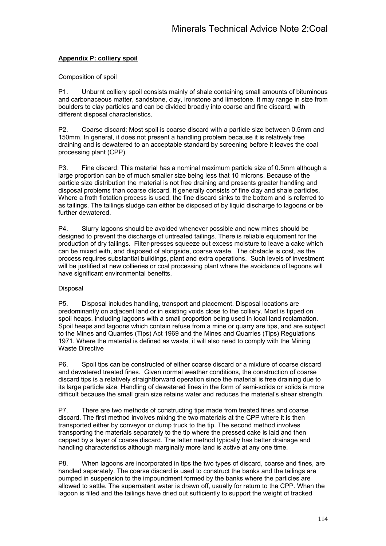# **Appendix P: colliery spoil**

### Composition of spoil

P1. Unburnt colliery spoil consists mainly of shale containing small amounts of bituminous and carbonaceous matter, sandstone, clay, ironstone and limestone. It may range in size from boulders to clay particles and can be divided broadly into coarse and fine discard, with different disposal characteristics.

P2. Coarse discard: Most spoil is coarse discard with a particle size between 0.5mm and 150mm. In general, it does not present a handling problem because it is relatively free draining and is dewatered to an acceptable standard by screening before it leaves the coal processing plant (CPP).

P3. Fine discard: This material has a nominal maximum particle size of 0.5mm although a large proportion can be of much smaller size being less that 10 microns. Because of the particle size distribution the material is not free draining and presents greater handling and disposal problems than coarse discard. It generally consists of fine clay and shale particles. Where a froth flotation process is used, the fine discard sinks to the bottom and is referred to as tailings. The tailings sludge can either be disposed of by liquid discharge to lagoons or be further dewatered.

P4. Slurry lagoons should be avoided whenever possible and new mines should be designed to prevent the discharge of untreated tailings. There is reliable equipment for the production of dry tailings. Filter-presses squeeze out excess moisture to leave a cake which can be mixed with, and disposed of alongside, coarse waste. The obstacle is cost, as the process requires substantial buildings, plant and extra operations. Such levels of investment will be justified at new collieries or coal processing plant where the avoidance of lagoons will have significant environmental benefits.

### Disposal

P5. Disposal includes handling, transport and placement. Disposal locations are predominantly on adjacent land or in existing voids close to the colliery. Most is tipped on spoil heaps, including lagoons with a small proportion being used in local land reclamation. Spoil heaps and lagoons which contain refuse from a mine or quarry are tips, and are subject to the Mines and Quarries (Tips) Act 1969 and the Mines and Quarries (Tips) Regulations 1971. Where the material is defined as waste, it will also need to comply with the Mining Waste Directive

P6. Spoil tips can be constructed of either coarse discard or a mixture of coarse discard and dewatered treated fines. Given normal weather conditions, the construction of coarse discard tips is a relatively straightforward operation since the material is free draining due to its large particle size. Handling of dewatered fines in the form of semi-solids or solids is more difficult because the small grain size retains water and reduces the material's shear strength.

P7. There are two methods of constructing tips made from treated fines and coarse discard. The first method involves mixing the two materials at the CPP where it is then transported either by conveyor or dump truck to the tip. The second method involves transporting the materials separately to the tip where the pressed cake is laid and then capped by a layer of coarse discard. The latter method typically has better drainage and handling characteristics although marginally more land is active at any one time.

P8. When lagoons are incorporated in tips the two types of discard, coarse and fines, are handled separately. The coarse discard is used to construct the banks and the tailings are pumped in suspension to the impoundment formed by the banks where the particles are allowed to settle. The supernatant water is drawn off, usually for return to the CPP. When the lagoon is filled and the tailings have dried out sufficiently to support the weight of tracked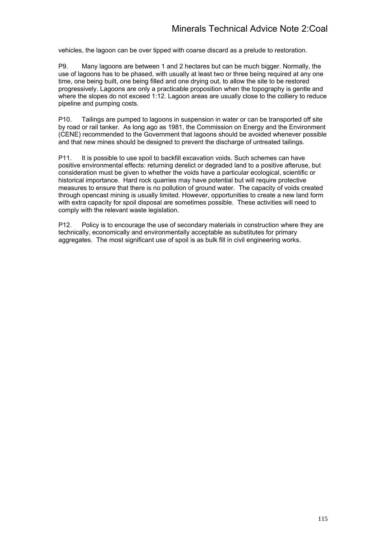vehicles, the lagoon can be over tipped with coarse discard as a prelude to restoration.

P9. Many lagoons are between 1 and 2 hectares but can be much bigger. Normally, the use of lagoons has to be phased, with usually at least two or three being required at any one time, one being built, one being filled and one drying out, to allow the site to be restored progressively. Lagoons are only a practicable proposition when the topography is gentle and where the slopes do not exceed 1:12. Lagoon areas are usually close to the colliery to reduce pipeline and pumping costs.

P10. Tailings are pumped to lagoons in suspension in water or can be transported off site by road or rail tanker. As long ago as 1981, the Commission on Energy and the Environment (CENE) recommended to the Government that lagoons should be avoided whenever possible and that new mines should be designed to prevent the discharge of untreated tailings.

P11. It is possible to use spoil to backfill excavation voids. Such schemes can have positive environmental effects: returning derelict or degraded land to a positive afteruse, but consideration must be given to whether the voids have a particular ecological, scientific or historical importance. Hard rock quarries may have potential but will require protective measures to ensure that there is no pollution of ground water. The capacity of voids created through opencast mining is usually limited. However, opportunities to create a new land form with extra capacity for spoil disposal are sometimes possible. These activities will need to comply with the relevant waste legislation.

P12. Policy is to encourage the use of secondary materials in construction where they are technically, economically and environmentally acceptable as substitutes for primary aggregates. The most significant use of spoil is as bulk fill in civil engineering works.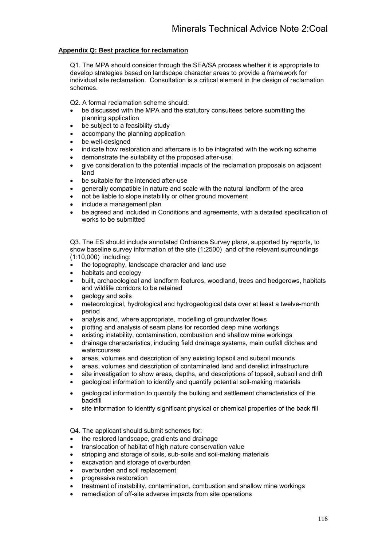## **Appendix Q: Best practice for reclamation**

Q1. The MPA should consider through the SEA/SA process whether it is appropriate to develop strategies based on landscape character areas to provide a framework for individual site reclamation. Consultation is a critical element in the design of reclamation schemes.

Q2. A formal reclamation scheme should:

- be discussed with the MPA and the statutory consultees before submitting the planning application
- be subject to a feasibility study
- accompany the planning application
- be well-designed
- indicate how restoration and aftercare is to be integrated with the working scheme
- demonstrate the suitability of the proposed after-use
- give consideration to the potential impacts of the reclamation proposals on adjacent land
- be suitable for the intended after-use
- generally compatible in nature and scale with the natural landform of the area
- not be liable to slope instability or other ground movement
- include a management plan
- be agreed and included in Conditions and agreements, with a detailed specification of works to be submitted

Q3. The ES should include annotated Ordnance Survey plans, supported by reports, to show baseline survey information of the site (1:2500) and of the relevant surroundings (1:10,000) including:

- the topography, landscape character and land use
- habitats and ecology
- built, archaeological and landform features, woodland, trees and hedgerows, habitats and wildlife corridors to be retained
- geology and soils
- meteorological, hydrological and hydrogeological data over at least a twelve-month period
- analysis and, where appropriate, modelling of groundwater flows
- plotting and analysis of seam plans for recorded deep mine workings
- existing instability, contamination, combustion and shallow mine workings
- drainage characteristics, including field drainage systems, main outfall ditches and watercourses
- areas, volumes and description of any existing topsoil and subsoil mounds
- areas, volumes and description of contaminated land and derelict infrastructure
- site investigation to show areas, depths, and descriptions of topsoil, subsoil and drift
- geological information to identify and quantify potential soil-making materials
- geological information to quantify the bulking and settlement characteristics of the backfill
- site information to identify significant physical or chemical properties of the back fill

Q4. The applicant should submit schemes for:

- the restored landscape, gradients and drainage
- translocation of habitat of high nature conservation value
- stripping and storage of soils, sub-soils and soil-making materials
- excavation and storage of overburden
- overburden and soil replacement
- progressive restoration
- treatment of instability, contamination, combustion and shallow mine workings
- remediation of off-site adverse impacts from site operations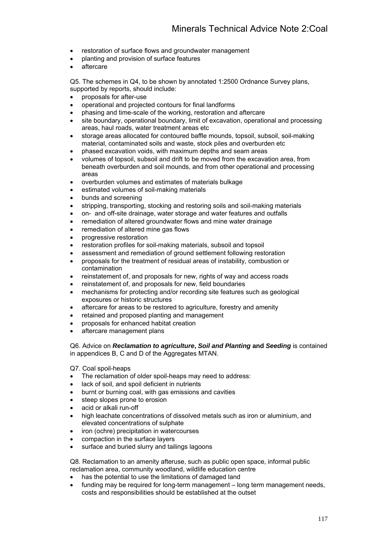- restoration of surface flows and groundwater management
- planting and provision of surface features
- aftercare

Q5. The schemes in Q4, to be shown by annotated 1:2500 Ordnance Survey plans, supported by reports, should include:

- proposals for after-use
- operational and projected contours for final landforms
- phasing and time-scale of the working, restoration and aftercare
- site boundary, operational boundary, limit of excavation, operational and processing areas, haul roads, water treatment areas etc
- storage areas allocated for contoured baffle mounds, topsoil, subsoil, soil-making material, contaminated soils and waste, stock piles and overburden etc
- phased excavation voids, with maximum depths and seam areas
- volumes of topsoil, subsoil and drift to be moved from the excavation area, from beneath overburden and soil mounds, and from other operational and processing areas
- overburden volumes and estimates of materials bulkage
- estimated volumes of soil-making materials
- bunds and screening
- stripping, transporting, stocking and restoring soils and soil-making materials
- on- and off-site drainage, water storage and water features and outfalls
- remediation of altered groundwater flows and mine water drainage
- remediation of altered mine gas flows
- progressive restoration
- restoration profiles for soil-making materials, subsoil and topsoil
- assessment and remediation of ground settlement following restoration
- proposals for the treatment of residual areas of instability, combustion or contamination
- reinstatement of, and proposals for new, rights of way and access roads
- reinstatement of, and proposals for new, field boundaries
- mechanisms for protecting and/or recording site features such as geological exposures or historic structures
- aftercare for areas to be restored to agriculture, forestry and amenity
- retained and proposed planting and management
- proposals for enhanced habitat creation
- aftercare management plans

Q6. Advice on *Reclamation to agriculture***,** *Soil and Planting* **and** *Seeding* is contained in appendices B, C and D of the Aggregates MTAN.

Q7. Coal spoil-heaps

- The reclamation of older spoil-heaps may need to address:
- lack of soil, and spoil deficient in nutrients
- burnt or burning coal, with gas emissions and cavities
- steep slopes prone to erosion
- acid or alkali run-off
- high leachate concentrations of dissolved metals such as iron or aluminium, and elevated concentrations of sulphate
- iron (ochre) precipitation in watercourses
- compaction in the surface layers
- surface and buried slurry and tailings lagoons

Q8. Reclamation to an amenity afteruse, such as public open space, informal public reclamation area, community woodland, wildlife education centre

- has the potential to use the limitations of damaged land
- funding may be required for long-term management long term management needs, costs and responsibilities should be established at the outset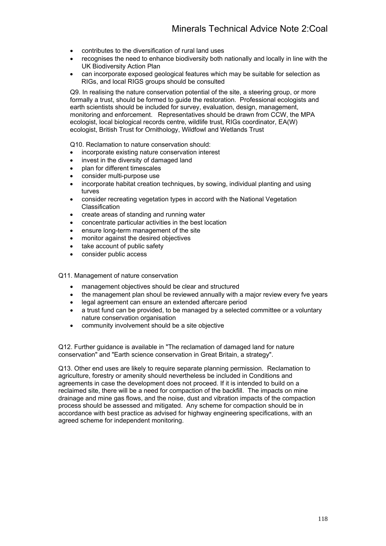- contributes to the diversification of rural land uses
- recognises the need to enhance biodiversity both nationally and locally in line with the UK Biodiversity Action Plan
- can incorporate exposed geological features which may be suitable for selection as RIGs, and local RIGS groups should be consulted

Q9. In realising the nature conservation potential of the site, a steering group, or more formally a trust, should be formed to guide the restoration. Professional ecologists and earth scientists should be included for survey, evaluation, design, management, monitoring and enforcement. Representatives should be drawn from CCW, the MPA ecologist, local biological records centre, wildlife trust, RIGs coordinator, EA(W) ecologist, British Trust for Ornithology, Wildfowl and Wetlands Trust

Q10. Reclamation to nature conservation should:

- incorporate existing nature conservation interest
- invest in the diversity of damaged land
- plan for different timescales
- consider multi-purpose use
- incorporate habitat creation techniques, by sowing, individual planting and using turves
- consider recreating vegetation types in accord with the National Vegetation **Classification**
- create areas of standing and running water
- concentrate particular activities in the best location
- ensure long-term management of the site
- monitor against the desired objectives
- take account of public safety
- consider public access

Q11. Management of nature conservation

- management objectives should be clear and structured
- the management plan shoul be reviewed annually with a major review every fve years
- legal agreement can ensure an extended aftercare period
- a trust fund can be provided, to be managed by a selected committee or a voluntary nature conservation organisation
- community involvement should be a site objective

Q12. Further guidance is available in "The reclamation of damaged land for nature conservation" and "Earth science conservation in Great Britain, a strategy".

Q13. Other end uses are likely to require separate planning permission. Reclamation to agriculture, forestry or amenity should nevertheless be included in Conditions and agreements in case the development does not proceed. If it is intended to build on a reclaimed site, there will be a need for compaction of the backfill. The impacts on mine drainage and mine gas flows, and the noise, dust and vibration impacts of the compaction process should be assessed and mitigated. Any scheme for compaction should be in accordance with best practice as advised for highway engineering specifications, with an agreed scheme for independent monitoring.